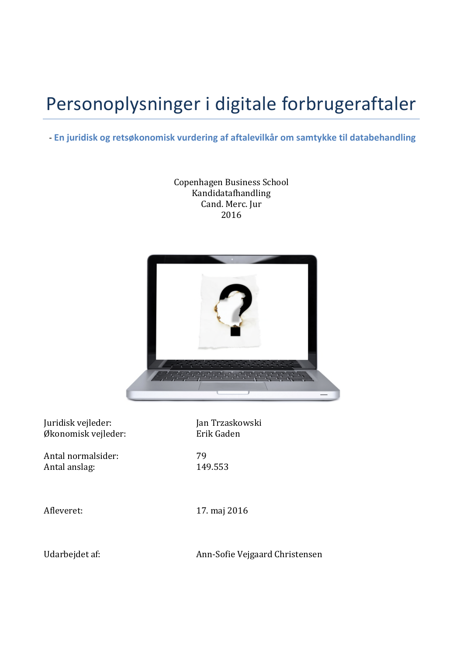# Personoplysninger i digitale forbrugeraftaler

## -**En juridisk og retsøkonomisk vurdering af aftalevilkår om samtykke til databehandling**

Copenhagen Business School Kandidatafhandling Cand. Merc. Jur 2016



Juridisk vejleder: Jan Trzaskowski Økonomisk vejleder: Erik Gaden

Antal normalsider: 29 Antal anslag: 149.553

Afleveret: 17. maj 2016

Udarbejdet af: Ann-Sofie Vejgaard Christensen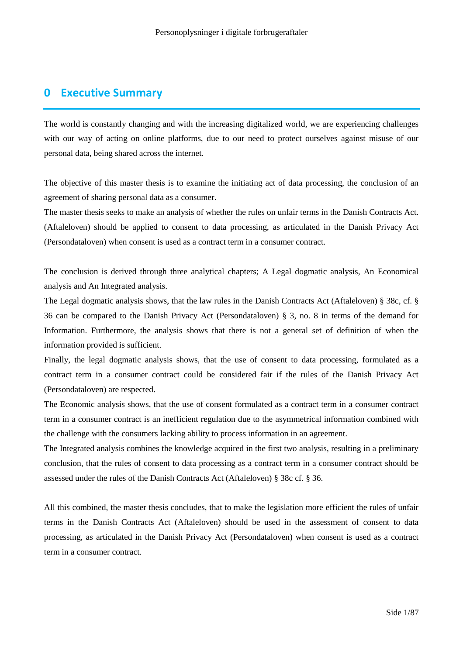# **0 Executive Summary**

The world is constantly changing and with the increasing digitalized world, we are experiencing challenges with our way of acting on online platforms, due to our need to protect ourselves against misuse of our personal data, being shared across the internet.

The objective of this master thesis is to examine the initiating act of data processing, the conclusion of an agreement of sharing personal data as a consumer.

The master thesis seeks to make an analysis of whether the rules on unfair terms in the Danish Contracts Act. (Aftaleloven) should be applied to consent to data processing, as articulated in the Danish Privacy Act (Persondataloven) when consent is used as a contract term in a consumer contract.

The conclusion is derived through three analytical chapters; A Legal dogmatic analysis, An Economical analysis and An Integrated analysis.

The Legal dogmatic analysis shows, that the law rules in the Danish Contracts Act (Aftaleloven) § 38c, cf. § 36 can be compared to the Danish Privacy Act (Persondataloven) § 3, no. 8 in terms of the demand for Information. Furthermore, the analysis shows that there is not a general set of definition of when the information provided is sufficient.

Finally, the legal dogmatic analysis shows, that the use of consent to data processing, formulated as a contract term in a consumer contract could be considered fair if the rules of the Danish Privacy Act (Persondataloven) are respected.

The Economic analysis shows, that the use of consent formulated as a contract term in a consumer contract term in a consumer contract is an inefficient regulation due to the asymmetrical information combined with the challenge with the consumers lacking ability to process information in an agreement.

The Integrated analysis combines the knowledge acquired in the first two analysis, resulting in a preliminary conclusion, that the rules of consent to data processing as a contract term in a consumer contract should be assessed under the rules of the Danish Contracts Act (Aftaleloven) § 38c cf. § 36.

All this combined, the master thesis concludes, that to make the legislation more efficient the rules of unfair terms in the Danish Contracts Act (Aftaleloven) should be used in the assessment of consent to data processing, as articulated in the Danish Privacy Act (Persondataloven) when consent is used as a contract term in a consumer contract.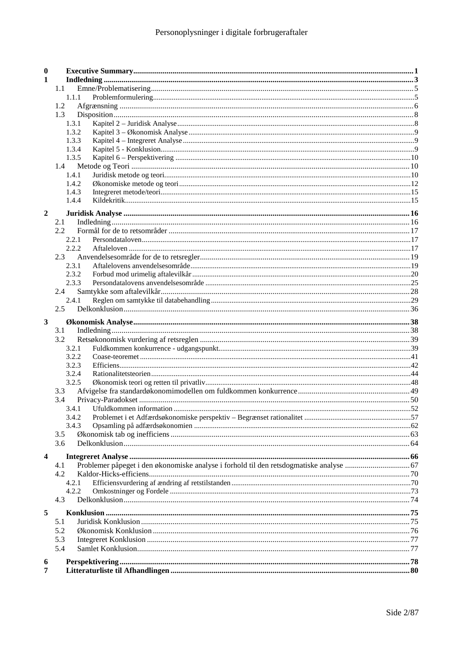| $\boldsymbol{0}$        |               |  |
|-------------------------|---------------|--|
| $\mathbf{1}$            |               |  |
|                         | 1.1           |  |
|                         | 1.1.1         |  |
|                         | 1.2           |  |
|                         | 1.3           |  |
|                         | 1.3.1         |  |
|                         | 1.3.2         |  |
|                         | 1.3.3         |  |
|                         | 1.3.4         |  |
|                         | 1.3.5         |  |
|                         | 1.4           |  |
|                         | 1.4.1         |  |
|                         | 1.4.2         |  |
|                         | 1.4.3         |  |
|                         | 1.4.4         |  |
| $\overline{2}$          |               |  |
|                         | 2.1           |  |
|                         | $2.2^{\circ}$ |  |
|                         | 2.2.1         |  |
|                         | 2.2.2         |  |
|                         | 2.3           |  |
|                         | 2.3.1         |  |
|                         | 2.3.2         |  |
|                         | 2.3.3         |  |
|                         | 2.4           |  |
|                         | 2.4.1         |  |
|                         | 2.5           |  |
| $\mathbf{3}$            |               |  |
|                         | 3.1           |  |
|                         | 3.2           |  |
|                         | 3.2.1         |  |
|                         | 3.2.2         |  |
|                         | 3.2.3         |  |
|                         | 3.2.4         |  |
|                         | 3.2.5         |  |
|                         | 3.3           |  |
|                         | 3.4           |  |
|                         | 3.4.1         |  |
|                         |               |  |
|                         | 3.4.3         |  |
|                         | 3.5           |  |
|                         | 3.6           |  |
|                         |               |  |
| $\overline{\mathbf{4}}$ |               |  |
|                         | 4.1           |  |
|                         | 4.2           |  |
|                         | 4.2.1         |  |
|                         | 4.2.2         |  |
|                         | 4.3           |  |
| 5                       |               |  |
|                         | 5.1           |  |
|                         | 5.2           |  |
|                         | 5.3           |  |
|                         | 5.4           |  |
|                         |               |  |
| 6                       |               |  |
| 7                       |               |  |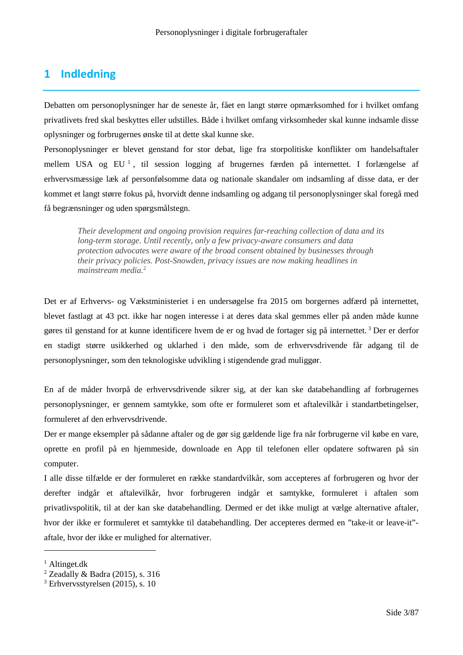# **1 Indledning**

Debatten om personoplysninger har de seneste år, fået en langt større opmærksomhed for i hvilket omfang privatlivets fred skal beskyttes eller udstilles. Både i hvilket omfang virksomheder skal kunne indsamle disse oplysninger og forbrugernes ønske til at dette skal kunne ske.

Personoplysninger er blevet genstand for stor debat, lige fra storpolitiske konflikter om handelsaftaler mellem USA og EU<sup>1</sup>, til session logging af brugernes færden på internettet. I forlængelse af erhvervsmæssige læk af personfølsomme data og nationale skandaler om indsamling af disse data, er der kommet et langt større fokus på, hvorvidt denne indsamling og adgang til personoplysninger skal foregå med få begrænsninger og uden spørgsmålstegn.

*Their development and ongoing provision requires far-reaching collection of data and its long-term storage. Until recently, only a few privacy-aware consumers and data protection advocates were aware of the broad consent obtained by businesses through their privacy policies. Post-Snowden, privacy issues are now making headlines in mainstream media.*<sup>2</sup>

Det er af Erhvervs- og Vækstministeriet i en undersøgelse fra 2015 om borgernes adfærd på internettet, blevet fastlagt at 43 pct. ikke har nogen interesse i at deres data skal gemmes eller på anden måde kunne gøres til genstand for at kunne identificere hvem de er og hvad de fortager sig på internettet. <sup>3</sup> Der er derfor en stadigt større usikkerhed og uklarhed i den måde, som de erhvervsdrivende får adgang til de personoplysninger, som den teknologiske udvikling i stigendende grad muliggør.

En af de måder hvorpå de erhvervsdrivende sikrer sig, at der kan ske databehandling af forbrugernes personoplysninger, er gennem samtykke, som ofte er formuleret som et aftalevilkår i standartbetingelser, formuleret af den erhvervsdrivende.

Der er mange eksempler på sådanne aftaler og de gør sig gældende lige fra når forbrugerne vil købe en vare, oprette en profil på en hjemmeside, downloade en App til telefonen eller opdatere softwaren på sin computer.

I alle disse tilfælde er der formuleret en række standardvilkår, som accepteres af forbrugeren og hvor der derefter indgår et aftalevilkår, hvor forbrugeren indgår et samtykke, formuleret i aftalen som privatlivspolitik, til at der kan ske databehandling. Dermed er det ikke muligt at vælge alternative aftaler, hvor der ikke er formuleret et samtykke til databehandling. Der accepteres dermed en "take-it or leave-it" aftale, hvor der ikke er mulighed for alternativer.

 $<sup>1</sup>$  Altinget.dk</sup>

<sup>2</sup> Zeadally & Badra (2015), s. 316

 $3$  Erhvervsstyrelsen (2015), s. 10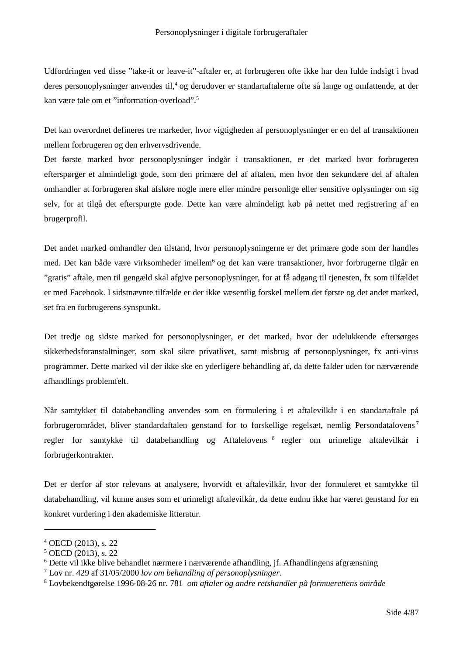Udfordringen ved disse "take-it or leave-it"-aftaler er, at forbrugeren ofte ikke har den fulde indsigt i hvad deres personoplysninger anvendes til,<sup>4</sup> og derudover er standartaftalerne ofte så lange og omfattende, at der kan være tale om et "information-overload".<sup>5</sup>

Det kan overordnet defineres tre markeder, hvor vigtigheden af personoplysninger er en del af transaktionen mellem forbrugeren og den erhvervsdrivende.

Det første marked hvor personoplysninger indgår i transaktionen, er det marked hvor forbrugeren efterspørger et almindeligt gode, som den primære del af aftalen, men hvor den sekundære del af aftalen omhandler at forbrugeren skal afsløre nogle mere eller mindre personlige eller sensitive oplysninger om sig selv, for at tilgå det efterspurgte gode. Dette kan være almindeligt køb på nettet med registrering af en brugerprofil.

Det andet marked omhandler den tilstand, hvor personoplysningerne er det primære gode som der handles med. Det kan både være virksomheder imellem<sup>6</sup> og det kan være transaktioner, hvor forbrugerne tilgår en "gratis" aftale, men til gengæld skal afgive personoplysninger, for at få adgang til tjenesten, fx som tilfældet er med Facebook. I sidstnævnte tilfælde er der ikke væsentlig forskel mellem det første og det andet marked, set fra en forbrugerens synspunkt.

Det tredje og sidste marked for personoplysninger, er det marked, hvor der udelukkende eftersørges sikkerhedsforanstaltninger, som skal sikre privatlivet, samt misbrug af personoplysninger, fx anti-virus programmer. Dette marked vil der ikke ske en yderligere behandling af, da dette falder uden for nærværende afhandlings problemfelt.

Når samtykket til databehandling anvendes som en formulering i et aftalevilkår i en standartaftale på forbrugerområdet, bliver standardaftalen genstand for to forskellige regelsæt, nemlig Persondatalovens <sup>7</sup> regler for samtykke til databehandling og Aftalelovens<sup>8</sup> regler om urimelige aftalevilkår i forbrugerkontrakter.

Det er derfor af stor relevans at analysere, hvorvidt et aftalevilkår, hvor der formuleret et samtykke til databehandling, vil kunne anses som et urimeligt aftalevilkår, da dette endnu ikke har været genstand for en konkret vurdering i den akademiske litteratur.

<sup>4</sup> OECD (2013), s. 22

<sup>5</sup> OECD (2013), s. 22

 $6$  Dette vil ikke blive behandlet nærmere i nærværende afhandling, if. Afhandlingens afgrænsning

<sup>7</sup> Lov nr. 429 af 31/05/2000 *lov om behandling af personoplysninger*.

<sup>8</sup> Lovbekendtgørelse 1996-08-26 nr. 781 *om aftaler og andre retshandler på formuerettens område*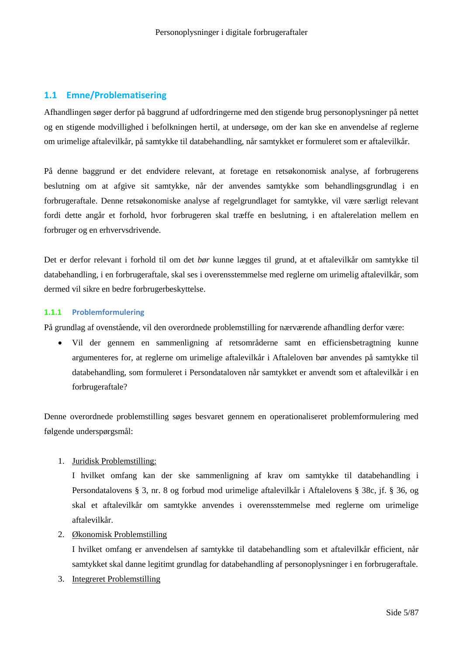## **1.1 Emne/Problematisering**

Afhandlingen søger derfor på baggrund af udfordringerne med den stigende brug personoplysninger på nettet og en stigende modvillighed i befolkningen hertil, at undersøge, om der kan ske en anvendelse af reglerne om urimelige aftalevilkår, på samtykke til databehandling, når samtykket er formuleret som er aftalevilkår.

På denne baggrund er det endvidere relevant, at foretage en retsøkonomisk analyse, af forbrugerens beslutning om at afgive sit samtykke, når der anvendes samtykke som behandlingsgrundlag i en forbrugeraftale. Denne retsøkonomiske analyse af regelgrundlaget for samtykke, vil være særligt relevant fordi dette angår et forhold, hvor forbrugeren skal træffe en beslutning, i en aftalerelation mellem en forbruger og en erhvervsdrivende.

Det er derfor relevant i forhold til om det *bør* kunne lægges til grund, at et aftalevilkår om samtykke til databehandling, i en forbrugeraftale, skal ses i overensstemmelse med reglerne om urimelig aftalevilkår, som dermed vil sikre en bedre forbrugerbeskyttelse.

## **1.1.1 Problemformulering**

På grundlag af ovenstående, vil den overordnede problemstilling for nærværende afhandling derfor være:

 Vil der gennem en sammenligning af retsområderne samt en efficiensbetragtning kunne argumenteres for, at reglerne om urimelige aftalevilkår i Aftaleloven bør anvendes på samtykke til databehandling, som formuleret i Persondataloven når samtykket er anvendt som et aftalevilkår i en forbrugeraftale?

Denne overordnede problemstilling søges besvaret gennem en operationaliseret problemformulering med følgende underspørgsmål:

## 1. Juridisk Problemstilling:

I hvilket omfang kan der ske sammenligning af krav om samtykke til databehandling i Persondatalovens § 3, nr. 8 og forbud mod urimelige aftalevilkår i Aftalelovens § 38c, jf. § 36, og skal et aftalevilkår om samtykke anvendes i overensstemmelse med reglerne om urimelige aftalevilkår.

## 2. Økonomisk Problemstilling

I hvilket omfang er anvendelsen af samtykke til databehandling som et aftalevilkår efficient, når samtykket skal danne legitimt grundlag for databehandling af personoplysninger i en forbrugeraftale.

3. Integreret Problemstilling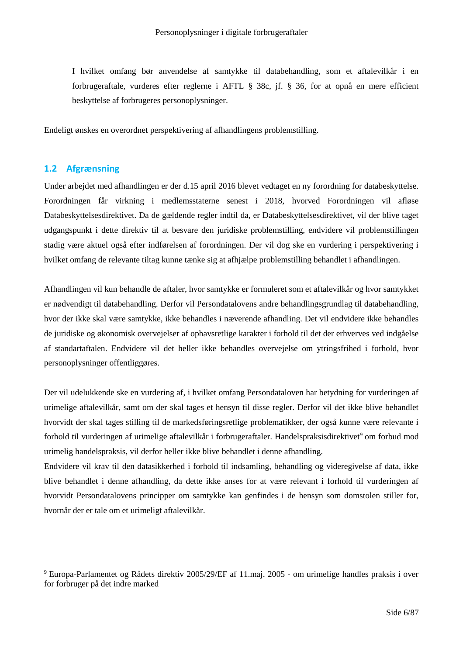I hvilket omfang bør anvendelse af samtykke til databehandling, som et aftalevilkår i en forbrugeraftale, vurderes efter reglerne i AFTL § 38c, jf. § 36, for at opnå en mere efficient beskyttelse af forbrugeres personoplysninger.

Endeligt ønskes en overordnet perspektivering af afhandlingens problemstilling.

## **1.2 Afgrænsning**

Under arbejdet med afhandlingen er der d.15 april 2016 blevet vedtaget en ny forordning for databeskyttelse. Forordningen får virkning i medlemsstaterne senest i 2018, hvorved Forordningen vil afløse Databeskyttelsesdirektivet. Da de gældende regler indtil da, er Databeskyttelsesdirektivet, vil der blive taget udgangspunkt i dette direktiv til at besvare den juridiske problemstilling, endvidere vil problemstillingen stadig være aktuel også efter indførelsen af forordningen. Der vil dog ske en vurdering i perspektivering i hvilket omfang de relevante tiltag kunne tænke sig at afhjælpe problemstilling behandlet i afhandlingen.

Afhandlingen vil kun behandle de aftaler, hvor samtykke er formuleret som et aftalevilkår og hvor samtykket er nødvendigt til databehandling. Derfor vil Persondatalovens andre behandlingsgrundlag til databehandling, hvor der ikke skal være samtykke, ikke behandles i næverende afhandling. Det vil endvidere ikke behandles de juridiske og økonomisk overvejelser af ophavsretlige karakter i forhold til det der erhverves ved indgåelse af standartaftalen. Endvidere vil det heller ikke behandles overvejelse om ytringsfrihed i forhold, hvor personoplysninger offentliggøres.

Der vil udelukkende ske en vurdering af, i hvilket omfang Persondataloven har betydning for vurderingen af urimelige aftalevilkår, samt om der skal tages et hensyn til disse regler. Derfor vil det ikke blive behandlet hvorvidt der skal tages stilling til de markedsføringsretlige problematikker, der også kunne være relevante i forhold til vurderingen af urimelige aftalevilkår i forbrugeraftaler. Handelspraksisdirektivet<sup>9</sup> om forbud mod urimelig handelspraksis, vil derfor heller ikke blive behandlet i denne afhandling.

Endvidere vil krav til den datasikkerhed i forhold til indsamling, behandling og videregivelse af data, ikke blive behandlet i denne afhandling, da dette ikke anses for at være relevant i forhold til vurderingen af hvorvidt Persondatalovens principper om samtykke kan genfindes i de hensyn som domstolen stiller for, hvornår der er tale om et urimeligt aftalevilkår.

<sup>9</sup> Europa-Parlamentet og Rådets direktiv 2005/29/EF af 11.maj. 2005 - om urimelige handles praksis i over for forbruger på det indre marked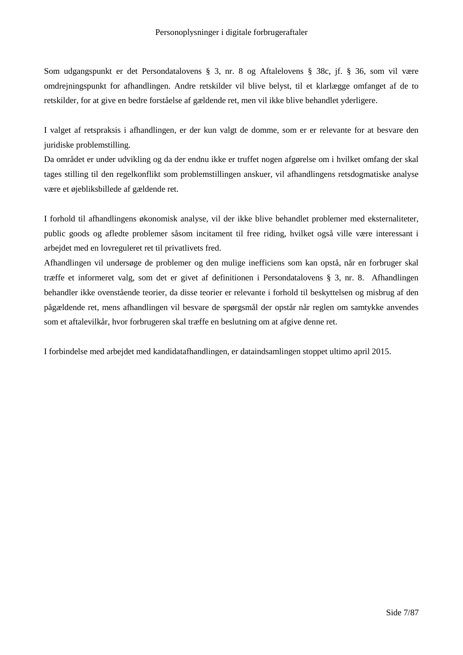Som udgangspunkt er det Persondatalovens § 3, nr. 8 og Aftalelovens § 38c, jf. § 36, som vil være omdrejningspunkt for afhandlingen. Andre retskilder vil blive belyst, til et klarlægge omfanget af de to retskilder, for at give en bedre forståelse af gældende ret, men vil ikke blive behandlet yderligere.

I valget af retspraksis i afhandlingen, er der kun valgt de domme, som er er relevante for at besvare den juridiske problemstilling.

Da området er under udvikling og da der endnu ikke er truffet nogen afgørelse om i hvilket omfang der skal tages stilling til den regelkonflikt som problemstillingen anskuer, vil afhandlingens retsdogmatiske analyse være et øjebliksbillede af gældende ret.

I forhold til afhandlingens økonomisk analyse, vil der ikke blive behandlet problemer med eksternaliteter, public goods og afledte problemer såsom incitament til free riding, hvilket også ville være interessant i arbejdet med en lovreguleret ret til privatlivets fred.

Afhandlingen vil undersøge de problemer og den mulige inefficiens som kan opstå, når en forbruger skal træffe et informeret valg, som det er givet af definitionen i Persondatalovens § 3, nr. 8. Afhandlingen behandler ikke ovenstående teorier, da disse teorier er relevante i forhold til beskyttelsen og misbrug af den pågældende ret, mens afhandlingen vil besvare de spørgsmål der opstår når reglen om samtykke anvendes som et aftalevilkår, hvor forbrugeren skal træffe en beslutning om at afgive denne ret.

I forbindelse med arbejdet med kandidatafhandlingen, er dataindsamlingen stoppet ultimo april 2015.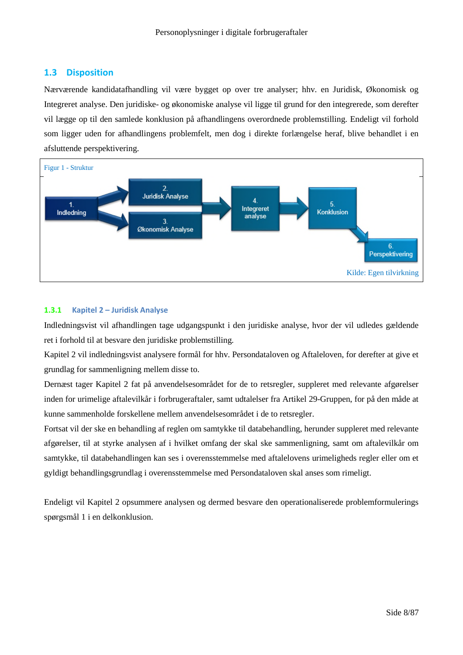## **1.3 Disposition**

Nærværende kandidatafhandling vil være bygget op over tre analyser; hhv. en Juridisk, Økonomisk og Integreret analyse. Den juridiske- og økonomiske analyse vil ligge til grund for den integrerede, som derefter vil lægge op til den samlede konklusion på afhandlingens overordnede problemstilling. Endeligt vil forhold som ligger uden for afhandlingens problemfelt, men dog i direkte forlængelse heraf, blive behandlet i en afsluttende perspektivering.



## **1.3.1 Kapitel 2 – Juridisk Analyse**

Indledningsvist vil afhandlingen tage udgangspunkt i den juridiske analyse, hvor der vil udledes gældende ret i forhold til at besvare den juridiske problemstilling.

Kapitel 2 vil indledningsvist analysere formål for hhv. Persondataloven og Aftaleloven, for derefter at give et grundlag for sammenligning mellem disse to.

Dernæst tager Kapitel 2 fat på anvendelsesområdet for de to retsregler, suppleret med relevante afgørelser inden for urimelige aftalevilkår i forbrugeraftaler, samt udtalelser fra Artikel 29-Gruppen, for på den måde at kunne sammenholde forskellene mellem anvendelsesområdet i de to retsregler.

Fortsat vil der ske en behandling af reglen om samtykke til databehandling, herunder suppleret med relevante afgørelser, til at styrke analysen af i hvilket omfang der skal ske sammenligning, samt om aftalevilkår om samtykke, til databehandlingen kan ses i overensstemmelse med aftalelovens urimeligheds regler eller om et gyldigt behandlingsgrundlag i overensstemmelse med Persondataloven skal anses som rimeligt.

Endeligt vil Kapitel 2 opsummere analysen og dermed besvare den operationaliserede problemformulerings spørgsmål 1 i en delkonklusion.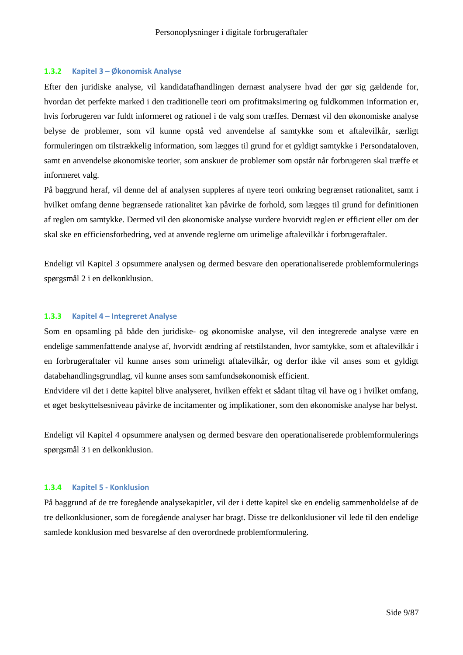#### **1.3.2 Kapitel 3 – Økonomisk Analyse**

Efter den juridiske analyse, vil kandidatafhandlingen dernæst analysere hvad der gør sig gældende for, hvordan det perfekte marked i den traditionelle teori om profitmaksimering og fuldkommen information er, hvis forbrugeren var fuldt informeret og rationel i de valg som træffes. Dernæst vil den økonomiske analyse belyse de problemer, som vil kunne opstå ved anvendelse af samtykke som et aftalevilkår, særligt formuleringen om tilstrækkelig information, som lægges til grund for et gyldigt samtykke i Persondataloven, samt en anvendelse økonomiske teorier, som anskuer de problemer som opstår når forbrugeren skal træffe et informeret valg.

På baggrund heraf, vil denne del af analysen suppleres af nyere teori omkring begrænset rationalitet, samt i hvilket omfang denne begrænsede rationalitet kan påvirke de forhold, som lægges til grund for definitionen af reglen om samtykke. Dermed vil den økonomiske analyse vurdere hvorvidt reglen er efficient eller om der skal ske en efficiensforbedring, ved at anvende reglerne om urimelige aftalevilkår i forbrugeraftaler.

Endeligt vil Kapitel 3 opsummere analysen og dermed besvare den operationaliserede problemformulerings spørgsmål 2 i en delkonklusion.

### **1.3.3 Kapitel 4 – Integreret Analyse**

Som en opsamling på både den juridiske- og økonomiske analyse, vil den integrerede analyse være en endelige sammenfattende analyse af, hvorvidt ændring af retstilstanden, hvor samtykke, som et aftalevilkår i en forbrugeraftaler vil kunne anses som urimeligt aftalevilkår, og derfor ikke vil anses som et gyldigt databehandlingsgrundlag, vil kunne anses som samfundsøkonomisk efficient.

Endvidere vil det i dette kapitel blive analyseret, hvilken effekt et sådant tiltag vil have og i hvilket omfang, et øget beskyttelsesniveau påvirke de incitamenter og implikationer, som den økonomiske analyse har belyst.

Endeligt vil Kapitel 4 opsummere analysen og dermed besvare den operationaliserede problemformulerings spørgsmål 3 i en delkonklusion.

## **1.3.4 Kapitel 5 - Konklusion**

På baggrund af de tre foregående analysekapitler, vil der i dette kapitel ske en endelig sammenholdelse af de tre delkonklusioner, som de foregående analyser har bragt. Disse tre delkonklusioner vil lede til den endelige samlede konklusion med besvarelse af den overordnede problemformulering.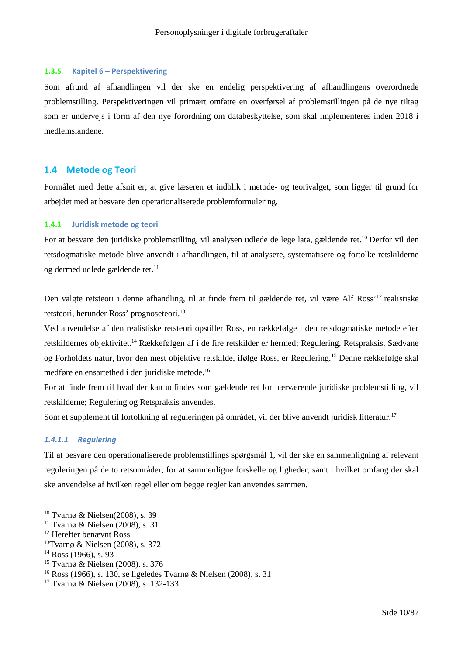#### **1.3.5 Kapitel 6 – Perspektivering**

Som afrund af afhandlingen vil der ske en endelig perspektivering af afhandlingens overordnede problemstilling. Perspektiveringen vil primært omfatte en overførsel af problemstillingen på de nye tiltag som er undervejs i form af den nye forordning om databeskyttelse, som skal implementeres inden 2018 i medlemslandene.

## **1.4 Metode og Teori**

Formålet med dette afsnit er, at give læseren et indblik i metode- og teorivalget, som ligger til grund for arbejdet med at besvare den operationaliserede problemformulering.

#### **1.4.1 Juridisk metode og teori**

For at besvare den juridiske problemstilling, vil analysen udlede de lege lata, gældende ret.<sup>10</sup> Derfor vil den retsdogmatiske metode blive anvendt i afhandlingen, til at analysere, systematisere og fortolke retskilderne og dermed udlede gældende ret.<sup>11</sup>

Den valgte retsteori i denne afhandling, til at finde frem til gældende ret, vil være Alf Ross'<sup>12</sup> realistiske retsteori, herunder Ross' prognoseteori.<sup>13</sup>

Ved anvendelse af den realistiske retsteori opstiller Ross, en rækkefølge i den retsdogmatiske metode efter retskildernes objektivitet.<sup>14</sup> Rækkefølgen af i de fire retskilder er hermed; Regulering, Retspraksis, Sædvane og Forholdets natur, hvor den mest objektive retskilde, ifølge Ross, er Regulering.<sup>15</sup> Denne rækkefølge skal medføre en ensartethed i den juridiske metode.<sup>16</sup>

For at finde frem til hvad der kan udfindes som gældende ret for nærværende juridiske problemstilling, vil retskilderne; Regulering og Retspraksis anvendes.

Som et supplement til fortolkning af reguleringen på området, vil der blive anvendt juridisk litteratur.<sup>17</sup>

## *1.4.1.1 Regulering*

Til at besvare den operationaliserede problemstillings spørgsmål 1, vil der ske en sammenligning af relevant reguleringen på de to retsområder, for at sammenligne forskelle og ligheder, samt i hvilket omfang der skal ske anvendelse af hvilken regel eller om begge regler kan anvendes sammen.

<sup>10</sup> Tvarnø & Nielsen(2008), s. 39

<sup>11</sup> Tvarnø & Nielsen (2008), s. 31

<sup>12</sup> Herefter benævnt Ross

<sup>13</sup>Tvarnø & Nielsen (2008), s. 372

 $14$  Ross (1966), s. 93

<sup>15</sup> Tvarnø & Nielsen (2008). s. 376

<sup>16</sup> Ross (1966), s. 130, se ligeledes Tvarnø & Nielsen (2008), s. 31

<sup>17</sup> Tvarnø & Nielsen (2008), s. 132-133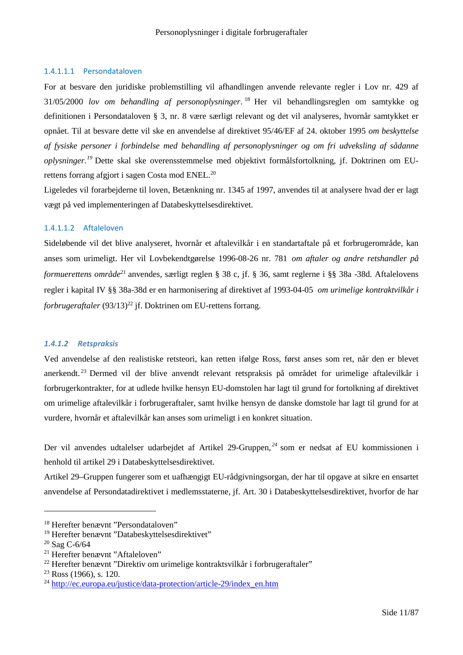## 1.4.1.1.1 Persondataloven

For at besvare den juridiske problemstilling vil afhandlingen anvende relevante regler i Lov nr. 429 af 31/05/2000 *lov om behandling af personoplysninger*. <sup>18</sup> Her vil behandlingsreglen om samtykke og definitionen i Persondataloven § 3, nr. 8 være særligt relevant og det vil analyseres, hvornår samtykket er opnået. Til at besvare dette vil ske en anvendelse af direktivet 95/46/EF af 24. oktober 1995 *om beskyttelse af fysiske personer i forbindelse med behandling af personoplysninger og om fri udveksling af sådanne oplysninger.<sup>19</sup>* Dette skal ske overensstemmelse med objektivt formålsfortolkning, jf. Doktrinen om EUrettens forrang afgjort i sagen Costa mod ENEL.<sup>20</sup>

Ligeledes vil forarbejderne til loven, Betænkning nr. 1345 af 1997, anvendes til at analysere hvad der er lagt vægt på ved implementeringen af Databeskyttelsesdirektivet.

## 1.4.1.1.2 Aftaleloven

Sideløbende vil det blive analyseret, hvornår et aftalevilkår i en standartaftale på et forbrugerområde, kan anses som urimeligt. Her vil Lovbekendtgørelse 1996-08-26 nr. 781 *om aftaler og andre retshandler på formuerettens område*<sup>21</sup> anvendes, særligt reglen § 38 c, jf. § 36, samt reglerne i §§ 38a -38d. Aftalelovens regler i kapital IV §§ 38a-38d er en harmonisering af direktivet af 1993-04-05 *om urimelige kontraktvilkår i forbrugeraftaler* (93/13)<sup>22</sup> if. Doktrinen om EU-rettens forrang.

## *1.4.1.2 Retspraksis*

Ved anvendelse af den realistiske retsteori, kan retten ifølge Ross, først anses som ret, når den er blevet anerkendt. <sup>23</sup> Dermed vil der blive anvendt relevant retspraksis på området for urimelige aftalevilkår i forbrugerkontrakter, for at udlede hvilke hensyn EU-domstolen har lagt til grund for fortolkning af direktivet om urimelige aftalevilkår i forbrugeraftaler, samt hvilke hensyn de danske domstole har lagt til grund for at vurdere, hvornår et aftalevilkår kan anses som urimeligt i en konkret situation.

Der vil anvendes udtalelser udarbejdet af Artikel 29-Gruppen, *<sup>24</sup>* som er nedsat af EU kommissionen i henhold til artikel 29 i Databeskyttelsesdirektivet.

Artikel 29–Gruppen fungerer som et uafhængigt EU-rådgivningsorgan, der har til opgave at sikre en ensartet anvendelse af Persondatadirektivet i medlemsstaterne, jf. Art. 30 i Databeskyttelsesdirektivet, hvorfor de har

<sup>18</sup> Herefter benævnt "Persondataloven"

<sup>&</sup>lt;sup>19</sup> Herefter benævnt "Databeskyttelsesdirektivet"

<sup>20</sup> Sag C-6/64

<sup>21</sup> Herefter benævnt "Aftaleloven"

<sup>22</sup> Herefter benævnt "Direktiv om urimelige kontraktsvilkår i forbrugeraftaler"

<sup>23</sup> Ross (1966), s. 120.

<sup>&</sup>lt;sup>24</sup> http://ec.europa.eu/justice/data-protection/article-29/index\_en.htm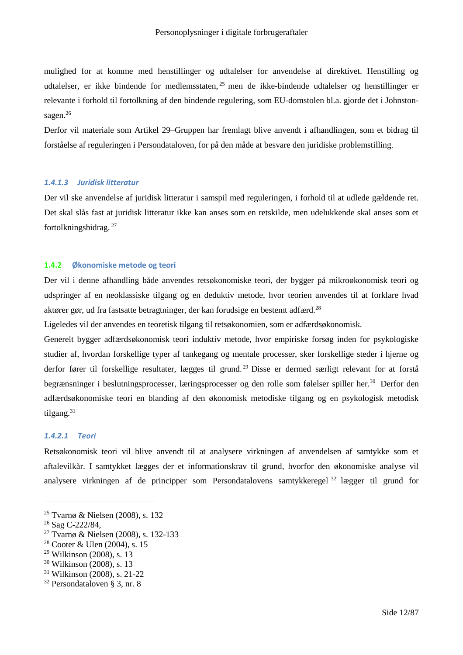mulighed for at komme med henstillinger og udtalelser for anvendelse af direktivet. Henstilling og udtalelser, er ikke bindende for medlemsstaten, <sup>25</sup> men de ikke-bindende udtalelser og henstillinger er relevante i forhold til fortolkning af den bindende regulering, som EU-domstolen bl.a. gjorde det i Johnstonsagen.<sup>26</sup>

Derfor vil materiale som Artikel 29–Gruppen har fremlagt blive anvendt i afhandlingen, som et bidrag til forståelse af reguleringen i Persondataloven, for på den måde at besvare den juridiske problemstilling.

## *1.4.1.3 Juridisk litteratur*

Der vil ske anvendelse af juridisk litteratur i samspil med reguleringen, i forhold til at udlede gældende ret. Det skal slås fast at juridisk litteratur ikke kan anses som en retskilde, men udelukkende skal anses som et fortolkningsbidrag. <sup>27</sup>

#### **1.4.2 Økonomiske metode og teori**

Der vil i denne afhandling både anvendes retsøkonomiske teori, der bygger på mikroøkonomisk teori og udspringer af en neoklassiske tilgang og en deduktiv metode, hvor teorien anvendes til at forklare hvad aktører gør, ud fra fastsatte betragtninger, der kan forudsige en bestemt adfærd.<sup>28</sup>

Ligeledes vil der anvendes en teoretisk tilgang til retsøkonomien, som er adfærdsøkonomisk.

Generelt bygger adfærdsøkonomisk teori induktiv metode, hvor empiriske forsøg inden for psykologiske studier af, hvordan forskellige typer af tankegang og mentale processer, sker forskellige steder i hjerne og derfor fører til forskellige resultater, lægges til grund. <sup>29</sup> Disse er dermed særligt relevant for at forstå begrænsninger i beslutningsprocesser, læringsprocesser og den rolle som følelser spiller her.<sup>30</sup> Derfor den adfærdsøkonomiske teori en blanding af den økonomisk metodiske tilgang og en psykologisk metodisk tilgang.<sup>31</sup>

#### *1.4.2.1 Teori*

Retsøkonomisk teori vil blive anvendt til at analysere virkningen af anvendelsen af samtykke som et aftalevilkår. I samtykket lægges der et informationskrav til grund, hvorfor den økonomiske analyse vil analysere virkningen af de principper som Persondatalovens samtykkeregel <sup>32</sup> lægger til grund for

<sup>25</sup> Tvarnø & Nielsen (2008), s. 132

<sup>26</sup> Sag C-222/84,

<sup>27</sup> Tvarnø & Nielsen (2008), s. 132-133

<sup>28</sup> Cooter & Ulen (2004), s. 15

<sup>29</sup> Wilkinson (2008), s. 13

<sup>30</sup> Wilkinson (2008), s. 13

<sup>31</sup> Wilkinson (2008), s. 21-22

<sup>32</sup> Persondataloven § 3, nr. 8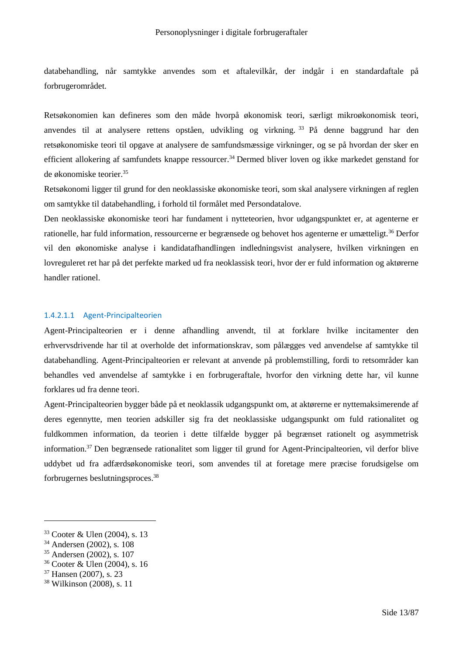databehandling, når samtykke anvendes som et aftalevilkår, der indgår i en standardaftale på forbrugerområdet.

Retsøkonomien kan defineres som den måde hvorpå økonomisk teori, særligt mikroøkonomisk teori, anvendes til at analysere rettens opståen, udvikling og virkning. <sup>33</sup> På denne baggrund har den retsøkonomiske teori til opgave at analysere de samfundsmæssige virkninger, og se på hvordan der sker en efficient allokering af samfundets knappe ressourcer.<sup>34</sup> Dermed bliver loven og ikke markedet genstand for de økonomiske teorier.<sup>35</sup>

Retsøkonomi ligger til grund for den neoklassiske økonomiske teori, som skal analysere virkningen af reglen om samtykke til databehandling, i forhold til formålet med Persondatalove.

Den neoklassiske økonomiske teori har fundament i nytteteorien, hvor udgangspunktet er, at agenterne er rationelle, har fuld information, ressourcerne er begrænsede og behovet hos agenterne er umætteligt.<sup>36</sup> Derfor vil den økonomiske analyse i kandidatafhandlingen indledningsvist analysere, hvilken virkningen en lovreguleret ret har på det perfekte marked ud fra neoklassisk teori, hvor der er fuld information og aktørerne handler rationel.

## 1.4.2.1.1 Agent-Principalteorien

Agent-Principalteorien er i denne afhandling anvendt, til at forklare hvilke incitamenter den erhvervsdrivende har til at overholde det informationskrav, som pålægges ved anvendelse af samtykke til databehandling. Agent-Principalteorien er relevant at anvende på problemstilling, fordi to retsområder kan behandles ved anvendelse af samtykke i en forbrugeraftale, hvorfor den virkning dette har, vil kunne forklares ud fra denne teori.

Agent-Principalteorien bygger både på et neoklassik udgangspunkt om, at aktørerne er nyttemaksimerende af deres egennytte, men teorien adskiller sig fra det neoklassiske udgangspunkt om fuld rationalitet og fuldkommen information, da teorien i dette tilfælde bygger på begrænset rationelt og asymmetrisk information.<sup>37</sup> Den begrænsede rationalitet som ligger til grund for Agent-Principalteorien, vil derfor blive uddybet ud fra adfærdsøkonomiske teori, som anvendes til at foretage mere præcise forudsigelse om forbrugernes beslutningsproces.<sup>38</sup>

<sup>36</sup> Cooter & Ulen (2004), s. 16

<sup>33</sup> Cooter & Ulen (2004), s. 13

<sup>34</sup> Andersen (2002), s. 108

<sup>35</sup> Andersen (2002), s. 107

<sup>37</sup> Hansen (2007), s. 23

<sup>38</sup> Wilkinson (2008), s. 11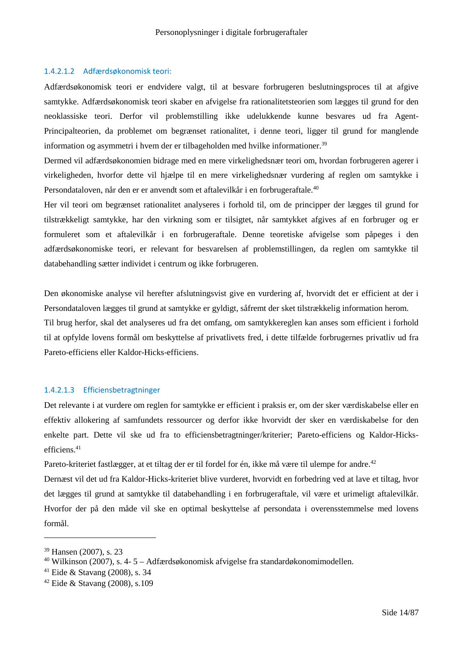#### 1.4.2.1.2 Adfærdsøkonomisk teori:

Adfærdsøkonomisk teori er endvidere valgt, til at besvare forbrugeren beslutningsproces til at afgive samtykke. Adfærdsøkonomisk teori skaber en afvigelse fra rationalitetsteorien som lægges til grund for den neoklassiske teori. Derfor vil problemstilling ikke udelukkende kunne besvares ud fra Agent-Principalteorien, da problemet om begrænset rationalitet, i denne teori, ligger til grund for manglende information og asymmetri i hvem der er tilbageholden med hvilke informationer.<sup>39</sup>

Dermed vil adfærdsøkonomien bidrage med en mere virkelighedsnær teori om, hvordan forbrugeren agerer i virkeligheden, hvorfor dette vil hjælpe til en mere virkelighedsnær vurdering af reglen om samtykke i Persondataloven, når den er er anvendt som et aftalevilkår i en forbrugeraftale.<sup>40</sup>

Her vil teori om begrænset rationalitet analyseres i forhold til, om de principper der lægges til grund for tilstrækkeligt samtykke, har den virkning som er tilsigtet, når samtykket afgives af en forbruger og er formuleret som et aftalevilkår i en forbrugeraftale. Denne teoretiske afvigelse som påpeges i den adfærdsøkonomiske teori, er relevant for besvarelsen af problemstillingen, da reglen om samtykke til databehandling sætter individet i centrum og ikke forbrugeren.

Den økonomiske analyse vil herefter afslutningsvist give en vurdering af, hvorvidt det er efficient at der i Persondataloven lægges til grund at samtykke er gyldigt, såfremt der sket tilstrækkelig information herom.

Til brug herfor, skal det analyseres ud fra det omfang, om samtykkereglen kan anses som efficient i forhold til at opfylde lovens formål om beskyttelse af privatlivets fred, i dette tilfælde forbrugernes privatliv ud fra Pareto-efficiens eller Kaldor-Hicks-efficiens.

#### 1.4.2.1.3 Efficiensbetragtninger

Det relevante i at vurdere om reglen for samtykke er efficient i praksis er, om der sker værdiskabelse eller en effektiv allokering af samfundets ressourcer og derfor ikke hvorvidt der sker en værdiskabelse for den enkelte part. Dette vil ske ud fra to efficiensbetragtninger/kriterier; Pareto-efficiens og Kaldor-Hicksefficiens<sup>41</sup>

Pareto-kriteriet fastlægger, at et tiltag der er til fordel for én, ikke må være til ulempe for andre.<sup>42</sup>

Dernæst vil det ud fra Kaldor-Hicks-kriteriet blive vurderet, hvorvidt en forbedring ved at lave et tiltag, hvor det lægges til grund at samtykke til databehandling i en forbrugeraftale, vil være et urimeligt aftalevilkår. Hvorfor der på den måde vil ske en optimal beskyttelse af persondata i overensstemmelse med lovens formål.

<sup>39</sup> Hansen (2007), s. 23

 $40$  Wilkinson (2007), s. 4-5 – Adfærdsøkonomisk afvigelse fra standardøkonomimodellen.

<sup>41</sup> Eide & Stavang (2008), s. 34

<sup>42</sup> Eide & Stavang (2008), s.109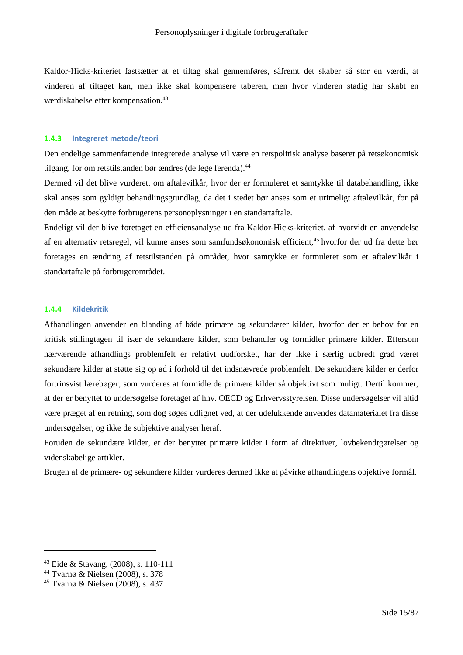Kaldor-Hicks-kriteriet fastsætter at et tiltag skal gennemføres, såfremt det skaber så stor en værdi, at vinderen af tiltaget kan, men ikke skal kompensere taberen, men hvor vinderen stadig har skabt en værdiskabelse efter kompensation.<sup>43</sup>

#### **1.4.3 Integreret metode/teori**

Den endelige sammenfattende integrerede analyse vil være en retspolitisk analyse baseret på retsøkonomisk tilgang, for om retstilstanden bør ændres (de lege ferenda).<sup>44</sup>

Dermed vil det blive vurderet, om aftalevilkår, hvor der er formuleret et samtykke til databehandling, ikke skal anses som gyldigt behandlingsgrundlag, da det i stedet bør anses som et urimeligt aftalevilkår, for på den måde at beskytte forbrugerens personoplysninger i en standartaftale.

Endeligt vil der blive foretaget en efficiensanalyse ud fra Kaldor-Hicks-kriteriet, af hvorvidt en anvendelse af en alternativ retsregel, vil kunne anses som samfundsøkonomisk efficient,<sup>45</sup> hvorfor der ud fra dette bør foretages en ændring af retstilstanden på området, hvor samtykke er formuleret som et aftalevilkår i standartaftale på forbrugerområdet.

## **1.4.4 Kildekritik**

Afhandlingen anvender en blanding af både primære og sekundærer kilder, hvorfor der er behov for en kritisk stillingtagen til især de sekundære kilder, som behandler og formidler primære kilder. Eftersom nærværende afhandlings problemfelt er relativt uudforsket, har der ikke i særlig udbredt grad været sekundære kilder at støtte sig op ad i forhold til det indsnævrede problemfelt. De sekundære kilder er derfor fortrinsvist lærebøger, som vurderes at formidle de primære kilder så objektivt som muligt. Dertil kommer, at der er benyttet to undersøgelse foretaget af hhv. OECD og Erhvervsstyrelsen. Disse undersøgelser vil altid være præget af en retning, som dog søges udlignet ved, at der udelukkende anvendes datamaterialet fra disse undersøgelser, og ikke de subjektive analyser heraf.

Foruden de sekundære kilder, er der benyttet primære kilder i form af direktiver, lovbekendtgørelser og videnskabelige artikler.

Brugen af de primære- og sekundære kilder vurderes dermed ikke at påvirke afhandlingens objektive formål.

<sup>43</sup> Eide & Stavang, (2008), s. 110-111

<sup>44</sup> Tvarnø & Nielsen (2008), s. 378

<sup>45</sup> Tvarnø & Nielsen (2008), s. 437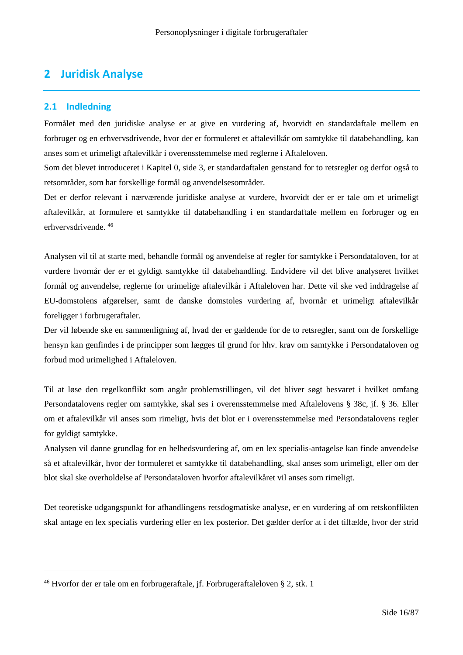# **2 Juridisk Analyse**

## **2.1 Indledning**

Formålet med den juridiske analyse er at give en vurdering af, hvorvidt en standardaftale mellem en forbruger og en erhvervsdrivende, hvor der er formuleret et aftalevilkår om samtykke til databehandling, kan anses som et urimeligt aftalevilkår i overensstemmelse med reglerne i Aftaleloven.

Som det blevet introduceret i Kapitel 0, side 3, er standardaftalen genstand for to retsregler og derfor også to retsområder, som har forskellige formål og anvendelsesområder.

Det er derfor relevant i nærværende juridiske analyse at vurdere, hvorvidt der er er tale om et urimeligt aftalevilkår, at formulere et samtykke til databehandling i en standardaftale mellem en forbruger og en erhvervsdrivende. <sup>46</sup>

Analysen vil til at starte med, behandle formål og anvendelse af regler for samtykke i Persondataloven, for at vurdere hvornår der er et gyldigt samtykke til databehandling. Endvidere vil det blive analyseret hvilket formål og anvendelse, reglerne for urimelige aftalevilkår i Aftaleloven har. Dette vil ske ved inddragelse af EU-domstolens afgørelser, samt de danske domstoles vurdering af, hvornår et urimeligt aftalevilkår foreligger i forbrugeraftaler.

Der vil løbende ske en sammenligning af, hvad der er gældende for de to retsregler, samt om de forskellige hensyn kan genfindes i de principper som lægges til grund for hhv. krav om samtykke i Persondataloven og forbud mod urimelighed i Aftaleloven.

Til at løse den regelkonflikt som angår problemstillingen, vil det bliver søgt besvaret i hvilket omfang Persondatalovens regler om samtykke, skal ses i overensstemmelse med Aftalelovens § 38c, jf. § 36. Eller om et aftalevilkår vil anses som rimeligt, hvis det blot er i overensstemmelse med Persondatalovens regler for gyldigt samtykke.

Analysen vil danne grundlag for en helhedsvurdering af, om en lex specialis-antagelse kan finde anvendelse så et aftalevilkår, hvor der formuleret et samtykke til databehandling, skal anses som urimeligt, eller om der blot skal ske overholdelse af Persondataloven hvorfor aftalevilkåret vil anses som rimeligt.

Det teoretiske udgangspunkt for afhandlingens retsdogmatiske analyse, er en vurdering af om retskonflikten skal antage en lex specialis vurdering eller en lex posterior. Det gælder derfor at i det tilfælde, hvor der strid

<sup>46</sup> Hvorfor der er tale om en forbrugeraftale, jf. Forbrugeraftaleloven § 2, stk. 1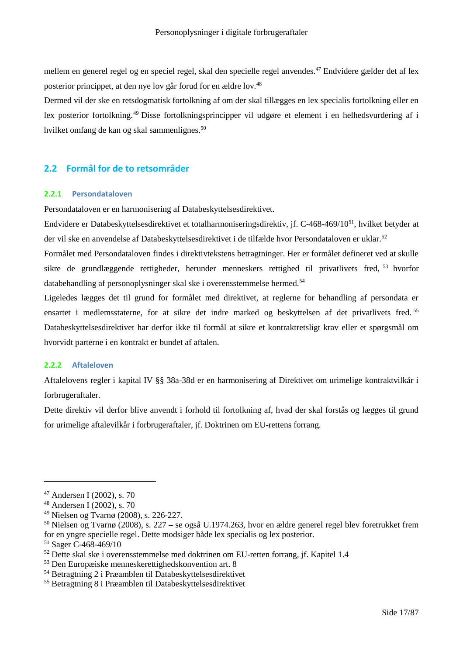mellem en generel regel og en speciel regel, skal den specielle regel anvendes.<sup>47</sup> Endvidere gælder det af lex posterior princippet, at den nye lov går forud for en ældre lov.<sup>48</sup>

Dermed vil der ske en retsdogmatisk fortolkning af om der skal tillægges en lex specialis fortolkning eller en lex posterior fortolkning.<sup>49</sup> Disse fortolkningsprincipper vil udgøre et element i en helhedsvurdering af i hvilket omfang de kan og skal sammenlignes.<sup>50</sup>

## **2.2 Formål for de to retsområder**

## **2.2.1 Persondataloven**

Persondataloven er en harmonisering af Databeskyttelsesdirektivet.

Endvidere er Databeskyttelsesdirektivet et totalharmoniseringsdirektiv, jf. C-468-469/10<sup>51</sup>, hvilket betyder at der vil ske en anvendelse af Databeskyttelsesdirektivet i de tilfælde hvor Persondataloven er uklar.<sup>52</sup>

Formålet med Persondataloven findes i direktivtekstens betragtninger. Her er formålet defineret ved at skulle sikre de grundlæggende rettigheder, herunder menneskers rettighed til privatlivets fred, <sup>53</sup> hvorfor databehandling af personoplysninger skal ske i overensstemmelse hermed.<sup>54</sup>

Ligeledes lægges det til grund for formålet med direktivet, at reglerne for behandling af persondata er ensartet i medlemsstaterne, for at sikre det indre marked og beskyttelsen af det privatlivets fred. <sup>55</sup> Databeskyttelsesdirektivet har derfor ikke til formål at sikre et kontraktretsligt krav eller et spørgsmål om hvorvidt parterne i en kontrakt er bundet af aftalen.

## **2.2.2 Aftaleloven**

Aftalelovens regler i kapital IV §§ 38a-38d er en harmonisering af Direktivet om urimelige kontraktvilkår i forbrugeraftaler.

Dette direktiv vil derfor blive anvendt i forhold til fortolkning af, hvad der skal forstås og lægges til grund for urimelige aftalevilkår i forbrugeraftaler, jf. Doktrinen om EU-rettens forrang.

<sup>47</sup> Andersen I (2002), s. 70

<sup>48</sup> Andersen I (2002), s. 70

<sup>49</sup> Nielsen og Tvarnø (2008), s. 226-227.

<sup>50</sup> Nielsen og Tvarnø (2008), s. 227 – se også U.1974.263, hvor en ældre generel regel blev foretrukket frem for en yngre specielle regel. Dette modsiger både lex specialis og lex posterior.

<sup>51</sup> Sager C-468-469/10

 $52$  Dette skal ske i overensstemmelse med doktrinen om EU-retten forrang, if. Kapitel 1.4

<sup>53</sup> Den Europæiske menneskerettighedskonvention art. 8

<sup>54</sup> Betragtning 2 i Præamblen til Databeskyttelsesdirektivet

<sup>55</sup> Betragtning 8 i Præamblen til Databeskyttelsesdirektivet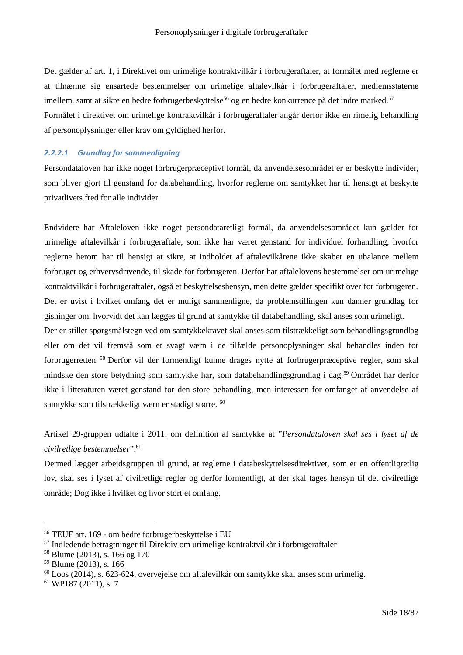Det gælder af art. 1, i Direktivet om urimelige kontraktvilkår i forbrugeraftaler, at formålet med reglerne er at tilnærme sig ensartede bestemmelser om urimelige aftalevilkår i forbrugeraftaler, medlemsstaterne imellem, samt at sikre en bedre forbrugerbeskyttelse<sup>56</sup> og en bedre konkurrence på det indre marked.<sup>57</sup> Formålet i direktivet om urimelige kontraktvilkår i forbrugeraftaler angår derfor ikke en rimelig behandling af personoplysninger eller krav om gyldighed herfor.

## *2.2.2.1 Grundlag for sammenligning*

Persondataloven har ikke noget forbrugerpræceptivt formål, da anvendelsesområdet er er beskytte individer, som bliver gjort til genstand for databehandling, hvorfor reglerne om samtykket har til hensigt at beskytte privatlivets fred for alle individer.

Endvidere har Aftaleloven ikke noget persondataretligt formål, da anvendelsesområdet kun gælder for urimelige aftalevilkår i forbrugeraftale, som ikke har været genstand for individuel forhandling, hvorfor reglerne herom har til hensigt at sikre, at indholdet af aftalevilkårene ikke skaber en ubalance mellem forbruger og erhvervsdrivende, til skade for forbrugeren. Derfor har aftalelovens bestemmelser om urimelige kontraktvilkår i forbrugeraftaler, også et beskyttelseshensyn, men dette gælder specifikt over for forbrugeren. Det er uvist i hvilket omfang det er muligt sammenligne, da problemstillingen kun danner grundlag for gisninger om, hvorvidt det kan lægges til grund at samtykke til databehandling, skal anses som urimeligt.

Der er stillet spørgsmålstegn ved om samtykkekravet skal anses som tilstrækkeligt som behandlingsgrundlag eller om det vil fremstå som et svagt værn i de tilfælde personoplysninger skal behandles inden for forbrugerretten. <sup>58</sup> Derfor vil der formentligt kunne drages nytte af forbrugerpræceptive regler, som skal mindske den store betydning som samtykke har, som databehandlingsgrundlag i dag.<sup>59</sup> Området har derfor ikke i litteraturen været genstand for den store behandling, men interessen for omfanget af anvendelse af samtykke som tilstrækkeligt værn er stadigt større. <sup>60</sup>

Artikel 29-gruppen udtalte i 2011, om definition af samtykke at "*Persondataloven skal ses i lyset af de civilretlige bestemmelser*".<sup>61</sup>

Dermed lægger arbejdsgruppen til grund, at reglerne i databeskyttelsesdirektivet, som er en offentligretlig lov, skal ses i lyset af civilretlige regler og derfor formentligt, at der skal tages hensyn til det civilretlige område; Dog ikke i hvilket og hvor stort et omfang.

<sup>56</sup> TEUF art. 169 - om bedre forbrugerbeskyttelse i EU

<sup>57</sup> Indledende betragtninger til Direktiv om urimelige kontraktvilkår i forbrugeraftaler

<sup>58</sup> Blume (2013), s. 166 og 170

<sup>59</sup> Blume (2013), s. 166

<sup>60</sup> Loos (2014), s. 623-624, overvejelse om aftalevilkår om samtykke skal anses som urimelig.

<sup>61</sup> WP187 (2011), s. 7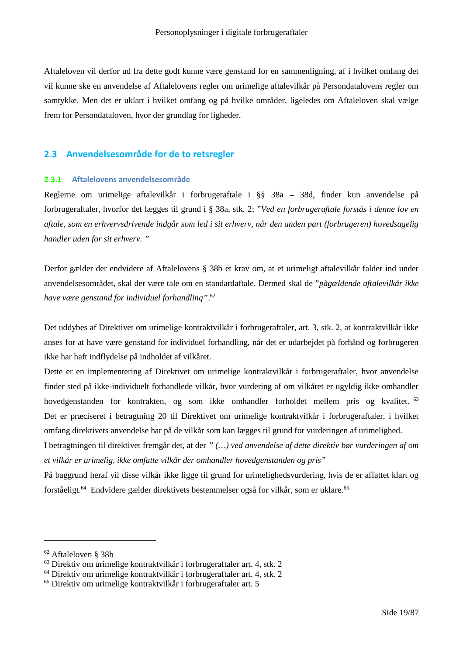Aftaleloven vil derfor ud fra dette godt kunne være genstand for en sammenligning, af i hvilket omfang det vil kunne ske en anvendelse af Aftalelovens regler om urimelige aftalevilkår på Persondatalovens regler om samtykke. Men det er uklart i hvilket omfang og på hvilke områder, ligeledes om Aftaleloven skal vælge frem for Persondataloven, hvor der grundlag for ligheder.

## **2.3 Anvendelsesområde for de to retsregler**

## **2.3.1 Aftalelovens anvendelsesområde**

Reglerne om urimelige aftalevilkår i forbrugeraftale i §§ 38a – 38d, finder kun anvendelse på forbrugeraftaler, hvorfor det lægges til grund i § 38a, stk. 2; "*Ved en forbrugeraftale forstås i denne lov en aftale, som en erhvervsdrivende indgår som led i sit erhverv, når den anden part (forbrugeren) hovedsagelig handler uden for sit erhverv. "*

Derfor gælder der endvidere af Aftalelovens § 38b et krav om, at et urimeligt aftalevilkår falder ind under anvendelsesområdet, skal der være tale om en standardaftale. Dermed skal de "*pågældende aftalevilkår ikke have være genstand for individuel forhandling"*. 62

Det uddybes af Direktivet om urimelige kontraktvilkår i forbrugeraftaler, art. 3, stk. 2, at kontraktvilkår ikke anses for at have være genstand for individuel forhandling, når det er udarbejdet på forhånd og forbrugeren ikke har haft indflydelse på indholdet af vilkåret.

Dette er en implementering af Direktivet om urimelige kontraktvilkår i forbrugeraftaler, hvor anvendelse finder sted på ikke-individuelt forhandlede vilkår, hvor vurdering af om vilkåret er ugyldig ikke omhandler hovedgenstanden for kontrakten, og som ikke omhandler forholdet mellem pris og kvalitet. <sup>63</sup> Det er præciseret i betragtning 20 til Direktivet om urimelige kontraktvilkår i forbrugeraftaler, i hvilket omfang direktivets anvendelse har på de vilkår som kan lægges til grund for vurderingen af urimelighed.

I betragtningen til direktivet fremgår det, at der *" (…) ved anvendelse af dette direktiv bør vurderingen af om et vilkår er urimelig, ikke omfatte vilkår der omhandler hovedgenstanden og pris"*

På baggrund heraf vil disse vilkår ikke ligge til grund for urimelighedsvurdering, hvis de er affattet klart og forståeligt.<sup>64</sup> Endvidere gælder direktivets bestemmelser også for vilkår, som er uklare.<sup>65</sup>

<sup>62</sup> Aftaleloven § 38b

<sup>63</sup> Direktiv om urimelige kontraktvilkår i forbrugeraftaler art. 4, stk. 2

<sup>64</sup> Direktiv om urimelige kontraktvilkår i forbrugeraftaler art. 4, stk. 2

<sup>65</sup> Direktiv om urimelige kontraktvilkår i forbrugeraftaler art. 5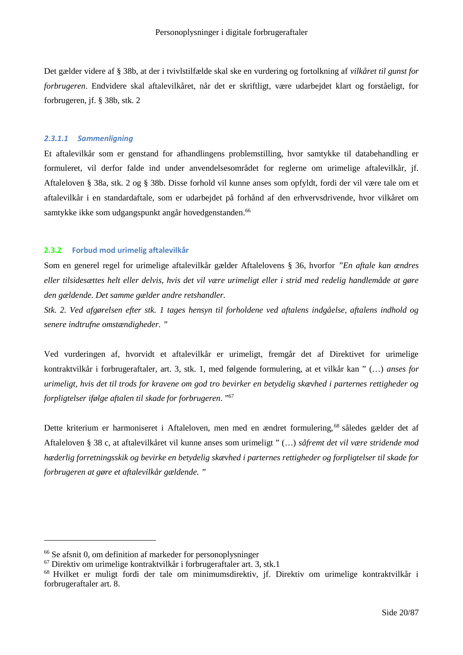Det gælder videre af § 38b, at der i tvivlstilfælde skal ske en vurdering og fortolkning af *vilkåret til gunst for forbrugeren*. Endvidere skal aftalevilkåret, når det er skriftligt, være udarbejdet klart og forståeligt, for forbrugeren, jf. § 38b, stk. 2

### *2.3.1.1 Sammenligning*

Et aftalevilkår som er genstand for afhandlingens problemstilling, hvor samtykke til databehandling er formuleret, vil derfor falde ind under anvendelsesområdet for reglerne om urimelige aftalevilkår, jf. Aftaleloven § 38a, stk. 2 og § 38b. Disse forhold vil kunne anses som opfyldt, fordi der vil være tale om et aftalevilkår i en standardaftale, som er udarbejdet på forhånd af den erhvervsdrivende, hvor vilkåret om samtykke ikke som udgangspunkt angår hovedgenstanden.<sup>66</sup>

## **2.3.2 Forbud mod urimelig aftalevilkår**

Som en generel regel for urimelige aftalevilkår gælder Aftalelovens § 36, hvorfor *"En aftale kan ændres eller tilsidesættes helt eller delvis, hvis det vil være urimeligt eller i strid med redelig handlemåde at gøre den gældende. Det samme gælder andre retshandler.*

*Stk. 2. Ved afgørelsen efter stk. 1 tages hensyn til forholdene ved aftalens indgåelse, aftalens indhold og senere indtrufne omstændigheder. "*

Ved vurderingen af, hvorvidt et aftalevilkår er urimeligt, fremgår det af Direktivet for urimelige kontraktvilkår i forbrugeraftaler, art. 3, stk. 1, med følgende formulering, at et vilkår kan " (…) *anses for urimeligt, hvis det til trods for kravene om god tro bevirker en betydelig skævhed i parternes rettigheder og forpligtelser ifølge aftalen til skade for forbrugeren*. "<sup>67</sup>

Dette kriterium er harmoniseret i Aftaleloven, men med en ændret formulering,<sup>68</sup> således gælder det af Aftaleloven § 38 c, at aftalevilkåret vil kunne anses som urimeligt " (…) *såfremt det vil være stridende mod hæderlig forretningsskik og bevirke en betydelig skævhed i parternes rettigheder og forpligtelser til skade for forbrugeren at gøre et aftalevilkår gældende. "*

<sup>66</sup> Se afsnit 0, om definition af markeder for personoplysninger

<sup>67</sup> Direktiv om urimelige kontraktvilkår i forbrugeraftaler art. 3, stk.1

<sup>68</sup> Hvilket er muligt fordi der tale om minimumsdirektiv, jf. Direktiv om urimelige kontraktvilkår i forbrugeraftaler art. 8.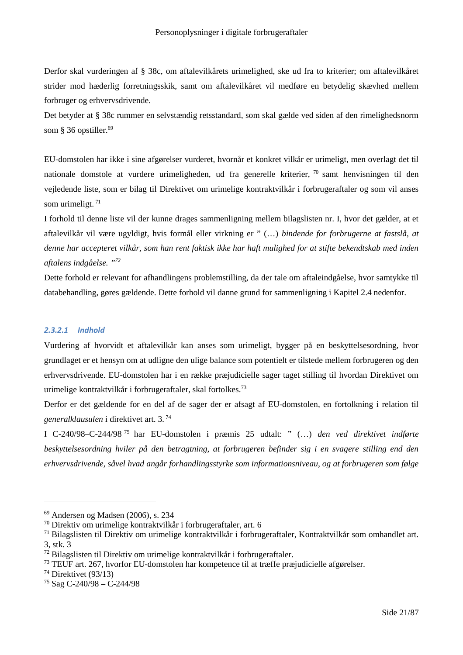Derfor skal vurderingen af § 38c, om aftalevilkårets urimelighed, ske ud fra to kriterier; om aftalevilkåret strider mod hæderlig forretningsskik, samt om aftalevilkåret vil medføre en betydelig skævhed mellem forbruger og erhvervsdrivende.

Det betyder at § 38c rummer en selvstændig retsstandard, som skal gælde ved siden af den rimelighedsnorm som § 36 opstiller.<sup>69</sup>

EU-domstolen har ikke i sine afgørelser vurderet, hvornår et konkret vilkår er urimeligt, men overlagt det til nationale domstole at vurdere urimeligheden, ud fra generelle kriterier, <sup>70</sup> samt henvisningen til den vejledende liste, som er bilag til Direktivet om urimelige kontraktvilkår i forbrugeraftaler og som vil anses som urimeligt.<sup>71</sup>

I forhold til denne liste vil der kunne drages sammenligning mellem bilagslisten nr. I, hvor det gælder, at et aftalevilkår vil være ugyldigt, hvis formål eller virkning er " (…) *bindende for forbrugerne at fastslå, at denne har accepteret vilkår, som han rent faktisk ikke har haft mulighed for at stifte bekendtskab med inden aftalens indgåelse. "<sup>72</sup>*

Dette forhold er relevant for afhandlingens problemstilling, da der tale om aftaleindgåelse, hvor samtykke til databehandling, gøres gældende. Dette forhold vil danne grund for sammenligning i Kapitel 2.4 nedenfor.

## *2.3.2.1 Indhold*

Vurdering af hvorvidt et aftalevilkår kan anses som urimeligt, bygger på en beskyttelsesordning, hvor grundlaget er et hensyn om at udligne den ulige balance som potentielt er tilstede mellem forbrugeren og den erhvervsdrivende. EU-domstolen har i en række præjudicielle sager taget stilling til hvordan Direktivet om urimelige kontraktvilkår i forbrugeraftaler, skal fortolkes.<sup>73</sup>

Derfor er det gældende for en del af de sager der er afsagt af EU-domstolen, en fortolkning i relation til *generalklausulen* i direktivet art. 3*.* 74

I C-240/98–C-244/98 <sup>75</sup> har EU-domstolen i præmis 25 udtalt: " (…) *den ved direktivet indførte beskyttelsesordning hviler på den betragtning, at forbrugeren befinder sig i en svagere stilling end den erhvervsdrivende, såvel hvad angår forhandlingsstyrke som informationsniveau, og at forbrugeren som følge*

<sup>69</sup> Andersen og Madsen (2006), s. 234

<sup>70</sup> Direktiv om urimelige kontraktvilkår i forbrugeraftaler, art. 6

<sup>71</sup> Bilagslisten til Direktiv om urimelige kontraktvilkår i forbrugeraftaler, Kontraktvilkår som omhandlet art. 3, stk. 3

<sup>72</sup> Bilagslisten til Direktiv om urimelige kontraktvilkår i forbrugeraftaler.

<sup>73</sup> TEUF art. 267, hvorfor EU-domstolen har kompetence til at træffe præjudicielle afgørelser.

<sup>74</sup> Direktivet (93/13)

<sup>75</sup> Sag C-240/98 – C-244/98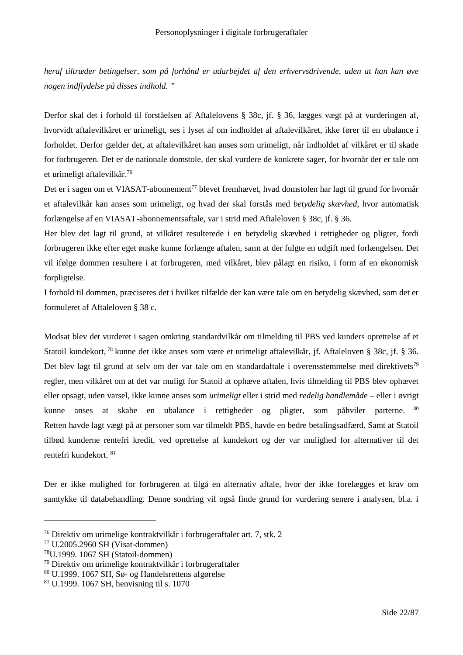*heraf tiltræder betingelser, som på forhånd er udarbejdet af den erhvervsdrivende, uden at han kan øve nogen indflydelse på disses indhold. "*

Derfor skal det i forhold til forståelsen af Aftalelovens § 38c, jf. § 36, lægges vægt på at vurderingen af, hvorvidt aftalevilkåret er urimeligt, ses i lyset af om indholdet af aftalevilkåret, ikke fører til en ubalance i forholdet. Derfor gælder det, at aftalevilkåret kan anses som urimeligt, når indholdet af vilkåret er til skade for forbrugeren. Det er de nationale domstole, der skal vurdere de konkrete sager, for hvornår der er tale om et urimeligt aftalevilkår.<sup>76</sup>

Det er i sagen om et VIASAT-abonnement<sup>77</sup> blevet fremhævet, hvad domstolen har lagt til grund for hvornår et aftalevilkår kan anses som urimeligt, og hvad der skal forstås med *betydelig skævhed*, hvor automatisk forlængelse af en VIASAT-abonnementsaftale, var i strid med Aftaleloven § 38c, jf. § 36.

Her blev det lagt til grund, at vilkåret resulterede i en betydelig skævhed i rettigheder og pligter, fordi forbrugeren ikke efter eget ønske kunne forlænge aftalen, samt at der fulgte en udgift med forlængelsen. Det vil ifølge dommen resultere i at forbrugeren, med vilkåret, blev pålagt en risiko, i form af en økonomisk forpligtelse.

I forhold til dommen, præciseres det i hvilket tilfælde der kan være tale om en betydelig skævhed, som det er formuleret af Aftaleloven § 38 c.

Modsat blev det vurderet i sagen omkring standardvilkår om tilmelding til PBS ved kunders oprettelse af et Statoil kundekort, <sup>78</sup> kunne det ikke anses som være et urimeligt aftalevilkår, jf. Aftaleloven § 38c, jf. § 36. Det blev lagt til grund at selv om der var tale om en standardaftale i overensstemmelse med direktivets<sup>79</sup> regler, men vilkåret om at det var muligt for Statoil at ophæve aftalen, hvis tilmelding til PBS blev ophævet eller opsagt, uden varsel, ikke kunne anses som *urimeligt* eller i strid med *redelig handlemåd*e – eller i øvrigt kunne anses at skabe en ubalance i rettigheder og pligter, som påhviler parterne. <sup>80</sup> Retten havde lagt vægt på at personer som var tilmeldt PBS, havde en bedre betalingsadfærd. Samt at Statoil tilbød kunderne rentefri kredit, ved oprettelse af kundekort og der var mulighed for alternativer til det rentefri kundekort. <sup>81</sup>

Der er ikke mulighed for forbrugeren at tilgå en alternativ aftale, hvor der ikke forelægges et krav om samtykke til databehandling. Denne sondring vil også finde grund for vurdering senere i analysen, bl.a. i

<sup>76</sup> Direktiv om urimelige kontraktvilkår i forbrugeraftaler art. 7, stk. 2

<sup>77</sup> U.2005.2960 SH (Visat-dommen)

<sup>78</sup>U.1999. 1067 SH (Statoil-dommen)

<sup>79</sup> Direktiv om urimelige kontraktvilkår i forbrugeraftaler

<sup>80</sup> U.1999. 1067 SH, Sø- og Handelsrettens afgørelse

<sup>81</sup> U.1999. 1067 SH, henvisning til s. 1070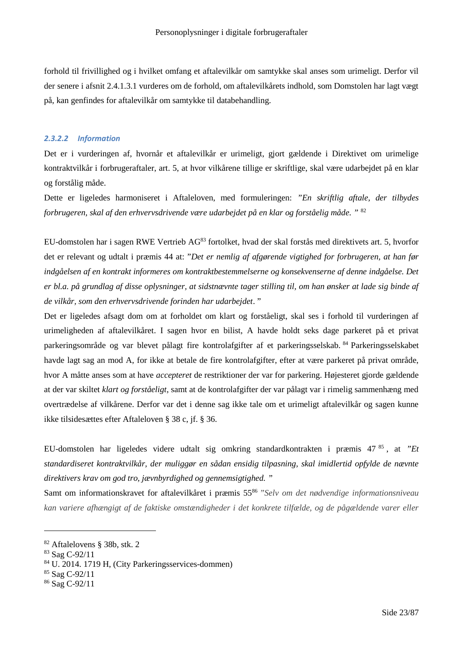forhold til frivillighed og i hvilket omfang et aftalevilkår om samtykke skal anses som urimeligt. Derfor vil der senere i afsnit 2.4.1.3.1 vurderes om de forhold, om aftalevilkårets indhold, som Domstolen har lagt vægt på, kan genfindes for aftalevilkår om samtykke til databehandling.

## *2.3.2.2 Information*

Det er i vurderingen af, hvornår et aftalevilkår er urimeligt, gjort gældende i Direktivet om urimelige kontraktvilkår i forbrugeraftaler, art. 5, at hvor vilkårene tillige er skriftlige, skal være udarbejdet på en klar og forstålig måde.

Dette er ligeledes harmoniseret i Aftaleloven, med formuleringen: *"En skriftlig aftale, der tilbydes forbrugeren, skal af den erhvervsdrivende være udarbejdet på en klar og forståelig måde. "* <sup>82</sup>

EU-domstolen har i sagen RWE Vertrieb AG<sup>83</sup> fortolket, hvad der skal forstås med direktivets art. 5, hvorfor det er relevant og udtalt i præmis 44 at: "*Det er nemlig af afgørende vigtighed for forbrugeren, at han før indgåelsen af en kontrakt informeres om kontraktbestemmelserne og konsekvenserne af denne indgåelse. Det er bl.a. på grundlag af disse oplysninger, at sidstnævnte tager stilling til, om han ønsker at lade sig binde af de vilkår, som den erhvervsdrivende forinden har udarbejdet*. "

Det er ligeledes afsagt dom om at forholdet om klart og forståeligt, skal ses i forhold til vurderingen af urimeligheden af aftalevilkåret. I sagen hvor en bilist, A havde holdt seks dage parkeret på et privat parkeringsområde og var blevet pålagt fire kontrolafgifter af et parkeringsselskab. <sup>84</sup> Parkeringsselskabet havde lagt sag an mod A, for ikke at betale de fire kontrolafgifter, efter at være parkeret på privat område, hvor A måtte anses som at have *accepteret* de restriktioner der var for parkering. Højesteret gjorde gældende at der var skiltet *klart og forståeligt*, samt at de kontrolafgifter der var pålagt var i rimelig sammenhæng med overtrædelse af vilkårene. Derfor var det i denne sag ikke tale om et urimeligt aftalevilkår og sagen kunne ikke tilsidesættes efter Aftaleloven § 38 c, jf. § 36.

EU-domstolen har ligeledes videre udtalt sig omkring standardkontrakten i præmis 47 <sup>85</sup> , at *"Et standardiseret kontraktvilkår, der muliggør en sådan ensidig tilpasning, skal imidlertid opfylde de nævnte direktivers krav om god tro, jævnbyrdighed og gennemsigtighed. "*

Samt om informationskravet for aftalevilkåret i præmis 55<sup>86</sup> *"Selv om det nødvendige informationsniveau kan variere afhængigt af de faktiske omstændigheder i det konkrete tilfælde, og de pågældende varer eller*

<sup>82</sup> Aftalelovens § 38b, stk. 2

<sup>83</sup> Sag C-92/11

<sup>84</sup> U. 2014. 1719 H, (City Parkeringsservices-dommen)

<sup>85</sup> Sag C-92/11

<sup>86</sup> Sag C-92/11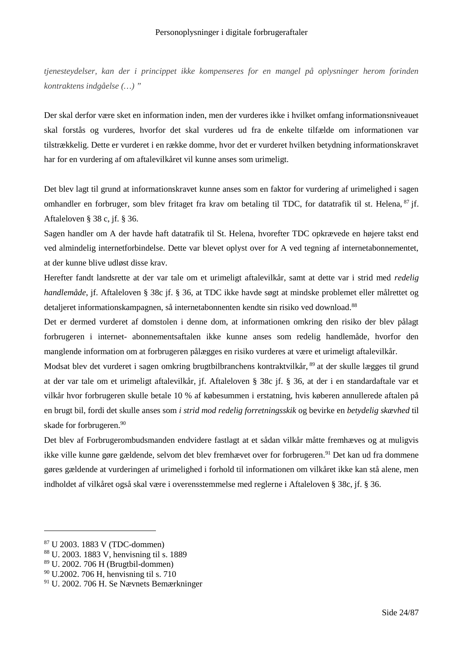*tjenesteydelser, kan der i princippet ikke kompenseres for en mangel på oplysninger herom forinden kontraktens indgåelse (…) "*

Der skal derfor være sket en information inden, men der vurderes ikke i hvilket omfang informationsniveauet skal forstås og vurderes, hvorfor det skal vurderes ud fra de enkelte tilfælde om informationen var tilstrækkelig. Dette er vurderet i en række domme, hvor det er vurderet hvilken betydning informationskravet har for en vurdering af om aftalevilkåret vil kunne anses som urimeligt.

Det blev lagt til grund at informationskravet kunne anses som en faktor for vurdering af urimelighed i sagen omhandler en forbruger, som blev fritaget fra krav om betaling til TDC, for datatrafik til st. Helena, <sup>87</sup> jf. Aftaleloven § 38 c, jf. § 36.

Sagen handler om A der havde haft datatrafik til St. Helena, hvorefter TDC opkrævede en højere takst end ved almindelig internetforbindelse. Dette var blevet oplyst over for A ved tegning af internetabonnementet, at der kunne blive udløst disse krav.

Herefter fandt landsrette at der var tale om et urimeligt aftalevilkår, samt at dette var i strid med *redelig handlemåde*, jf. Aftaleloven § 38c jf. § 36, at TDC ikke havde søgt at mindske problemet eller målrettet og detaljeret informationskampagnen, så internetabonnenten kendte sin risiko ved download.<sup>88</sup>

Det er dermed vurderet af domstolen i denne dom, at informationen omkring den risiko der blev pålagt forbrugeren i internet- abonnementsaftalen ikke kunne anses som redelig handlemåde, hvorfor den manglende information om at forbrugeren pålægges en risiko vurderes at være et urimeligt aftalevilkår.

Modsat blev det vurderet i sagen omkring brugtbilbranchens kontraktvilkår, <sup>89</sup> at der skulle lægges til grund at der var tale om et urimeligt aftalevilkår, jf. Aftaleloven § 38c jf. § 36, at der i en standardaftale var et vilkår hvor forbrugeren skulle betale 10 % af købesummen i erstatning, hvis køberen annullerede aftalen på en brugt bil, fordi det skulle anses som *i strid mod redelig forretningsskik* og bevirke en *betydelig skævhed* til skade for forbrugeren.<sup>90</sup>

Det blev af Forbrugerombudsmanden endvidere fastlagt at et sådan vilkår måtte fremhæves og at muligvis ikke ville kunne gøre gældende, selvom det blev fremhævet over for forbrugeren.<sup>91</sup> Det kan ud fra dommene gøres gældende at vurderingen af urimelighed i forhold til informationen om vilkåret ikke kan stå alene, men indholdet af vilkåret også skal være i overensstemmelse med reglerne i Aftaleloven § 38c, jf. § 36.

<sup>87</sup> U 2003. 1883 V (TDC-dommen)

<sup>88</sup> U. 2003. 1883 V, henvisning til s. 1889

<sup>89</sup> U. 2002. 706 H (Brugtbil-dommen)

<sup>90</sup> U.2002. 706 H, henvisning til s. 710

<sup>91</sup> U. 2002. 706 H. Se Nævnets Bemærkninger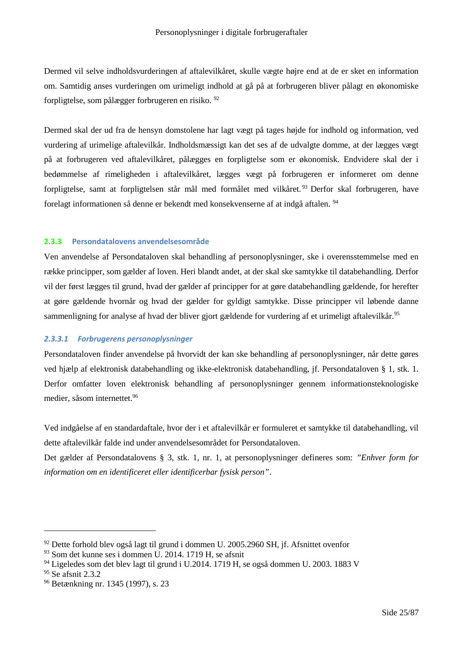Dermed vil selve indholdsvurderingen af aftalevilkåret, skulle vægte højre end at de er sket en information om. Samtidig anses vurderingen om urimeligt indhold at gå på at forbrugeren bliver pålagt en økonomiske forpligtelse, som pålægger forbrugeren en risiko. <sup>92</sup>

Dermed skal der ud fra de hensyn domstolene har lagt vægt på tages højde for indhold og information, ved vurdering af urimelige aftalevilkår. Indholdsmæssigt kan det ses af de udvalgte domme, at der lægges vægt på at forbrugeren ved aftalevilkåret, pålægges en forpligtelse som er økonomisk. Endvidere skal der i bedømmelse af rimeligheden i aftalevilkåret, lægges vægt på forbrugeren er informeret om denne forpligtelse, samt at forpligtelsen står mål med formålet med vilkåret. <sup>93</sup> Derfor skal forbrugeren, have forelagt informationen så denne er bekendt med konsekvenserne af at indgå aftalen. <sup>94</sup>

## **2.3.3 Persondatalovens anvendelsesområde**

Ven anvendelse af Persondataloven skal behandling af personoplysninger, ske i overensstemmelse med en række principper, som gælder af loven. Heri blandt andet, at der skal ske samtykke til databehandling. Derfor vil der først lægges til grund, hvad der gælder af principper for at gøre databehandling gældende, for herefter at gøre gældende hvornår og hvad der gælder for gyldigt samtykke. Disse principper vil løbende danne sammenligning for analyse af hvad der bliver gjort gældende for vurdering af et urimeligt aftalevilkår.<sup>95</sup>

## *2.3.3.1 Forbrugerens personoplysninger*

Persondataloven finder anvendelse på hvorvidt der kan ske behandling af personoplysninger, når dette gøres ved hjælp af elektronisk databehandling og ikke-elektronisk databehandling, jf. Persondataloven § 1, stk. 1. Derfor omfatter loven elektronisk behandling af personoplysninger gennem informationsteknologiske medier, såsom internettet.<sup>96</sup>

Ved indgåelse af en standardaftale, hvor der i et aftalevilkår er formuleret et samtykke til databehandling, vil dette aftalevilkår falde ind under anvendelsesområdet for Persondataloven.

Det gælder af Persondatalovens § 3, stk. 1, nr. 1, at personoplysninger defineres som: *"Enhver form for information om en identificeret eller identificerbar fysisk person"*.

<sup>92</sup> Dette forhold blev også lagt til grund i dommen U. 2005.2960 SH, jf. Afsnittet ovenfor

 $93$  Som det kunne ses i dommen U. 2014. 1719 H, se afsnit

<sup>&</sup>lt;sup>94</sup> Ligeledes som det blev lagt til grund i U.2014. 1719 H, se også dommen U. 2003. 1883 V

<sup>&</sup>lt;sup>95</sup> Se afsnit 2.3.2

<sup>96</sup> Betænkning nr. 1345 (1997), s. 23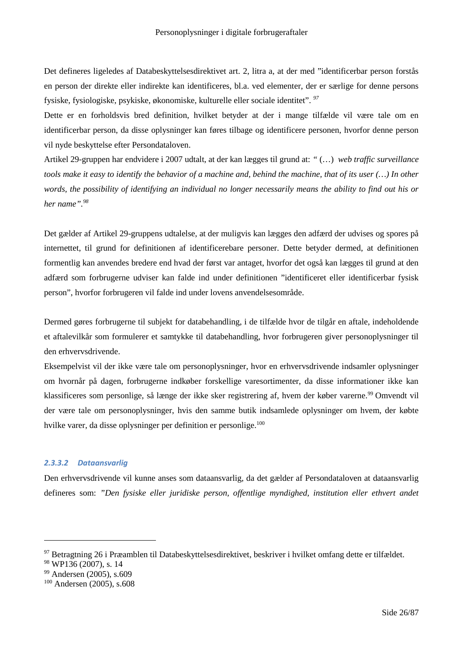Det defineres ligeledes af Databeskyttelsesdirektivet art. 2, litra a, at der med "identificerbar person forstås en person der direkte eller indirekte kan identificeres, bl.a. ved elementer, der er særlige for denne persons fysiske, fysiologiske, psykiske, økonomiske, kulturelle eller sociale identitet". *<sup>97</sup>*

Dette er en forholdsvis bred definition, hvilket betyder at der i mange tilfælde vil være tale om en identificerbar person, da disse oplysninger kan føres tilbage og identificere personen, hvorfor denne person vil nyde beskyttelse efter Persondataloven.

Artikel 29-gruppen har endvidere i 2007 udtalt, at der kan lægges til grund at: *"* (…) *web traffic surveillance tools make it easy to identify the behavior of a machine and, behind the machine, that of its user (…) In other words, the possibility of identifying an individual no longer necessarily means the ability to find out his or her name".<sup>98</sup>*

Det gælder af Artikel 29-gruppens udtalelse, at der muligvis kan lægges den adfærd der udvises og spores på internettet, til grund for definitionen af identificerebare personer. Dette betyder dermed, at definitionen formentlig kan anvendes bredere end hvad der først var antaget, hvorfor det også kan lægges til grund at den adfærd som forbrugerne udviser kan falde ind under definitionen "identificeret eller identificerbar fysisk person", hvorfor forbrugeren vil falde ind under lovens anvendelsesområde.

Dermed gøres forbrugerne til subjekt for databehandling, i de tilfælde hvor de tilgår en aftale, indeholdende et aftalevilkår som formulerer et samtykke til databehandling, hvor forbrugeren giver personoplysninger til den erhvervsdrivende.

Eksempelvist vil der ikke være tale om personoplysninger, hvor en erhvervsdrivende indsamler oplysninger om hvornår på dagen, forbrugerne indkøber forskellige varesortimenter, da disse informationer ikke kan klassificeres som personlige, så længe der ikke sker registrering af, hvem der køber varerne.<sup>99</sup> Omvendt vil der være tale om personoplysninger, hvis den samme butik indsamlede oplysninger om hvem, der købte hvilke varer, da disse oplysninger per definition er personlige.<sup>100</sup>

## *2.3.3.2 Dataansvarlig*

Den erhvervsdrivende vil kunne anses som dataansvarlig, da det gælder af Persondataloven at dataansvarlig defineres som: *"Den fysiske eller juridiske person, offentlige myndighed, institution eller ethvert andet*

<sup>97</sup> Betragtning 26 i Præamblen til Databeskyttelsesdirektivet, beskriver i hvilket omfang dette er tilfældet.

<sup>98</sup> WP136 (2007), s. 14

<sup>99</sup> Andersen (2005), s.609

<sup>100</sup> Andersen (2005), s.608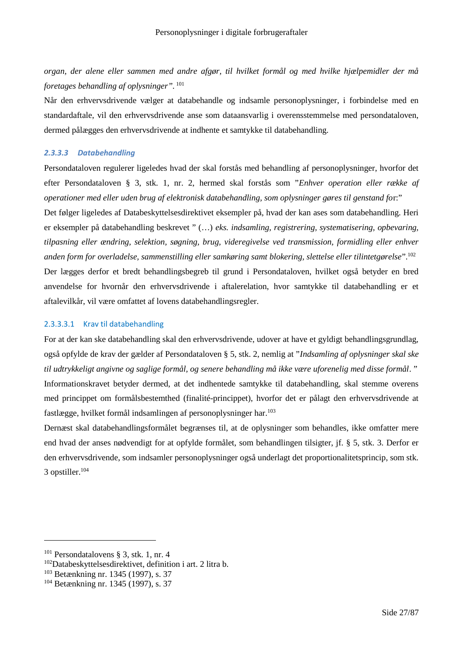*organ, der alene eller sammen med andre afgør, til hvilket formål og med hvilke hjælpemidler der må foretages behandling af oplysninger".* <sup>101</sup>

Når den erhvervsdrivende vælger at databehandle og indsamle personoplysninger, i forbindelse med en standardaftale, vil den erhvervsdrivende anse som dataansvarlig i overensstemmelse med persondataloven, dermed pålægges den erhvervsdrivende at indhente et samtykke til databehandling.

#### *2.3.3.3 Databehandling*

Persondataloven regulerer ligeledes hvad der skal forstås med behandling af personoplysninger, hvorfor det efter Persondataloven § 3, stk. 1, nr. 2, hermed skal forstås som "*Enhver operation eller række af operationer med eller uden brug af elektronisk databehandling, som oplysninger gøres til genstand fo*r:" Det følger ligeledes af Databeskyttelsesdirektivet eksempler på, hvad der kan ases som databehandling. Heri er eksempler på databehandling beskrevet " (…) *eks. indsamling, registrering, systematisering, opbevaring, tilpasning eller ændring, selektion, søgning, brug, videregivelse ved transmission, formidling eller enhver anden form for overladelse, sammenstilling eller samkøring samt blokering, slettelse eller tilintetgørelse*".<sup>102</sup> Der lægges derfor et bredt behandlingsbegreb til grund i Persondataloven, hvilket også betyder en bred anvendelse for hvornår den erhvervsdrivende i aftalerelation, hvor samtykke til databehandling er et aftalevilkår, vil være omfattet af lovens databehandlingsregler.

## 2.3.3.3.1 Krav til databehandling

For at der kan ske databehandling skal den erhvervsdrivende, udover at have et gyldigt behandlingsgrundlag, også opfylde de krav der gælder af Persondataloven § 5, stk. 2, nemlig at "*Indsamling af oplysninger skal ske til udtrykkeligt angivne og saglige formål, og senere behandling må ikke være uforenelig med disse formål*. "

Informationskravet betyder dermed, at det indhentede samtykke til databehandling, skal stemme overens med princippet om formålsbestemthed (finalité-princippet), hvorfor det er pålagt den erhvervsdrivende at fastlægge, hvilket formål indsamlingen af personoplysninger har.<sup>103</sup>

Dernæst skal databehandlingsformålet begrænses til, at de oplysninger som behandles, ikke omfatter mere end hvad der anses nødvendigt for at opfylde formålet, som behandlingen tilsigter, jf. § 5, stk. 3. Derfor er den erhvervsdrivende, som indsamler personoplysninger også underlagt det proportionalitetsprincip, som stk. 3 opstiller.<sup>104</sup>

<sup>101</sup> Persondatalovens § 3, stk. 1, nr. 4

<sup>102</sup>Databeskyttelsesdirektivet, definition i art. 2 litra b.

<sup>103</sup> Betænkning nr. 1345 (1997), s. 37

<sup>104</sup> Betænkning nr. 1345 (1997), s. 37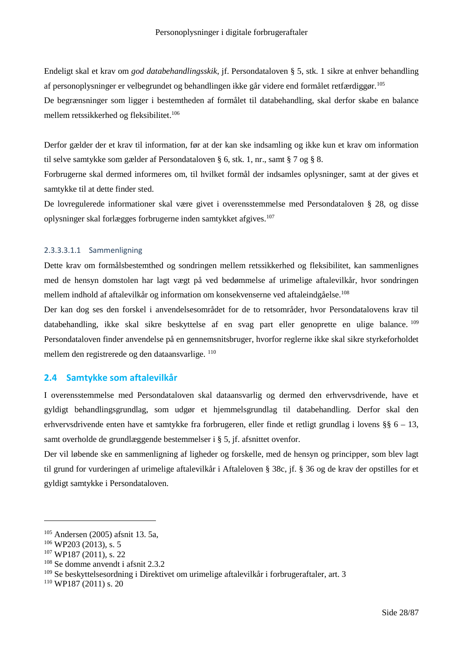Endeligt skal et krav om *god databehandlingsskik*, jf. Persondataloven § 5, stk. 1 sikre at enhver behandling af personoplysninger er velbegrundet og behandlingen ikke går videre end formålet retfærdiggør.<sup>105</sup> De begrænsninger som ligger i bestemtheden af formålet til databehandling, skal derfor skabe en balance mellem retssikkerhed og fleksibilitet.<sup>106</sup>

Derfor gælder der et krav til information, før at der kan ske indsamling og ikke kun et krav om information til selve samtykke som gælder af Persondataloven § 6, stk. 1, nr., samt § 7 og § 8.

Forbrugerne skal dermed informeres om, til hvilket formål der indsamles oplysninger, samt at der gives et samtykke til at dette finder sted.

De lovregulerede informationer skal være givet i overensstemmelse med Persondataloven § 28, og disse oplysninger skal forlægges forbrugerne inden samtykket afgives.<sup>107</sup>

## 2.3.3.3.1.1 Sammenligning

Dette krav om formålsbestemthed og sondringen mellem retssikkerhed og fleksibilitet, kan sammenlignes med de hensyn domstolen har lagt vægt på ved bedømmelse af urimelige aftalevilkår, hvor sondringen mellem indhold af aftalevilkår og information om konsekvenserne ved aftaleindgåelse.<sup>108</sup>

Der kan dog ses den forskel i anvendelsesområdet for de to retsområder, hvor Persondatalovens krav til databehandling, ikke skal sikre beskyttelse af en svag part eller genoprette en ulige balance. <sup>109</sup> Persondataloven finder anvendelse på en gennemsnitsbruger, hvorfor reglerne ikke skal sikre styrkeforholdet mellem den registrerede og den dataansvarlige. <sup>110</sup>

## **2.4 Samtykke som aftalevilkår**

I overensstemmelse med Persondataloven skal dataansvarlig og dermed den erhvervsdrivende, have et gyldigt behandlingsgrundlag, som udgør et hjemmelsgrundlag til databehandling. Derfor skal den erhvervsdrivende enten have et samtykke fra forbrugeren, eller finde et retligt grundlag i lovens §§ 6 – 13, samt overholde de grundlæggende bestemmelser i § 5, jf. afsnittet ovenfor.

Der vil løbende ske en sammenligning af ligheder og forskelle, med de hensyn og principper, som blev lagt til grund for vurderingen af urimelige aftalevilkår i Aftaleloven § 38c, jf. § 36 og de krav der opstilles for et gyldigt samtykke i Persondataloven.

<sup>105</sup> Andersen (2005) afsnit 13. 5a,

 $106$  WP203 (2013), s. 5

<sup>107</sup> WP187 (2011), s. 22

<sup>108</sup> Se domme anvendt i afsnit 2.3.2

<sup>109</sup> Se beskyttelsesordning i Direktivet om urimelige aftalevilkår i forbrugeraftaler, art. 3

<sup>110</sup> WP187 (2011) s. 20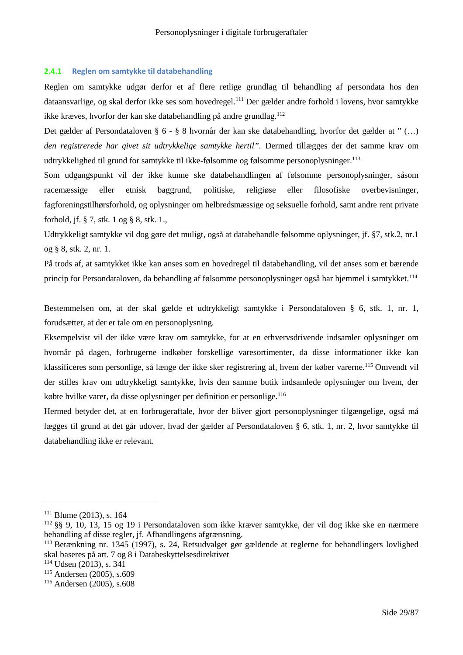### **2.4.1 Reglen om samtykke til databehandling**

Reglen om samtykke udgør derfor et af flere retlige grundlag til behandling af persondata hos den dataansvarlige, og skal derfor ikke ses som hovedregel.<sup>111</sup> Der gælder andre forhold i lovens, hvor samtykke ikke kræves, hvorfor der kan ske databehandling på andre grundlag.<sup>112</sup>

Det gælder af Persondataloven § 6 - § 8 hvornår der kan ske databehandling, hvorfor det gælder at " (…) *den registrerede har givet sit udtrykkelige samtykke hertil".* Dermed tillægges der det samme krav om udtrykkelighed til grund for samtykke til ikke-følsomme og følsomme personoplysninger.<sup>113</sup>

Som udgangspunkt vil der ikke kunne ske databehandlingen af følsomme personoplysninger, såsom racemæssige eller etnisk baggrund, politiske, religiøse eller filosofiske overbevisninger, fagforeningstilhørsforhold, og oplysninger om helbredsmæssige og seksuelle forhold, samt andre rent private forhold, jf. § 7, stk. 1 og § 8, stk. 1.,

Udtrykkeligt samtykke vil dog gøre det muligt, også at databehandle følsomme oplysninger, jf. §7, stk.2, nr.1 og § 8, stk. 2, nr. 1.

På trods af, at samtykket ikke kan anses som en hovedregel til databehandling, vil det anses som et bærende princip for Persondataloven, da behandling af følsomme personoplysninger også har hjemmel i samtykket.<sup>114</sup>

Bestemmelsen om, at der skal gælde et udtrykkeligt samtykke i Persondataloven § 6, stk. 1, nr. 1, forudsætter, at der er tale om en personoplysning.

Eksempelvist vil der ikke være krav om samtykke, for at en erhvervsdrivende indsamler oplysninger om hvornår på dagen, forbrugerne indkøber forskellige varesortimenter, da disse informationer ikke kan klassificeres som personlige, så længe der ikke sker registrering af, hvem der køber varerne.<sup>115</sup> Omvendt vil der stilles krav om udtrykkeligt samtykke, hvis den samme butik indsamlede oplysninger om hvem, der købte hvilke varer, da disse oplysninger per definition er personlige.<sup>116</sup>

Hermed betyder det, at en forbrugeraftale, hvor der bliver gjort personoplysninger tilgængelige, også må lægges til grund at det går udover, hvad der gælder af Persondataloven § 6, stk. 1, nr. 2, hvor samtykke til databehandling ikke er relevant.

 $111$  Blume (2013), s. 164

<sup>112</sup> §§ 9, 10, 13, 15 og 19 i Persondataloven som ikke kræver samtykke, der vil dog ikke ske en nærmere behandling af disse regler, jf. Afhandlingens afgrænsning.

<sup>113</sup> Betænkning nr. 1345 (1997), s. 24, Retsudvalget gør gældende at reglerne for behandlingers lovlighed skal baseres på art. 7 og 8 i Databeskyttelsesdirektivet

<sup>114</sup> Udsen (2013), s. 341

<sup>115</sup> Andersen (2005), s.609

<sup>116</sup> Andersen (2005), s.608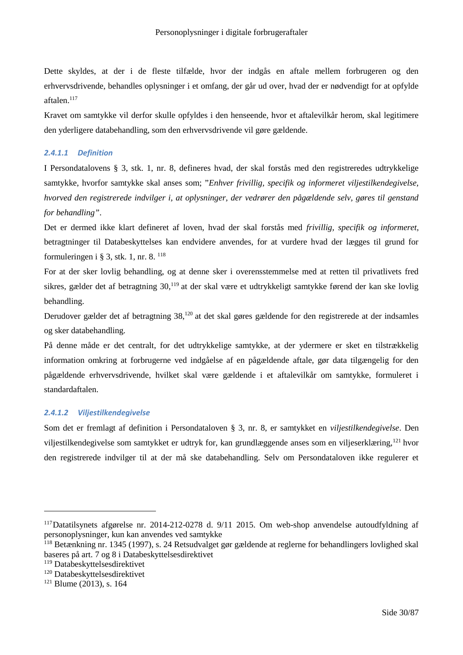Dette skyldes, at der i de fleste tilfælde, hvor der indgås en aftale mellem forbrugeren og den erhvervsdrivende, behandles oplysninger i et omfang, der går ud over, hvad der er nødvendigt for at opfylde aftalen.<sup>117</sup>

Kravet om samtykke vil derfor skulle opfyldes i den henseende, hvor et aftalevilkår herom, skal legitimere den yderligere databehandling, som den erhvervsdrivende vil gøre gældende.

## *2.4.1.1 Definition*

I Persondatalovens § 3, stk. 1, nr. 8, defineres hvad, der skal forstås med den registreredes udtrykkelige samtykke, hvorfor samtykke skal anses som; "*Enhver frivillig, specifik og informeret viljestilkendegivelse, hvorved den registrerede indvilger i, at oplysninger, der vedrører den pågældende selv, gøres til genstand for behandling"*.

Det er dermed ikke klart defineret af loven, hvad der skal forstås med *frivillig, specifik og informeret*, betragtninger til Databeskyttelses kan endvidere anvendes, for at vurdere hvad der lægges til grund for formuleringen i § 3, stk. 1, nr. 8.  $^{118}$ 

For at der sker lovlig behandling, og at denne sker i overensstemmelse med at retten til privatlivets fred sikres, gælder det af betragtning 30,<sup>119</sup> at der skal være et udtrykkeligt samtykke førend der kan ske lovlig behandling.

Derudover gælder det af betragtning 38,<sup>120</sup> at det skal gøres gældende for den registrerede at der indsamles og sker databehandling.

På denne måde er det centralt, for det udtrykkelige samtykke, at der ydermere er sket en tilstrækkelig information omkring at forbrugerne ved indgåelse af en pågældende aftale, gør data tilgængelig for den pågældende erhvervsdrivende, hvilket skal være gældende i et aftalevilkår om samtykke, formuleret i standardaftalen.

## *2.4.1.2 Viljestilkendegivelse*

Som det er fremlagt af definition i Persondataloven § 3, nr. 8, er samtykket en *viljestilkendegivelse*. Den viljestilkendegivelse som samtykket er udtryk for, kan grundlæggende anses som en viljeserklæring,<sup>121</sup> hvor den registrerede indvilger til at der må ske databehandling. Selv om Persondataloven ikke regulerer et

<sup>117</sup>Datatilsynets afgørelse nr. 2014-212-0278 d. 9/11 2015. Om web-shop anvendelse autoudfyldning af personoplysninger, kun kan anvendes ved samtykke

<sup>118</sup> Betænkning nr. 1345 (1997), s. 24 Retsudvalget gør gældende at reglerne for behandlingers lovlighed skal baseres på art. 7 og 8 i Databeskyttelsesdirektivet

<sup>119</sup> Databeskyttelsesdirektivet

<sup>120</sup> Databeskyttelsesdirektivet

<sup>121</sup> Blume (2013), s. 164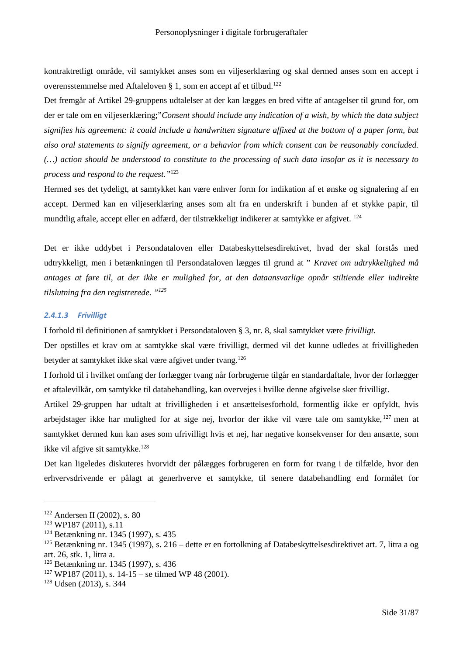kontraktretligt område, vil samtykket anses som en viljeserklæring og skal dermed anses som en accept i overensstemmelse med Aftaleloven § 1, som en accept af et tilbud.<sup>122</sup>

Det fremgår af Artikel 29-gruppens udtalelser at der kan lægges en bred vifte af antagelser til grund for, om der er tale om en viljeserklæring;"*Consent should include any indication of a wish, by which the data subject signifies his agreement: it could include a handwritten signature affixed at the bottom of a paper form, but also oral statements to signify agreement, or a behavior from which consent can be reasonably concluded. (…) action should be understood to constitute to the processing of such data insofar as it is necessary to process and respond to the request."*<sup>123</sup>

Hermed ses det tydeligt, at samtykket kan være enhver form for indikation af et ønske og signalering af en accept. Dermed kan en viljeserklæring anses som alt fra en underskrift i bunden af et stykke papir, til mundtlig aftale, accept eller en adfærd, der tilstrækkeligt indikerer at samtykke er afgivet. <sup>124</sup>

Det er ikke uddybet i Persondataloven eller Databeskyttelsesdirektivet, hvad der skal forstås med udtrykkeligt, men i betænkningen til Persondataloven lægges til grund at " *Kravet om udtrykkelighed må antages at føre til, at der ikke er mulighed for, at den dataansvarlige opnår stiltiende eller indirekte tilslutning fra den registrerede. "<sup>125</sup>*

#### *2.4.1.3 Frivilligt*

I forhold til definitionen af samtykket i Persondataloven § 3, nr. 8, skal samtykket være *frivilligt.*

Der opstilles et krav om at samtykke skal være frivilligt, dermed vil det kunne udledes at frivilligheden betyder at samtykket ikke skal være afgivet under tvang.<sup>126</sup>

I forhold til i hvilket omfang der forlægger tvang når forbrugerne tilgår en standardaftale, hvor der forlægger et aftalevilkår, om samtykke til databehandling, kan overvejes i hvilke denne afgivelse sker frivilligt.

Artikel 29-gruppen har udtalt at frivilligheden i et ansættelsesforhold, formentlig ikke er opfyldt, hvis arbejdstager ikke har mulighed for at sige nej, hvorfor der ikke vil være tale om samtykke, <sup>127</sup> men at samtykket dermed kun kan ases som ufrivilligt hvis et nej, har negative konsekvenser for den ansætte, som ikke vil afgive sit samtykke.<sup>128</sup>

Det kan ligeledes diskuteres hvorvidt der pålægges forbrugeren en form for tvang i de tilfælde, hvor den erhvervsdrivende er pålagt at generhverve et samtykke, til senere databehandling end formålet for

<sup>128</sup> Udsen (2013), s. 344

<sup>122</sup> Andersen II (2002), s. 80

<sup>123</sup> WP187 (2011), s.11

<sup>124</sup> Betænkning nr. 1345 (1997), s. 435

<sup>&</sup>lt;sup>125</sup> Betænkning nr. 1345 (1997), s. 216 – dette er en fortolkning af Databeskyttelsesdirektivet art. 7, litra a og art. 26, stk. 1, litra a.

<sup>126</sup> Betænkning nr. 1345 (1997), s. 436

 $127 \text{ W}P187 (2011), s. 14-15$  – se tilmed WP 48 (2001).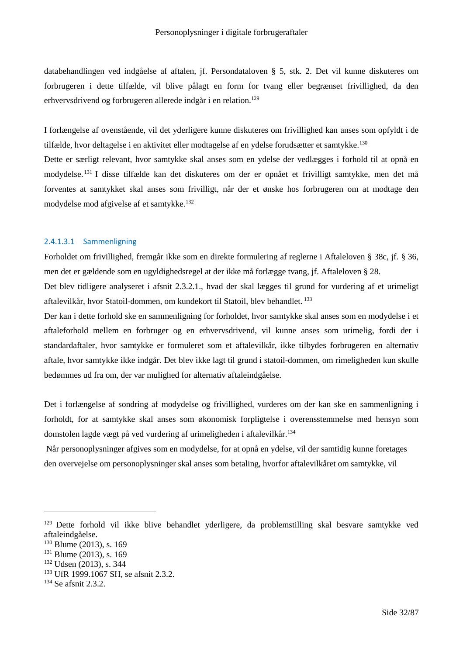databehandlingen ved indgåelse af aftalen, jf. Persondataloven § 5, stk. 2. Det vil kunne diskuteres om forbrugeren i dette tilfælde, vil blive pålagt en form for tvang eller begrænset frivillighed, da den erhvervsdrivend og forbrugeren allerede indgår i en relation.<sup>129</sup>

I forlængelse af ovenstående, vil det yderligere kunne diskuteres om frivillighed kan anses som opfyldt i de tilfælde, hvor deltagelse i en aktivitet eller modtagelse af en ydelse forudsætter et samtykke.<sup>130</sup>

Dette er særligt relevant, hvor samtykke skal anses som en ydelse der vedlægges i forhold til at opnå en modydelse. <sup>131</sup> I disse tilfælde kan det diskuteres om der er opnået et frivilligt samtykke, men det må forventes at samtykket skal anses som frivilligt, når der et ønske hos forbrugeren om at modtage den modydelse mod afgivelse af et samtykke.<sup>132</sup>

## 2.4.1.3.1 Sammenligning

Forholdet om frivillighed, fremgår ikke som en direkte formulering af reglerne i Aftaleloven § 38c, jf. § 36, men det er gældende som en ugyldighedsregel at der ikke må forlægge tvang, jf. Aftaleloven § 28.

Det blev tidligere analyseret i afsnit 2.3.2.1., hvad der skal lægges til grund for vurdering af et urimeligt aftalevilkår, hvor Statoil-dommen, om kundekort til Statoil, blev behandlet. <sup>133</sup>

Der kan i dette forhold ske en sammenligning for forholdet, hvor samtykke skal anses som en modydelse i et aftaleforhold mellem en forbruger og en erhvervsdrivend, vil kunne anses som urimelig, fordi der i standardaftaler, hvor samtykke er formuleret som et aftalevilkår, ikke tilbydes forbrugeren en alternativ aftale, hvor samtykke ikke indgår. Det blev ikke lagt til grund i statoil-dommen, om rimeligheden kun skulle bedømmes ud fra om, der var mulighed for alternativ aftaleindgåelse.

Det i forlængelse af sondring af modydelse og frivillighed, vurderes om der kan ske en sammenligning i forholdt, for at samtykke skal anses som økonomisk forpligtelse i overensstemmelse med hensyn som domstolen lagde vægt på ved vurdering af urimeligheden i aftalevilkår.<sup>134</sup>

Når personoplysninger afgives som en modydelse, for at opnå en ydelse, vil der samtidig kunne foretages den overvejelse om personoplysninger skal anses som betaling, hvorfor aftalevilkåret om samtykke, vil

<sup>&</sup>lt;sup>129</sup> Dette forhold vil ikke blive behandlet yderligere, da problemstilling skal besvare samtykke ved aftaleindgåelse.

<sup>&</sup>lt;sup>130</sup> Blume (2013), s. 169

<sup>&</sup>lt;sup>131</sup> Blume (2013), s. 169

<sup>132</sup> Udsen (2013), s. 344

<sup>133</sup> UfR 1999.1067 SH, se afsnit 2.3.2.

<sup>134</sup> Se afsnit 2.3.2.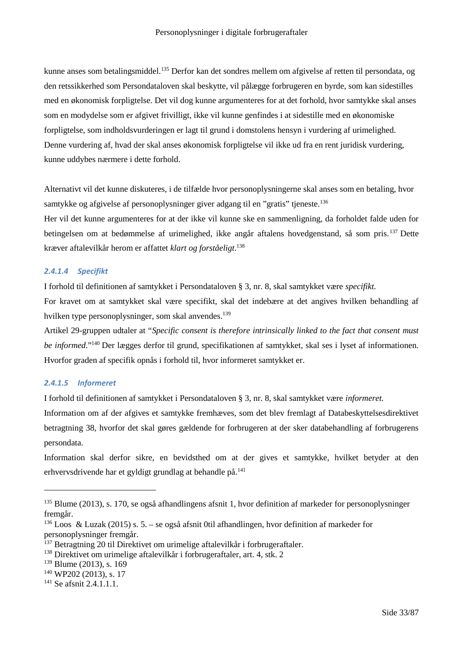kunne anses som betalingsmiddel.<sup>135</sup> Derfor kan det sondres mellem om afgivelse af retten til persondata, og den retssikkerhed som Persondataloven skal beskytte, vil pålægge forbrugeren en byrde, som kan sidestilles med en økonomisk forpligtelse. Det vil dog kunne argumenteres for at det forhold, hvor samtykke skal anses som en modydelse som er afgivet frivilligt, ikke vil kunne genfindes i at sidestille med en økonomiske forpligtelse, som indholdsvurderingen er lagt til grund i domstolens hensyn i vurdering af urimelighed. Denne vurdering af, hvad der skal anses økonomisk forpligtelse vil ikke ud fra en rent juridisk vurdering, kunne uddybes nærmere i dette forhold.

Alternativt vil det kunne diskuteres, i de tilfælde hvor personoplysningerne skal anses som en betaling, hvor samtykke og afgivelse af personoplysninger giver adgang til en "gratis" tjeneste.<sup>136</sup>

Her vil det kunne argumenteres for at der ikke vil kunne ske en sammenligning, da forholdet falde uden for betingelsen om at bedømmelse af urimelighed, ikke angår aftalens hovedgenstand, så som pris.<sup>137</sup> Dette kræver aftalevilkår herom er affattet *klart og forståeligt*. 138

## *2.4.1.4 Specifikt*

I forhold til definitionen af samtykket i Persondataloven § 3, nr. 8, skal samtykket være *specifikt.*

For kravet om at samtykket skal være specifikt, skal det indebære at det angives hvilken behandling af hvilken type personoplysninger, som skal anvendes.<sup>139</sup>

Artikel 29-gruppen udtaler at "*Specific consent is therefore intrinsically linked to the fact that consent must be informed*."<sup>140</sup> Der lægges derfor til grund, specifikationen af samtykket, skal ses i lyset af informationen. Hvorfor graden af specifik opnås i forhold til, hvor informeret samtykket er.

## *2.4.1.5 Informeret*

I forhold til definitionen af samtykket i Persondataloven § 3, nr. 8, skal samtykket være *informeret.*

Information om af der afgives et samtykke fremhæves, som det blev fremlagt af Databeskyttelsesdirektivet betragtning 38, hvorfor det skal gøres gældende for forbrugeren at der sker databehandling af forbrugerens persondata.

Information skal derfor sikre, en bevidsthed om at der gives et samtykke, hvilket betyder at den erhvervsdrivende har et gyldigt grundlag at behandle på.<sup>141</sup>

<sup>&</sup>lt;sup>135</sup> Blume (2013), s. 170, se også afhandlingens afsnit 1, hvor definition af markeder for personoplysninger fremgår.

<sup>&</sup>lt;sup>136</sup> Loos & Luzak (2015) s. 5. – se også afsnit 0til afhandlingen, hvor definition af markeder for personoplysninger fremgår.

<sup>&</sup>lt;sup>137</sup> Betragtning 20 til Direktivet om urimelige aftalevilkår i forbrugeraftaler.

<sup>138</sup> Direktivet om urimelige aftalevilkår i forbrugeraftaler, art. 4, stk. 2

<sup>&</sup>lt;sup>139</sup> Blume (2013), s. 169

<sup>140</sup> WP202 (2013), s. 17

<sup>&</sup>lt;sup>141</sup> Se afsnit 2.4.1.1.1.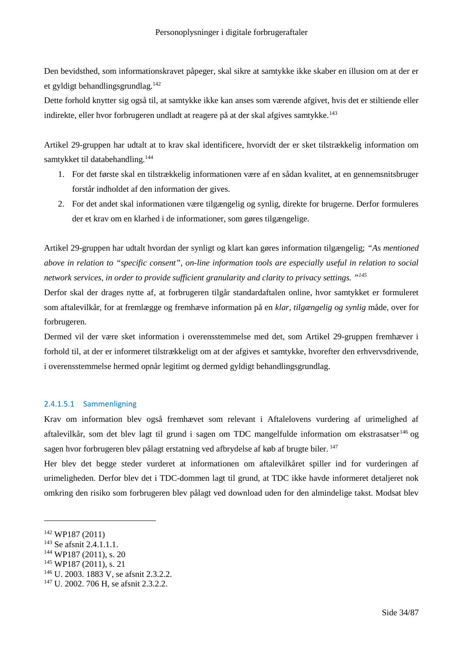Den bevidsthed, som informationskravet påpeger, skal sikre at samtykke ikke skaber en illusion om at der er et gyldigt behandlingsgrundlag.<sup>142</sup>

Dette forhold knytter sig også til, at samtykke ikke kan anses som værende afgivet, hvis det er stiltiende eller indirekte, eller hvor forbrugeren undladt at reagere på at der skal afgives samtykke.<sup>143</sup>

Artikel 29-gruppen har udtalt at to krav skal identificere, hvorvidt der er sket tilstrækkelig information om samtykket til databehandling.<sup>144</sup>

- 1. For det første skal en tilstrækkelig informationen være af en sådan kvalitet, at en gennemsnitsbruger forstår indholdet af den information der gives.
- 2. For det andet skal informationen være tilgængelig og synlig, direkte for brugerne. Derfor formuleres der et krav om en klarhed i de informationer, som gøres tilgængelige.

Artikel 29-gruppen har udtalt hvordan der synligt og klart kan gøres information tilgængelig; *"As mentioned above in relation to "specific consent", on-line information tools are especially useful in relation to social network services, in order to provide sufficient granularity and clarity to privacy settings. "<sup>145</sup>*

Derfor skal der drages nytte af, at forbrugeren tilgår standardaftalen online, hvor samtykket er formuleret som aftalevilkår, for at fremlægge og fremhæve information på en *klar, tilgængelig og synlig* måde, over for forbrugeren.

Dermed vil der være sket information i overensstemmelse med det, som Artikel 29-gruppen fremhæver i forhold til, at der er informeret tilstrækkeligt om at der afgives et samtykke, hvorefter den erhvervsdrivende, i overensstemmelse hermed opnår legitimt og dermed gyldigt behandlingsgrundlag.

## 2.4.1.5.1 Sammenligning

Krav om information blev også fremhævet som relevant i Aftalelovens vurdering af urimelighed af aftalevilkår, som det blev lagt til grund i sagen om TDC mangelfulde information om ekstrasatser<sup>146</sup> og sagen hvor forbrugeren blev pålagt erstatning ved afbrydelse af køb af brugte biler. <sup>147</sup>

Her blev det begge steder vurderet at informationen om aftalevilkåret spiller ind for vurderingen af urimeligheden. Derfor blev det i TDC-dommen lagt til grund, at TDC ikke havde informeret detaljeret nok omkring den risiko som forbrugeren blev pålagt ved download uden for den almindelige takst. Modsat blev

<sup>142</sup> WP187 (2011)

<sup>&</sup>lt;sup>143</sup> Se afsnit 2.4.1.1.1.

<sup>144</sup> WP187 (2011), s. 20

<sup>145</sup> WP187 (2011), s. 21

<sup>146</sup> U. 2003. 1883 V, se afsnit 2.3.2.2.

<sup>147</sup> U. 2002. 706 H, se afsnit 2.3.2.2.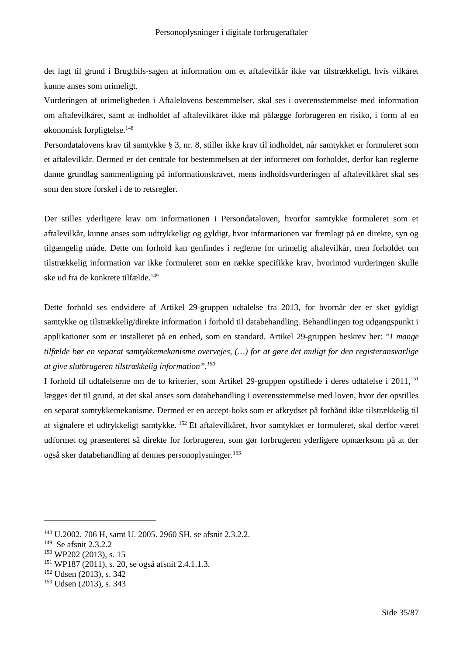det lagt til grund i Brugtbils-sagen at information om et aftalevilkår ikke var tilstrækkeligt, hvis vilkåret kunne anses som urimeligt.

Vurderingen af urimeligheden i Aftalelovens bestemmelser, skal ses i overensstemmelse med information om aftalevilkåret, samt at indholdet af aftalevilkåret ikke må pålægge forbrugeren en risiko, i form af en økonomisk forpligtelse.<sup>148</sup>

Persondatalovens krav til samtykke § 3, nr. 8, stiller ikke krav til indholdet, når samtykket er formuleret som et aftalevilkår. Dermed er det centrale for bestemmelsen at der informeret om forholdet, derfor kan reglerne danne grundlag sammenligning på informationskravet, mens indholdsvurderingen af aftalevilkåret skal ses som den store forskel i de to retsregler.

Der stilles yderligere krav om informationen i Persondataloven, hvorfor samtykke formuleret som et aftalevilkår, kunne anses som udtrykkeligt og gyldigt, hvor informationen var fremlagt på en direkte, syn og tilgængelig måde. Dette om forhold kan genfindes i reglerne for urimelig aftalevilkår, men forholdet om tilstrækkelig information var ikke formuleret som en række specifikke krav, hvorimod vurderingen skulle ske ud fra de konkrete tilfælde.<sup>149</sup>

Dette forhold ses endvidere af Artikel 29-gruppen udtalelse fra 2013, for hvornår der er sket gyldigt samtykke og tilstrækkelig/direkte information i forhold til databehandling. Behandlingen tog udgangspunkt i applikationer som er installeret på en enhed, som en standard. Artikel 29-gruppen beskrev her: "*I mange tilfælde bør en separat samtykkemekanisme overvejes, (…) for at gøre det muligt for den registeransvarlige at give slutbrugeren tilstrækkelig information".<sup>150</sup>*

I forhold til udtalelserne om de to kriterier, som Artikel 29-gruppen opstillede i deres udtalelse i 2011,<sup>151</sup> lægges det til grund, at det skal anses som databehandling i overensstemmelse med loven, hvor der opstilles en separat samtykkemekanisme. Dermed er en accept-boks som er afkrydset på forhånd ikke tilstrækkelig til at signalere et udtrykkeligt samtykke. <sup>152</sup> Et aftalevilkåret, hvor samtykket er formuleret, skal derfor været udformet og præsenteret så direkte for forbrugeren, som gør forbrugeren yderligere opmærksom på at der også sker databehandling af dennes personoplysninger.<sup>153</sup>

<sup>148</sup> U.2002. 706 H, samt U. 2005. 2960 SH, se afsnit 2.3.2.2.

<sup>149</sup> Se afsnit 2.3.2.2

<sup>150</sup> WP202 (2013), s. 15

<sup>151</sup> WP187 (2011), s. 20, se også afsnit 2.4.1.1.3.

<sup>152</sup> Udsen (2013), s. 342

<sup>153</sup> Udsen (2013), s. 343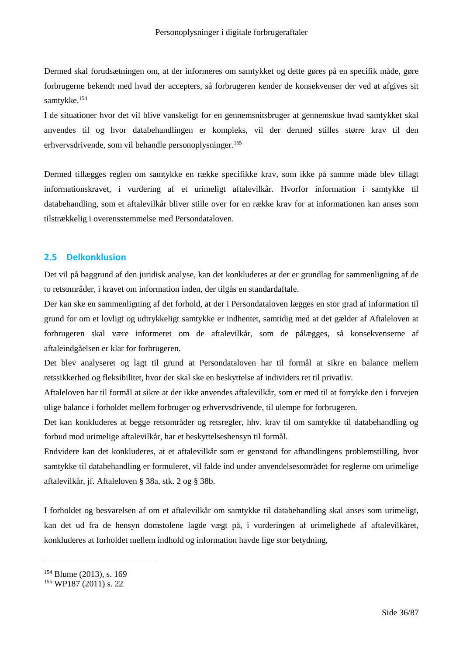Dermed skal forudsætningen om, at der informeres om samtykket og dette gøres på en specifik måde, gøre forbrugerne bekendt med hvad der accepters, så forbrugeren kender de konsekvenser der ved at afgives sit samtykke.<sup>154</sup>

I de situationer hvor det vil blive vanskeligt for en gennemsnitsbruger at gennemskue hvad samtykket skal anvendes til og hvor databehandlingen er kompleks, vil der dermed stilles større krav til den erhvervsdrivende, som vil behandle personoplysninger.<sup>155</sup>

Dermed tillægges reglen om samtykke en række specifikke krav, som ikke på samme måde blev tillagt informationskravet, i vurdering af et urimeligt aftalevilkår. Hvorfor information i samtykke til databehandling, som et aftalevilkår bliver stille over for en række krav for at informationen kan anses som tilstrækkelig i overensstemmelse med Persondataloven.

# **2.5 Delkonklusion**

Det vil på baggrund af den juridisk analyse, kan det konkluderes at der er grundlag for sammenligning af de to retsområder, i kravet om information inden, der tilgås en standardaftale.

Der kan ske en sammenligning af det forhold, at der i Persondataloven lægges en stor grad af information til grund for om et lovligt og udtrykkeligt samtykke er indhentet, samtidig med at det gælder af Aftaleloven at forbrugeren skal være informeret om de aftalevilkår, som de pålægges, så konsekvenserne af aftaleindgåelsen er klar for forbrugeren.

Det blev analyseret og lagt til grund at Persondataloven har til formål at sikre en balance mellem retssikkerhed og fleksibilitet, hvor der skal ske en beskyttelse af individers ret til privatliv.

Aftaleloven har til formål at sikre at der ikke anvendes aftalevilkår, som er med til at forrykke den i forvejen ulige balance i forholdet mellem forbruger og erhvervsdrivende, til ulempe for forbrugeren.

Det kan konkluderes at begge retsområder og retsregler, hhv. krav til om samtykke til databehandling og forbud mod urimelige aftalevilkår, har et beskyttelseshensyn til formål.

Endvidere kan det konkluderes, at et aftalevilkår som er genstand for afhandlingens problemstilling, hvor samtykke til databehandling er formuleret, vil falde ind under anvendelsesområdet for reglerne om urimelige aftalevilkår, jf. Aftaleloven § 38a, stk. 2 og § 38b.

I forholdet og besvarelsen af om et aftalevilkår om samtykke til databehandling skal anses som urimeligt, kan det ud fra de hensyn domstolene lagde vægt på, i vurderingen af urimelighede af aftalevilkåret, konkluderes at forholdet mellem indhold og information havde lige stor betydning,

<sup>154</sup> Blume (2013), s. 169

<sup>155</sup> WP187 (2011) s. 22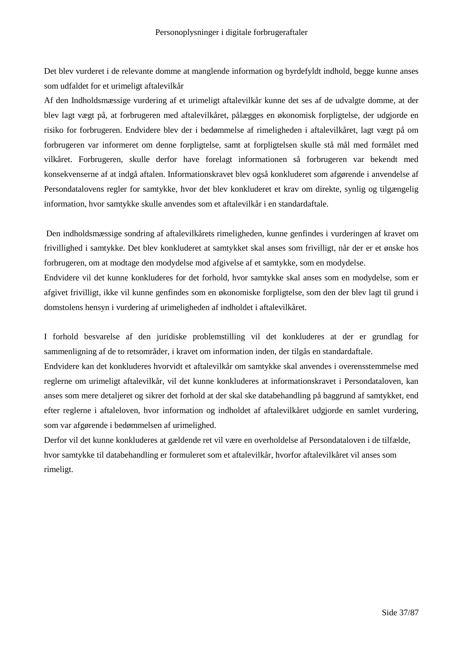Det blev vurderet i de relevante domme at manglende information og byrdefyldt indhold, begge kunne anses som udfaldet for et urimeligt aftalevilkår

Af den Indholdsmæssige vurdering af et urimeligt aftalevilkår kunne det ses af de udvalgte domme, at der blev lagt vægt på, at forbrugeren med aftalevilkåret, pålægges en økonomisk forpligtelse, der udgjorde en risiko for forbrugeren. Endvidere blev der i bedømmelse af rimeligheden i aftalevilkåret, lagt vægt på om forbrugeren var informeret om denne forpligtelse, samt at forpligtelsen skulle stå mål med formålet med vilkåret. Forbrugeren, skulle derfor have forelagt informationen så forbrugeren var bekendt med konsekvenserne af at indgå aftalen. Informationskravet blev også konkluderet som afgørende i anvendelse af Persondatalovens regler for samtykke, hvor det blev konkluderet et krav om direkte, synlig og tilgængelig information, hvor samtykke skulle anvendes som et aftalevilkår i en standardaftale.

Den indholdsmæssige sondring af aftalevilkårets rimeligheden, kunne genfindes i vurderingen af kravet om frivillighed i samtykke. Det blev konkluderet at samtykket skal anses som frivilligt, når der er et ønske hos forbrugeren, om at modtage den modydelse mod afgivelse af et samtykke, som en modydelse.

Endvidere vil det kunne konkluderes for det forhold, hvor samtykke skal anses som en modydelse, som er afgivet frivilligt, ikke vil kunne genfindes som en økonomiske forpligtelse, som den der blev lagt til grund i domstolens hensyn i vurdering af urimeligheden af indholdet i aftalevilkåret.

I forhold besvarelse af den juridiske problemstilling vil det konkluderes at der er grundlag for sammenligning af de to retsområder, i kravet om information inden, der tilgås en standardaftale.

Endvidere kan det konkluderes hvorvidt et aftalevilkår om samtykke skal anvendes i overensstemmelse med reglerne om urimeligt aftalevilkår, vil det kunne konkluderes at informationskravet i Persondataloven, kan anses som mere detaljeret og sikrer det forhold at der skal ske databehandling på baggrund af samtykket, end efter reglerne i aftaleloven, hvor information og indholdet af aftalevilkåret udgjorde en samlet vurdering, som var afgørende i bedømmelsen af urimelighed.

Derfor vil det kunne konkluderes at gældende ret vil være en overholdelse af Persondataloven i de tilfælde, hvor samtykke til databehandling er formuleret som et aftalevilkår, hvorfor aftalevilkåret vil anses som rimeligt.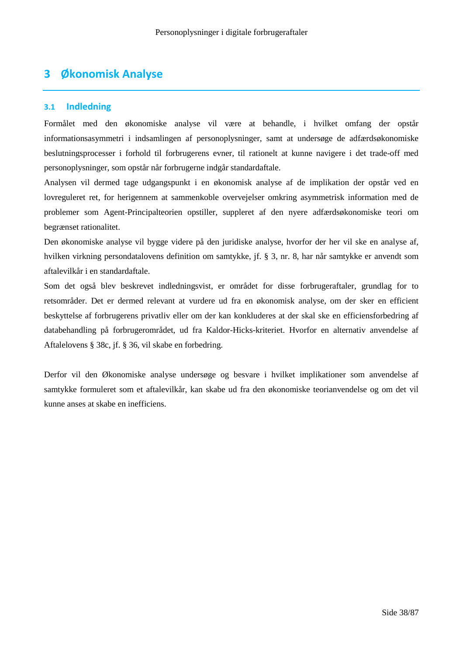# **3 Økonomisk Analyse**

# **3.1 Indledning**

Formålet med den økonomiske analyse vil være at behandle, i hvilket omfang der opstår informationsasymmetri i indsamlingen af personoplysninger, samt at undersøge de adfærdsøkonomiske beslutningsprocesser i forhold til forbrugerens evner, til rationelt at kunne navigere i det trade-off med personoplysninger, som opstår når forbrugerne indgår standardaftale.

Analysen vil dermed tage udgangspunkt i en økonomisk analyse af de implikation der opstår ved en lovreguleret ret, for herigennem at sammenkoble overvejelser omkring asymmetrisk information med de problemer som Agent-Principalteorien opstiller, suppleret af den nyere adfærdsøkonomiske teori om begrænset rationalitet.

Den økonomiske analyse vil bygge videre på den juridiske analyse, hvorfor der her vil ske en analyse af, hvilken virkning persondatalovens definition om samtykke, jf. § 3, nr. 8, har når samtykke er anvendt som aftalevilkår i en standardaftale.

Som det også blev beskrevet indledningsvist, er området for disse forbrugeraftaler, grundlag for to retsområder. Det er dermed relevant at vurdere ud fra en økonomisk analyse, om der sker en efficient beskyttelse af forbrugerens privatliv eller om der kan konkluderes at der skal ske en efficiensforbedring af databehandling på forbrugerområdet, ud fra Kaldor-Hicks-kriteriet. Hvorfor en alternativ anvendelse af Aftalelovens § 38c, jf. § 36, vil skabe en forbedring.

Derfor vil den Økonomiske analyse undersøge og besvare i hvilket implikationer som anvendelse af samtykke formuleret som et aftalevilkår, kan skabe ud fra den økonomiske teorianvendelse og om det vil kunne anses at skabe en inefficiens.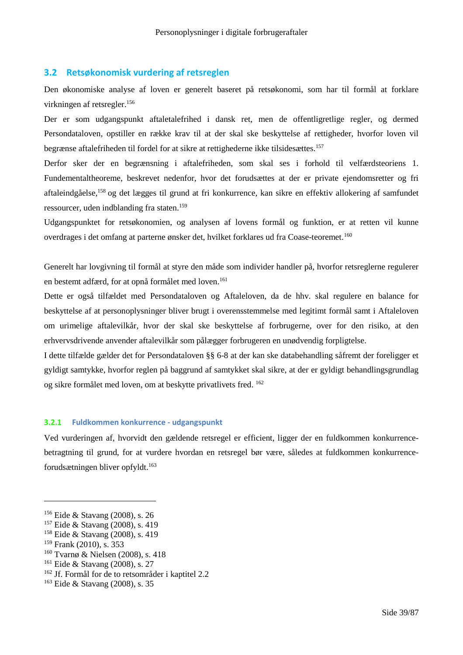## **3.2 Retsøkonomisk vurdering af retsreglen**

Den økonomiske analyse af loven er generelt baseret på retsøkonomi, som har til formål at forklare virkningen af retsregler.<sup>156</sup>

Der er som udgangspunkt aftaletalefrihed i dansk ret, men de offentligretlige regler, og dermed Persondataloven, opstiller en række krav til at der skal ske beskyttelse af rettigheder, hvorfor loven vil begrænse aftalefriheden til fordel for at sikre at rettighederne ikke tilsidesættes.<sup>157</sup>

Derfor sker der en begrænsning i aftalefriheden, som skal ses i forhold til velfærdsteoriens 1. Fundementaltheoreme, beskrevet nedenfor, hvor det forudsættes at der er private ejendomsretter og fri aftaleindgåelse,<sup>158</sup> og det lægges til grund at fri konkurrence, kan sikre en effektiv allokering af samfundet ressourcer, uden indblanding fra staten.<sup>159</sup>

Udgangspunktet for retsøkonomien, og analysen af lovens formål og funktion, er at retten vil kunne overdrages i det omfang at parterne ønsker det, hvilket forklares ud fra Coase-teoremet.<sup>160</sup>

Generelt har lovgivning til formål at styre den måde som individer handler på, hvorfor retsreglerne regulerer en bestemt adfærd, for at opnå formålet med loven.<sup>161</sup>

Dette er også tilfældet med Persondataloven og Aftaleloven, da de hhv. skal regulere en balance for beskyttelse af at personoplysninger bliver brugt i overensstemmelse med legitimt formål samt i Aftaleloven om urimelige aftalevilkår, hvor der skal ske beskyttelse af forbrugerne, over for den risiko, at den erhvervsdrivende anvender aftalevilkår som pålægger forbrugeren en unødvendig forpligtelse.

I dette tilfælde gælder det for Persondataloven §§ 6-8 at der kan ske databehandling såfremt der foreligger et gyldigt samtykke, hvorfor reglen på baggrund af samtykket skal sikre, at der er gyldigt behandlingsgrundlag og sikre formålet med loven, om at beskytte privatlivets fred. <sup>162</sup>

# **3.2.1 Fuldkommen konkurrence - udgangspunkt**

Ved vurderingen af, hvorvidt den gældende retsregel er efficient, ligger der en fuldkommen konkurrencebetragtning til grund, for at vurdere hvordan en retsregel bør være, således at fuldkommen konkurrenceforudsætningen bliver opfyldt.<sup>163</sup>

<sup>160</sup> Tvarnø & Nielsen (2008), s. 418

<sup>156</sup> Eide & Stavang (2008), s. 26

<sup>157</sup> Eide & Stavang (2008), s. 419

<sup>158</sup> Eide & Stavang (2008), s. 419

<sup>159</sup> Frank (2010), s. 353

<sup>161</sup> Eide & Stavang (2008), s. 27

<sup>162</sup> Jf. Formål for de to retsområder i kaptitel 2.2

<sup>163</sup> Eide & Stavang (2008), s. 35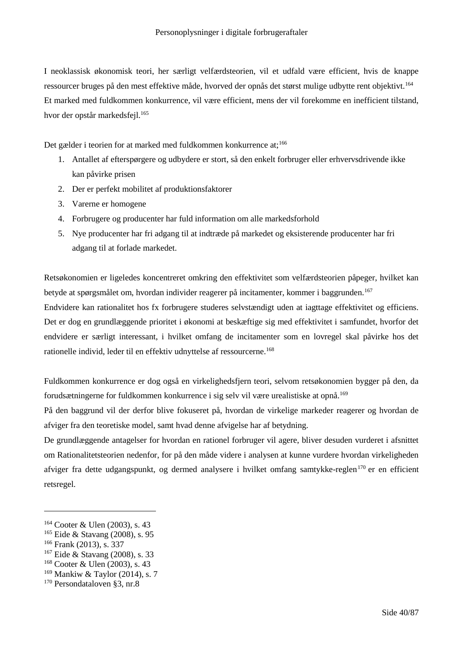I neoklassisk økonomisk teori, her særligt velfærdsteorien, vil et udfald være efficient, hvis de knappe ressourcer bruges på den mest effektive måde, hvorved der opnås det størst mulige udbytte rent objektivt.<sup>164</sup> Et marked med fuldkommen konkurrence, vil være efficient, mens der vil forekomme en inefficient tilstand, hvor der opstår markedsfejl.<sup>165</sup>

Det gælder i teorien for at marked med fuldkommen konkurrence at;<sup>166</sup>

- 1. Antallet af efterspørgere og udbydere er stort, så den enkelt forbruger eller erhvervsdrivende ikke kan påvirke prisen
- 2. Der er perfekt mobilitet af produktionsfaktorer
- 3. Varerne er homogene
- 4. Forbrugere og producenter har fuld information om alle markedsforhold
- 5. Nye producenter har fri adgang til at indtræde på markedet og eksisterende producenter har fri adgang til at forlade markedet.

Retsøkonomien er ligeledes koncentreret omkring den effektivitet som velfærdsteorien påpeger, hvilket kan betyde at spørgsmålet om, hvordan individer reagerer på incitamenter, kommer i baggrunden.<sup>167</sup>

Endvidere kan rationalitet hos fx forbrugere studeres selvstændigt uden at iagttage effektivitet og efficiens. Det er dog en grundlæggende prioritet i økonomi at beskæftige sig med effektivitet i samfundet, hvorfor det endvidere er særligt interessant, i hvilket omfang de incitamenter som en lovregel skal påvirke hos det rationelle individ, leder til en effektiv udnyttelse af ressourcerne.<sup>168</sup>

Fuldkommen konkurrence er dog også en virkelighedsfjern teori, selvom retsøkonomien bygger på den, da forudsætningerne for fuldkommen konkurrence i sig selv vil være urealistiske at opnå.<sup>169</sup>

På den baggrund vil der derfor blive fokuseret på, hvordan de virkelige markeder reagerer og hvordan de afviger fra den teoretiske model, samt hvad denne afvigelse har af betydning.

De grundlæggende antagelser for hvordan en rationel forbruger vil agere, bliver desuden vurderet i afsnittet om Rationalitetsteorien nedenfor, for på den måde videre i analysen at kunne vurdere hvordan virkeligheden afviger fra dette udgangspunkt, og dermed analysere i hvilket omfang samtykke-reglen<sup>170</sup> er en efficient retsregel.

<sup>164</sup> Cooter & Ulen (2003), s. 43

<sup>165</sup> Eide & Stavang (2008), s. 95

<sup>166</sup> Frank (2013), s. 337

<sup>167</sup> Eide & Stavang (2008), s. 33

<sup>168</sup> Cooter & Ulen (2003), s. 43

 $169$  Mankiw & Taylor (2014), s. 7

<sup>170</sup> Persondataloven §3, nr.8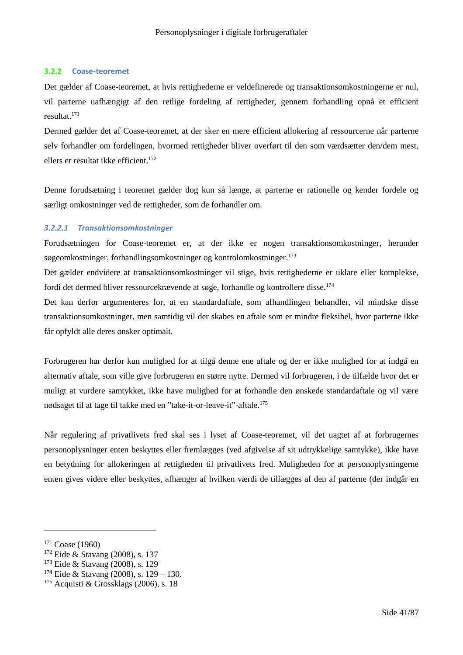## **3.2.2 Coase-teoremet**

Det gælder af Coase-teoremet, at hvis rettighederne er veldefinerede og transaktionsomkostningerne er nul, vil parterne uafhængigt af den retlige fordeling af rettigheder, gennem forhandling opnå et efficient resultat.<sup>171</sup>

Dermed gælder det af Coase-teoremet, at der sker en mere efficient allokering af ressourcerne når parterne selv forhandler om fordelingen, hvormed rettigheder bliver overført til den som værdsætter den/dem mest, ellers er resultat ikke efficient.<sup>172</sup>

Denne forudsætning i teoremet gælder dog kun så længe, at parterne er rationelle og kender fordele og særligt omkostninger ved de rettigheder, som de forhandler om.

## *3.2.2.1 Transaktionsomkostninger*

Forudsætningen for Coase-teoremet er, at der ikke er nogen transaktionsomkostninger, herunder søgeomkostninger, forhandlingsomkostninger og kontrolomkostninger.<sup>173</sup>

Det gælder endvidere at transaktionsomkostninger vil stige, hvis rettighederne er uklare eller komplekse, fordi det dermed bliver ressourcekrævende at søge, forhandle og kontrollere disse.<sup>174</sup>

Det kan derfor argumenteres for, at en standardaftale, som afhandlingen behandler, vil mindske disse transaktionsomkostninger, men samtidig vil der skabes en aftale som er mindre fleksibel, hvor parterne ikke får opfyldt alle deres ønsker optimalt.

Forbrugeren har derfor kun mulighed for at tilgå denne ene aftale og der er ikke mulighed for at indgå en alternativ aftale, som ville give forbrugeren en større nytte. Dermed vil forbrugeren, i de tilfælde hvor det er muligt at vurdere samtykket, ikke have mulighed for at forhandle den ønskede standardaftale og vil være nødsaget til at tage til takke med en "take-it-or-leave-it"-aftale.<sup>175</sup>

Når regulering af privatlivets fred skal ses i lyset af Coase-teoremet, vil det uagtet af at forbrugernes personoplysninger enten beskyttes eller fremlægges (ved afgivelse af sit udtrykkelige samtykke), ikke have en betydning for allokeringen af rettigheden til privatlivets fred. Muligheden for at personoplysningerne enten gives videre eller beskyttes, afhænger af hvilken værdi de tillægges af den af parterne (der indgår en

<sup>171</sup> Coase (1960)

<sup>172</sup> Eide & Stavang (2008), s. 137

<sup>173</sup> Eide & Stavang (2008), s. 129

<sup>&</sup>lt;sup>174</sup> Eide & Stavang (2008), s.  $129 - 130$ .

 $175$  Acquisti & Grossklags (2006), s. 18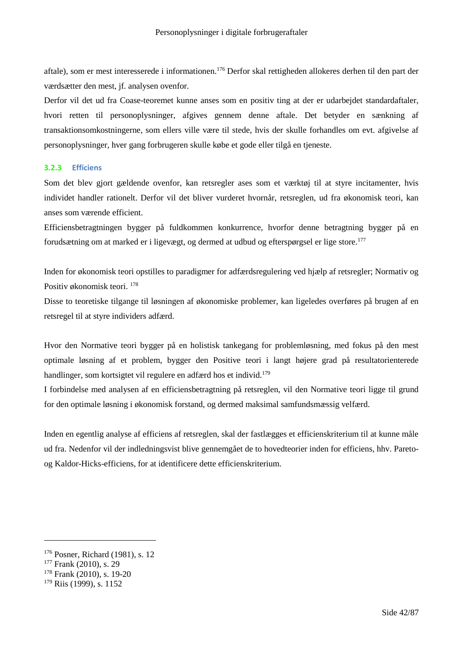aftale), som er mest interesserede i informationen.<sup>176</sup> Derfor skal rettigheden allokeres derhen til den part der værdsætter den mest, jf. analysen ovenfor.

Derfor vil det ud fra Coase-teoremet kunne anses som en positiv ting at der er udarbejdet standardaftaler, hvori retten til personoplysninger, afgives gennem denne aftale. Det betyder en sænkning af transaktionsomkostningerne, som ellers ville være til stede, hvis der skulle forhandles om evt. afgivelse af personoplysninger, hver gang forbrugeren skulle købe et gode eller tilgå en tjeneste.

## **3.2.3 Efficiens**

Som det blev gjort gældende ovenfor, kan retsregler ases som et værktøj til at styre incitamenter, hvis individet handler rationelt. Derfor vil det bliver vurderet hvornår, retsreglen, ud fra økonomisk teori, kan anses som værende efficient.

Efficiensbetragtningen bygger på fuldkommen konkurrence, hvorfor denne betragtning bygger på en forudsætning om at marked er i ligevægt, og dermed at udbud og efterspørgsel er lige store.<sup>177</sup>

Inden for økonomisk teori opstilles to paradigmer for adfærdsregulering ved hjælp af retsregler; Normativ og Positiv økonomisk teori. <sup>178</sup>

Disse to teoretiske tilgange til løsningen af økonomiske problemer, kan ligeledes overføres på brugen af en retsregel til at styre individers adfærd.

Hvor den Normative teori bygger på en holistisk tankegang for problemløsning, med fokus på den mest optimale løsning af et problem, bygger den Positive teori i langt højere grad på resultatorienterede handlinger, som kortsigtet vil regulere en adfærd hos et individ.<sup>179</sup>

I forbindelse med analysen af en efficiensbetragtning på retsreglen, vil den Normative teori ligge til grund for den optimale løsning i økonomisk forstand, og dermed maksimal samfundsmæssig velfærd.

Inden en egentlig analyse af efficiens af retsreglen, skal der fastlægges et efficienskriterium til at kunne måle ud fra. Nedenfor vil der indledningsvist blive gennemgået de to hovedteorier inden for efficiens, hhv. Paretoog Kaldor-Hicks-efficiens, for at identificere dette efficienskriterium.

<sup>176</sup> Posner, Richard (1981), s. 12

<sup>177</sup> Frank (2010), s. 29

<sup>178</sup> Frank (2010), s. 19-20

<sup>179</sup> Riis (1999), s. 1152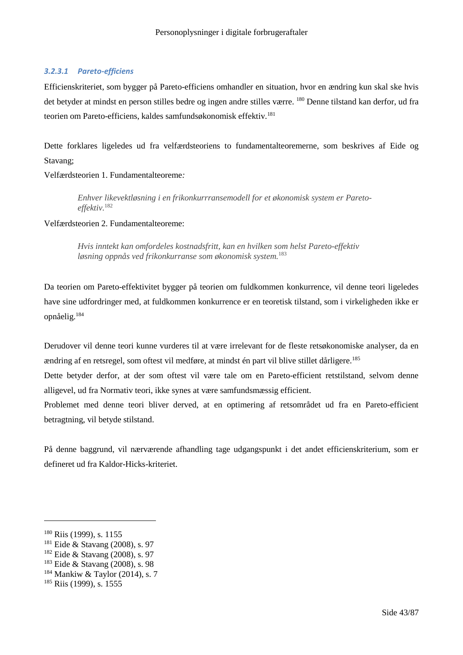## *3.2.3.1 Pareto-efficiens*

Efficienskriteriet, som bygger på Pareto-efficiens omhandler en situation, hvor en ændring kun skal ske hvis det betyder at mindst en person stilles bedre og ingen andre stilles værre. <sup>180</sup> Denne tilstand kan derfor, ud fra teorien om Pareto-efficiens, kaldes samfundsøkonomisk effektiv.<sup>181</sup>

Dette forklares ligeledes ud fra velfærdsteoriens to fundamentalteoremerne, som beskrives af Eide og Stavang;

Velfærdsteorien 1. Fundamentalteoreme*:*

*Enhver likevektløsning i en frikonkurrransemodell for et økonomisk system er Paretoeffektiv.*<sup>182</sup>

Velfærdsteorien 2. Fundamentalteoreme:

*Hvis inntekt kan omfordeles kostnadsfritt, kan en hvilken som helst Pareto-effektiv løsning oppnås ved frikonkurranse som økonomisk system.*<sup>183</sup>

Da teorien om Pareto-effektivitet bygger på teorien om fuldkommen konkurrence, vil denne teori ligeledes have sine udfordringer med, at fuldkommen konkurrence er en teoretisk tilstand, som i virkeligheden ikke er opnåelig.<sup>184</sup>

Derudover vil denne teori kunne vurderes til at være irrelevant for de fleste retsøkonomiske analyser, da en ændring af en retsregel, som oftest vil medføre, at mindst én part vil blive stillet dårligere.<sup>185</sup>

Dette betyder derfor, at der som oftest vil være tale om en Pareto-efficient retstilstand, selvom denne alligevel, ud fra Normativ teori, ikke synes at være samfundsmæssig efficient.

Problemet med denne teori bliver derved, at en optimering af retsområdet ud fra en Pareto-efficient betragtning, vil betyde stilstand.

På denne baggrund, vil nærværende afhandling tage udgangspunkt i det andet efficienskriterium, som er defineret ud fra Kaldor-Hicks-kriteriet.

<sup>&</sup>lt;sup>180</sup> Riis (1999), s. 1155

<sup>181</sup> Eide & Stavang (2008), s. 97

<sup>182</sup> Eide & Stavang (2008), s. 97

<sup>183</sup> Eide & Stavang (2008), s. 98

 $184$  Mankiw & Taylor (2014), s. 7

<sup>185</sup> Riis (1999), s. 1555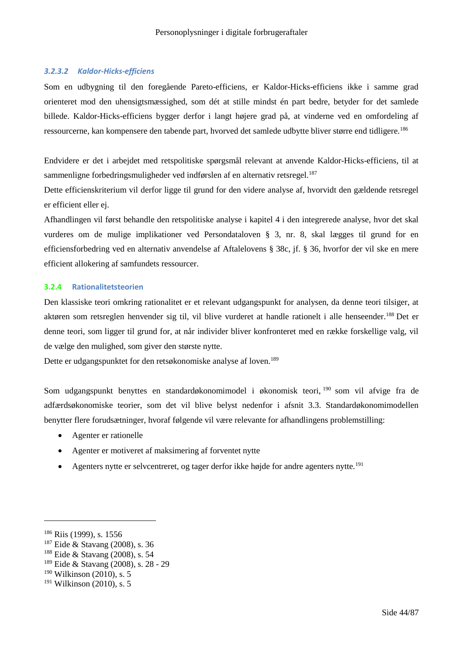## *3.2.3.2 Kaldor-Hicks-efficiens*

Som en udbygning til den foregående Pareto-efficiens, er Kaldor-Hicks-efficiens ikke i samme grad orienteret mod den uhensigtsmæssighed, som dét at stille mindst én part bedre, betyder for det samlede billede. Kaldor-Hicks-efficiens bygger derfor i langt højere grad på, at vinderne ved en omfordeling af ressourcerne, kan kompensere den tabende part, hvorved det samlede udbytte bliver større end tidligere.<sup>186</sup>

Endvidere er det i arbejdet med retspolitiske spørgsmål relevant at anvende Kaldor-Hicks-efficiens, til at sammenligne forbedringsmuligheder ved indførslen af en alternativ retsregel.<sup>187</sup>

Dette efficienskriterium vil derfor ligge til grund for den videre analyse af, hvorvidt den gældende retsregel er efficient eller ej.

Afhandlingen vil først behandle den retspolitiske analyse i kapitel 4 i den integrerede analyse, hvor det skal vurderes om de mulige implikationer ved Persondataloven § 3, nr. 8, skal lægges til grund for en efficiensforbedring ved en alternativ anvendelse af Aftalelovens § 38c, jf. § 36, hvorfor der vil ske en mere efficient allokering af samfundets ressourcer.

#### **3.2.4 Rationalitetsteorien**

Den klassiske teori omkring rationalitet er et relevant udgangspunkt for analysen, da denne teori tilsiger, at aktøren som retsreglen henvender sig til, vil blive vurderet at handle rationelt i alle henseender.<sup>188</sup> Det er denne teori, som ligger til grund for, at når individer bliver konfronteret med en række forskellige valg, vil de vælge den mulighed, som giver den største nytte.

Dette er udgangspunktet for den retsøkonomiske analyse af loven.<sup>189</sup>

Som udgangspunkt benyttes en standardøkonomimodel i økonomisk teori, <sup>190</sup> som vil afvige fra de adfærdsøkonomiske teorier, som det vil blive belyst nedenfor i afsnit 3.3. Standardøkonomimodellen benytter flere forudsætninger, hvoraf følgende vil være relevante for afhandlingens problemstilling:

- Agenter er rationelle
- Agenter er motiveret af maksimering af forventet nytte
- Agenters nytte er selvcentreret, og tager derfor ikke højde for andre agenters nytte.<sup>191</sup>

<sup>186</sup> Riis (1999), s. 1556

<sup>187</sup> Eide & Stavang (2008), s. 36

<sup>188</sup> Eide & Stavang (2008), s. 54

<sup>189</sup> Eide & Stavang (2008), s. 28 - 29

<sup>190</sup> Wilkinson (2010), s. 5

<sup>191</sup> Wilkinson (2010), s. 5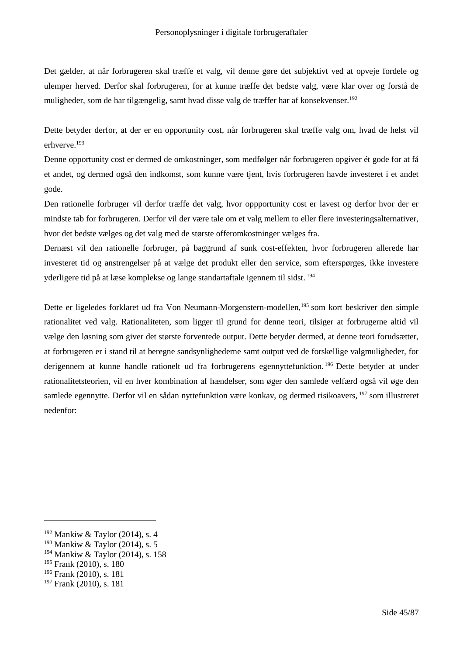Det gælder, at når forbrugeren skal træffe et valg, vil denne gøre det subjektivt ved at opveje fordele og ulemper herved. Derfor skal forbrugeren, for at kunne træffe det bedste valg, være klar over og forstå de muligheder, som de har tilgængelig, samt hvad disse valg de træffer har af konsekvenser.<sup>192</sup>

Dette betyder derfor, at der er en opportunity cost, når forbrugeren skal træffe valg om, hvad de helst vil erhverve.<sup>193</sup>

Denne opportunity cost er dermed de omkostninger, som medfølger når forbrugeren opgiver ét gode for at få et andet, og dermed også den indkomst, som kunne være tjent, hvis forbrugeren havde investeret i et andet gode.

Den rationelle forbruger vil derfor træffe det valg, hvor oppportunity cost er lavest og derfor hvor der er mindste tab for forbrugeren. Derfor vil der være tale om et valg mellem to eller flere investeringsalternativer, hvor det bedste vælges og det valg med de største offeromkostninger vælges fra.

Dernæst vil den rationelle forbruger, på baggrund af sunk cost-effekten, hvor forbrugeren allerede har investeret tid og anstrengelser på at vælge det produkt eller den service, som efterspørges, ikke investere yderligere tid på at læse komplekse og lange standartaftale igennem til sidst. <sup>194</sup>

Dette er ligeledes forklaret ud fra Von Neumann-Morgenstern-modellen,<sup>195</sup> som kort beskriver den simple rationalitet ved valg. Rationaliteten, som ligger til grund for denne teori, tilsiger at forbrugerne altid vil vælge den løsning som giver det største forventede output. Dette betyder dermed, at denne teori forudsætter, at forbrugeren er i stand til at beregne sandsynlighederne samt output ved de forskellige valgmuligheder, for derigennem at kunne handle rationelt ud fra forbrugerens egennyttefunktion. <sup>196</sup> Dette betyder at under rationalitetsteorien, vil en hver kombination af hændelser, som øger den samlede velfærd også vil øge den samlede egennytte. Derfor vil en sådan nyttefunktion være konkav, og dermed risikoavers, <sup>197</sup> som illustreret nedenfor:

<sup>192</sup> Mankiw & Taylor (2014), s. 4

 $193$  Mankiw & Taylor (2014), s. 5

<sup>194</sup> Mankiw & Taylor (2014), s. 158

<sup>195</sup> Frank (2010), s. 180

<sup>196</sup> Frank (2010), s. 181

<sup>197</sup> Frank (2010), s. 181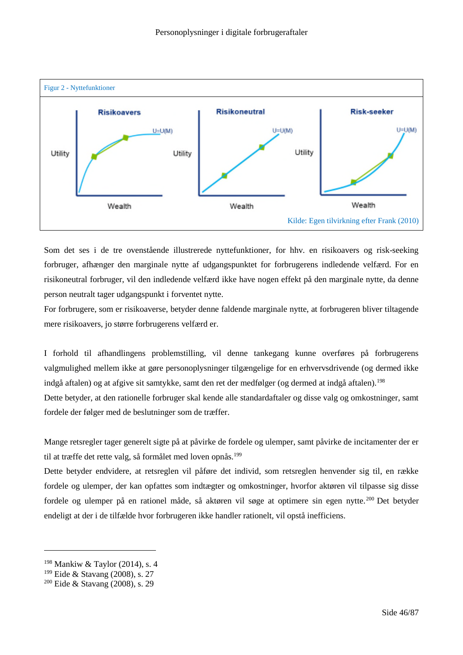

Som det ses i de tre ovenstående illustrerede nyttefunktioner, for hhv. en risikoavers og risk-seeking forbruger, afhænger den marginale nytte af udgangspunktet for forbrugerens indledende velfærd. For en risikoneutral forbruger, vil den indledende velfærd ikke have nogen effekt på den marginale nytte, da denne person neutralt tager udgangspunkt i forventet nytte.

For forbrugere, som er risikoaverse, betyder denne faldende marginale nytte, at forbrugeren bliver tiltagende mere risikoavers, jo større forbrugerens velfærd er.

I forhold til afhandlingens problemstilling, vil denne tankegang kunne overføres på forbrugerens valgmulighed mellem ikke at gøre personoplysninger tilgængelige for en erhvervsdrivende (og dermed ikke indgå aftalen) og at afgive sit samtykke, samt den ret der medfølger (og dermed at indgå aftalen).<sup>198</sup>

Dette betyder, at den rationelle forbruger skal kende alle standardaftaler og disse valg og omkostninger, samt fordele der følger med de beslutninger som de træffer.

Mange retsregler tager generelt sigte på at påvirke de fordele og ulemper, samt påvirke de incitamenter der er til at træffe det rette valg, så formålet med loven opnås.<sup>199</sup>

Dette betyder endvidere, at retsreglen vil påføre det individ, som retsreglen henvender sig til, en række fordele og ulemper, der kan opfattes som indtægter og omkostninger, hvorfor aktøren vil tilpasse sig disse fordele og ulemper på en rationel måde, så aktøren vil søge at optimere sin egen nytte.<sup>200</sup> Det betyder endeligt at der i de tilfælde hvor forbrugeren ikke handler rationelt, vil opstå inefficiens.

<sup>198</sup> Mankiw & Taylor (2014), s. 4

<sup>199</sup> Eide & Stavang (2008), s. 27

<sup>200</sup> Eide & Stavang (2008), s. 29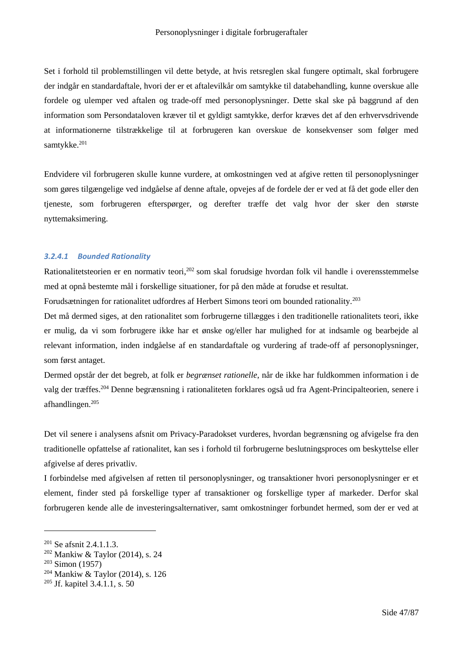Set i forhold til problemstillingen vil dette betyde, at hvis retsreglen skal fungere optimalt, skal forbrugere der indgår en standardaftale, hvori der er et aftalevilkår om samtykke til databehandling, kunne overskue alle fordele og ulemper ved aftalen og trade-off med personoplysninger. Dette skal ske på baggrund af den information som Persondataloven kræver til et gyldigt samtykke, derfor kræves det af den erhvervsdrivende at informationerne tilstrækkelige til at forbrugeren kan overskue de konsekvenser som følger med samtykke.<sup>201</sup>

Endvidere vil forbrugeren skulle kunne vurdere, at omkostningen ved at afgive retten til personoplysninger som gøres tilgængelige ved indgåelse af denne aftale, opvejes af de fordele der er ved at få det gode eller den tjeneste, som forbrugeren efterspørger, og derefter træffe det valg hvor der sker den største nyttemaksimering.

#### *3.2.4.1 Bounded Rationality*

Rationalitetsteorien er en normativ teori,<sup>202</sup> som skal forudsige hvordan folk vil handle i overensstemmelse med at opnå bestemte mål i forskellige situationer, for på den måde at forudse et resultat.

Forudsætningen for rationalitet udfordres af Herbert Simons teori om bounded rationality.<sup>203</sup>

Det må dermed siges, at den rationalitet som forbrugerne tillægges i den traditionelle rationalitets teori, ikke er mulig, da vi som forbrugere ikke har et ønske og/eller har mulighed for at indsamle og bearbejde al relevant information, inden indgåelse af en standardaftale og vurdering af trade-off af personoplysninger, som først antaget.

Dermed opstår der det begreb, at folk er *begrænset rationelle*, når de ikke har fuldkommen information i de valg der træffes.<sup>204</sup> Denne begrænsning i rationaliteten forklares også ud fra Agent-Principalteorien, senere i afhandlingen.<sup>205</sup>

Det vil senere i analysens afsnit om Privacy-Paradokset vurderes, hvordan begrænsning og afvigelse fra den traditionelle opfattelse af rationalitet, kan ses i forhold til forbrugerne beslutningsproces om beskyttelse eller afgivelse af deres privatliv.

I forbindelse med afgivelsen af retten til personoplysninger, og transaktioner hvori personoplysninger er et element, finder sted på forskellige typer af transaktioner og forskellige typer af markeder. Derfor skal forbrugeren kende alle de investeringsalternativer, samt omkostninger forbundet hermed, som der er ved at

<sup>&</sup>lt;sup>201</sup> Se afsnit 2.4.1.1.3.

<sup>202</sup> Mankiw & Taylor (2014), s. 24

 $203$  Simon (1957)

<sup>204</sup> Mankiw & Taylor (2014), s. 126

<sup>205</sup> Jf. kapitel 3.4.1.1, s. 50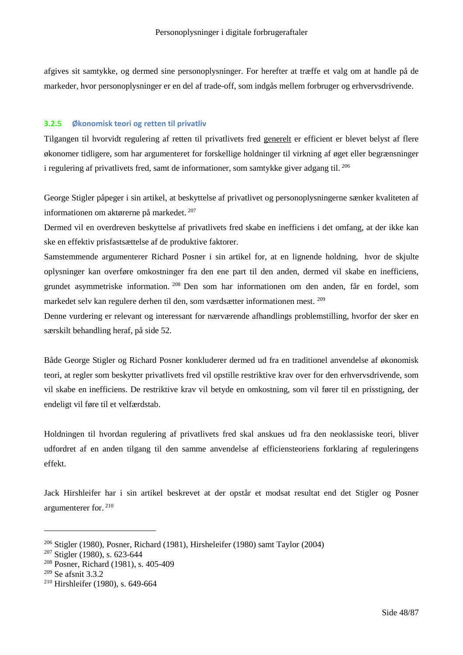afgives sit samtykke, og dermed sine personoplysninger. For herefter at træffe et valg om at handle på de markeder, hvor personoplysninger er en del af trade-off, som indgås mellem forbruger og erhvervsdrivende.

## **3.2.5 Økonomisk teori og retten til privatliv**

Tilgangen til hvorvidt regulering af retten til privatlivets fred generelt er efficient er blevet belyst af flere økonomer tidligere, som har argumenteret for forskellige holdninger til virkning af øget eller begrænsninger i regulering af privatlivets fred, samt de informationer, som samtykke giver adgang til. <sup>206</sup>

George Stigler påpeger i sin artikel, at beskyttelse af privatlivet og personoplysningerne sænker kvaliteten af informationen om aktørerne på markedet. <sup>207</sup>

Dermed vil en overdreven beskyttelse af privatlivets fred skabe en inefficiens i det omfang, at der ikke kan ske en effektiv prisfastsættelse af de produktive faktorer.

Samstemmende argumenterer Richard Posner i sin artikel for, at en lignende holdning, hvor de skjulte oplysninger kan overføre omkostninger fra den ene part til den anden, dermed vil skabe en inefficiens, grundet asymmetriske information. <sup>208</sup> Den som har informationen om den anden, får en fordel, som markedet selv kan regulere derhen til den, som værdsætter informationen mest. <sup>209</sup>

Denne vurdering er relevant og interessant for nærværende afhandlings problemstilling, hvorfor der sker en særskilt behandling heraf, på side 52.

Både George Stigler og Richard Posner konkluderer dermed ud fra en traditionel anvendelse af økonomisk teori, at regler som beskytter privatlivets fred vil opstille restriktive krav over for den erhvervsdrivende, som vil skabe en inefficiens. De restriktive krav vil betyde en omkostning, som vil fører til en prisstigning, der endeligt vil føre til et velfærdstab.

Holdningen til hvordan regulering af privatlivets fred skal anskues ud fra den neoklassiske teori, bliver udfordret af en anden tilgang til den samme anvendelse af efficiensteoriens forklaring af reguleringens effekt.

Jack Hirshleifer har i sin artikel beskrevet at der opstår et modsat resultat end det Stigler og Posner argumenterer for. <sup>210</sup>

<sup>206</sup> Stigler (1980), Posner, Richard (1981), Hirsheleifer (1980) samt Taylor (2004)

<sup>207</sup> Stigler (1980), s. 623-644

<sup>208</sup> Posner, Richard (1981), s. 405-409

<sup>209</sup> Se afsnit 3.3.2

<sup>210</sup> Hirshleifer (1980), s. 649-664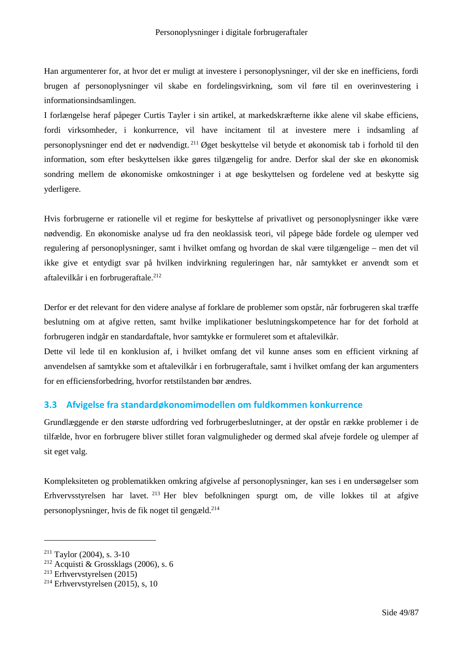Han argumenterer for, at hvor det er muligt at investere i personoplysninger, vil der ske en inefficiens, fordi brugen af personoplysninger vil skabe en fordelingsvirkning, som vil føre til en overinvestering i informationsindsamlingen.

I forlængelse heraf påpeger Curtis Tayler i sin artikel, at markedskræfterne ikke alene vil skabe efficiens, fordi virksomheder, i konkurrence, vil have incitament til at investere mere i indsamling af personoplysninger end det er nødvendigt. <sup>211</sup> Øget beskyttelse vil betyde et økonomisk tab i forhold til den information, som efter beskyttelsen ikke gøres tilgængelig for andre. Derfor skal der ske en økonomisk sondring mellem de økonomiske omkostninger i at øge beskyttelsen og fordelene ved at beskytte sig yderligere.

Hvis forbrugerne er rationelle vil et regime for beskyttelse af privatlivet og personoplysninger ikke være nødvendig. En økonomiske analyse ud fra den neoklassisk teori, vil påpege både fordele og ulemper ved regulering af personoplysninger, samt i hvilket omfang og hvordan de skal være tilgængelige – men det vil ikke give et entydigt svar på hvilken indvirkning reguleringen har, når samtykket er anvendt som et aftalevilkår i en forbrugeraftale.<sup>212</sup>

Derfor er det relevant for den videre analyse af forklare de problemer som opstår, når forbrugeren skal træffe beslutning om at afgive retten, samt hvilke implikationer beslutningskompetence har for det forhold at forbrugeren indgår en standardaftale, hvor samtykke er formuleret som et aftalevilkår.

Dette vil lede til en konklusion af, i hvilket omfang det vil kunne anses som en efficient virkning af anvendelsen af samtykke som et aftalevilkår i en forbrugeraftale, samt i hvilket omfang der kan argumenters for en efficiensforbedring, hvorfor retstilstanden bør ændres.

# **3.3 Afvigelse fra standardøkonomimodellen om fuldkommen konkurrence**

Grundlæggende er den største udfordring ved forbrugerbeslutninger, at der opstår en række problemer i de tilfælde, hvor en forbrugere bliver stillet foran valgmuligheder og dermed skal afveje fordele og ulemper af sit eget valg.

Kompleksiteten og problematikken omkring afgivelse af personoplysninger, kan ses i en undersøgelser som Erhvervsstyrelsen har lavet. <sup>213</sup> Her blev befolkningen spurgt om, de ville lokkes til at afgive personoplysninger, hvis de fik noget til gengæld.<sup>214</sup>

<sup>211</sup> Taylor (2004), s. 3-10

 $2^{12}$  Acquisti & Grossklags (2006), s. 6

<sup>213</sup> Erhvervstyrelsen (2015)

 $214$  Erhvervstyrelsen (2015), s, 10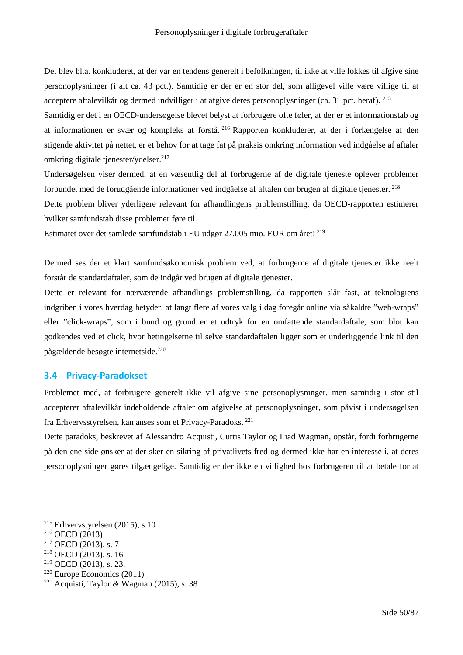Det blev bl.a. konkluderet, at der var en tendens generelt i befolkningen, til ikke at ville lokkes til afgive sine personoplysninger (i alt ca. 43 pct.). Samtidig er der er en stor del, som alligevel ville være villige til at acceptere aftalevilkår og dermed indvilliger i at afgive deres personoplysninger (ca. 31 pct. heraf). <sup>215</sup>

Samtidig er det i en OECD-undersøgelse blevet belyst at forbrugere ofte føler, at der er et informationstab og at informationen er svær og kompleks at forstå. <sup>216</sup> Rapporten konkluderer, at der i forlængelse af den stigende aktivitet på nettet, er et behov for at tage fat på praksis omkring information ved indgåelse af aftaler omkring digitale tienester/ydelser. $217$ 

Undersøgelsen viser dermed, at en væsentlig del af forbrugerne af de digitale tjeneste oplever problemer forbundet med de forudgående informationer ved indgåelse af aftalen om brugen af digitale tjenester. <sup>218</sup>

Dette problem bliver yderligere relevant for afhandlingens problemstilling, da OECD-rapporten estimerer hvilket samfundstab disse problemer føre til.

Estimatet over det samlede samfundstab i EU udgør 27.005 mio. EUR om året! <sup>219</sup>

Dermed ses der et klart samfundsøkonomisk problem ved, at forbrugerne af digitale tjenester ikke reelt forstår de standardaftaler, som de indgår ved brugen af digitale tjenester.

Dette er relevant for nærværende afhandlings problemstilling, da rapporten slår fast, at teknologiens indgriben i vores hverdag betyder, at langt flere af vores valg i dag foregår online via såkaldte "web-wraps" eller "click-wraps", som i bund og grund er et udtryk for en omfattende standardaftale, som blot kan godkendes ved et click, hvor betingelserne til selve standardaftalen ligger som et underliggende link til den pågældende besøgte internetside.<sup>220</sup>

## **3.4 Privacy-Paradokset**

Problemet med, at forbrugere generelt ikke vil afgive sine personoplysninger, men samtidig i stor stil accepterer aftalevilkår indeholdende aftaler om afgivelse af personoplysninger, som påvist i undersøgelsen fra Erhvervsstyrelsen, kan anses som et Privacy-Paradoks. <sup>221</sup>

Dette paradoks, beskrevet af Alessandro Acquisti, Curtis Taylor og Liad Wagman, opstår, fordi forbrugerne på den ene side ønsker at der sker en sikring af privatlivets fred og dermed ikke har en interesse i, at deres personoplysninger gøres tilgængelige. Samtidig er der ikke en villighed hos forbrugeren til at betale for at

<sup>215</sup> Erhvervstyrelsen (2015), s.10

<sup>216</sup> OECD (2013)

 $2^{17}$  OECD (2013), s. 7

<sup>218</sup> OECD (2013), s. 16

<sup>219</sup> OECD (2013), s. 23.

<sup>220</sup> Europe Economics (2011)

<sup>&</sup>lt;sup>221</sup> Acquisti, Taylor & Wagman (2015), s. 38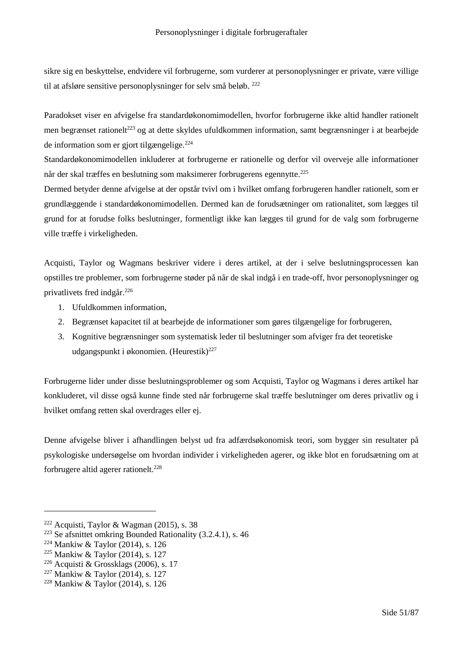sikre sig en beskyttelse, endvidere vil forbrugerne, som vurderer at personoplysninger er private, være villige til at afsløre sensitive personoplysninger for selv små beløb. <sup>222</sup>

Paradokset viser en afvigelse fra standardøkonomimodellen, hvorfor forbrugerne ikke altid handler rationelt men begrænset rationelt<sup>223</sup> og at dette skyldes ufuldkommen information, samt begrænsninger i at bearbejde de information som er gjort tilgængelige.<sup>224</sup>

Standardøkonomimodellen inkluderer at forbrugerne er rationelle og derfor vil overveje alle informationer når der skal træffes en beslutning som maksimerer forbrugerens egennytte.<sup>225</sup>

Dermed betyder denne afvigelse at der opstår tvivl om i hvilket omfang forbrugeren handler rationelt, som er grundlæggende i standardøkonomimodellen. Dermed kan de forudsætninger om rationalitet, som lægges til grund for at forudse folks beslutninger, formentligt ikke kan lægges til grund for de valg som forbrugerne ville træffe i virkeligheden.

Acquisti, Taylor og Wagmans beskriver videre i deres artikel, at der i selve beslutningsprocessen kan opstilles tre problemer, som forbrugerne støder på når de skal indgå i en trade-off, hvor personoplysninger og privatlivets fred indgår.<sup>226</sup>

- 1. Ufuldkommen information,
- 2. Begrænset kapacitet til at bearbejde de informationer som gøres tilgængelige for forbrugeren,
- 3. Kognitive begrænsninger som systematisk leder til beslutninger som afviger fra det teoretiske udgangspunkt i økonomien. (Heurestik)<sup>227</sup>

Forbrugerne lider under disse beslutningsproblemer og som Acquisti, Taylor og Wagmans i deres artikel har konkluderet, vil disse også kunne finde sted når forbrugerne skal træffe beslutninger om deres privatliv og i hvilket omfang retten skal overdrages eller ej.

Denne afvigelse bliver i afhandlingen belyst ud fra adfærdsøkonomisk teori, som bygger sin resultater på psykologiske undersøgelse om hvordan individer i virkeligheden agerer, og ikke blot en forudsætning om at forbrugere altid agerer rationelt.<sup>228</sup>

 $222$  Acquisti, Taylor & Wagman (2015), s. 38

<sup>223</sup> Se afsnittet omkring Bounded Rationality (3.2.4.1), s. 46

 $224$  Mankiw & Taylor (2014), s. 126

 $225$  Mankiw & Taylor (2014), s. 127

 $226$  Acquisti & Grossklags (2006), s. 17

 $227$  Mankiw & Taylor (2014), s. 127

<sup>228</sup> Mankiw & Taylor (2014), s. 126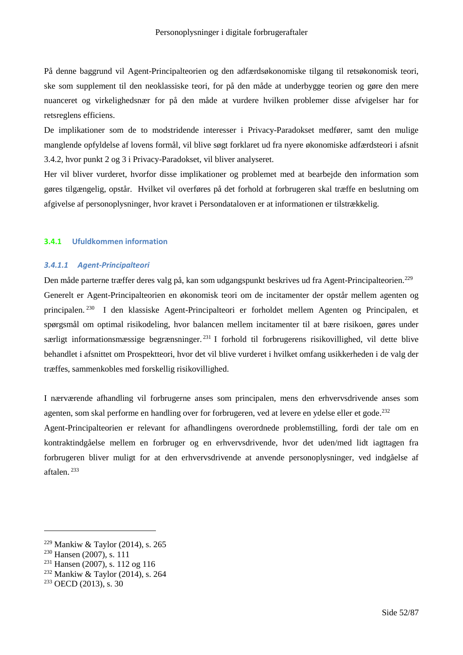På denne baggrund vil Agent-Principalteorien og den adfærdsøkonomiske tilgang til retsøkonomisk teori, ske som supplement til den neoklassiske teori, for på den måde at underbygge teorien og gøre den mere nuanceret og virkelighedsnær for på den måde at vurdere hvilken problemer disse afvigelser har for retsreglens efficiens.

De implikationer som de to modstridende interesser i Privacy-Paradokset medfører, samt den mulige manglende opfyldelse af lovens formål, vil blive søgt forklaret ud fra nyere økonomiske adfærdsteori i afsnit 3.4.2, hvor punkt 2 og 3 i Privacy-Paradokset, vil bliver analyseret.

Her vil bliver vurderet, hvorfor disse implikationer og problemet med at bearbejde den information som gøres tilgængelig, opstår. Hvilket vil overføres på det forhold at forbrugeren skal træffe en beslutning om afgivelse af personoplysninger, hvor kravet i Persondataloven er at informationen er tilstrækkelig.

#### **3.4.1 Ufuldkommen information**

#### *3.4.1.1 Agent-Principalteori*

Den måde parterne træffer deres valg på, kan som udgangspunkt beskrives ud fra Agent-Principalteorien.<sup>229</sup> Generelt er Agent-Principalteorien en økonomisk teori om de incitamenter der opstår mellem agenten og principalen. <sup>230</sup> I den klassiske Agent-Principalteori er forholdet mellem Agenten og Principalen, et spørgsmål om optimal risikodeling, hvor balancen mellem incitamenter til at bære risikoen, gøres under særligt informationsmæssige begrænsninger. <sup>231</sup> I forhold til forbrugerens risikovillighed, vil dette blive behandlet i afsnittet om Prospektteori, hvor det vil blive vurderet i hvilket omfang usikkerheden i de valg der træffes, sammenkobles med forskellig risikovillighed.

I nærværende afhandling vil forbrugerne anses som principalen, mens den erhvervsdrivende anses som agenten, som skal performe en handling over for forbrugeren, ved at levere en ydelse eller et gode.<sup>232</sup>

Agent-Principalteorien er relevant for afhandlingens overordnede problemstilling, fordi der tale om en kontraktindgåelse mellem en forbruger og en erhvervsdrivende, hvor det uden/med lidt iagttagen fra forbrugeren bliver muligt for at den erhvervsdrivende at anvende personoplysninger, ved indgåelse af aftalen. <sup>233</sup>

 $229$  Mankiw & Taylor (2014), s. 265

<sup>230</sup> Hansen (2007), s. 111

<sup>231</sup> Hansen (2007), s. 112 og 116

<sup>232</sup> Mankiw & Taylor (2014), s. 264

<sup>233</sup> OECD (2013), s. 30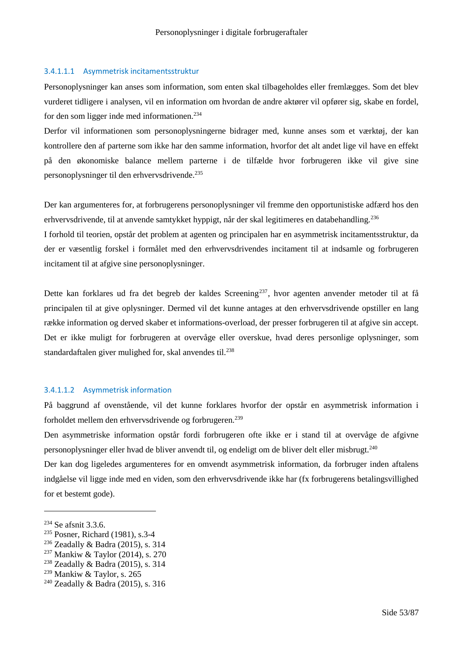## 3.4.1.1.1 Asymmetrisk incitamentsstruktur

Personoplysninger kan anses som information, som enten skal tilbageholdes eller fremlægges. Som det blev vurderet tidligere i analysen, vil en information om hvordan de andre aktører vil opfører sig, skabe en fordel, for den som ligger inde med informationen.<sup>234</sup>

Derfor vil informationen som personoplysningerne bidrager med, kunne anses som et værktøj, der kan kontrollere den af parterne som ikke har den samme information, hvorfor det alt andet lige vil have en effekt på den økonomiske balance mellem parterne i de tilfælde hvor forbrugeren ikke vil give sine personoplysninger til den erhvervsdrivende.<sup>235</sup>

Der kan argumenteres for, at forbrugerens personoplysninger vil fremme den opportunistiske adfærd hos den erhvervsdrivende, til at anvende samtykket hyppigt, når der skal legitimeres en databehandling.<sup>236</sup>

I forhold til teorien, opstår det problem at agenten og principalen har en asymmetrisk incitamentsstruktur, da der er væsentlig forskel i formålet med den erhvervsdrivendes incitament til at indsamle og forbrugeren incitament til at afgive sine personoplysninger.

Dette kan forklares ud fra det begreb der kaldes Screening<sup>237</sup>, hvor agenten anvender metoder til at få principalen til at give oplysninger. Dermed vil det kunne antages at den erhvervsdrivende opstiller en lang række information og derved skaber et informations-overload, der presser forbrugeren til at afgive sin accept. Det er ikke muligt for forbrugeren at overvåge eller overskue, hvad deres personlige oplysninger, som standardaftalen giver mulighed for, skal anvendes til.<sup>238</sup>

#### 3.4.1.1.2 Asymmetrisk information

På baggrund af ovenstående, vil det kunne forklares hvorfor der opstår en asymmetrisk information i forholdet mellem den erhvervsdrivende og forbrugeren.<sup>239</sup>

Den asymmetriske information opstår fordi forbrugeren ofte ikke er i stand til at overvåge de afgivne personoplysninger eller hvad de bliver anvendt til, og endeligt om de bliver delt eller misbrugt.<sup>240</sup>

Der kan dog ligeledes argumenteres for en omvendt asymmetrisk information, da forbruger inden aftalens indgåelse vil ligge inde med en viden, som den erhvervsdrivende ikke har (fx forbrugerens betalingsvillighed for et bestemt gode).

<sup>234</sup> Se afsnit 3.3.6.

<sup>235</sup> Posner, Richard (1981), s.3-4

<sup>236</sup> Zeadally & Badra (2015), s. 314

<sup>237</sup> Mankiw & Taylor (2014), s. 270

<sup>238</sup> Zeadally & Badra (2015), s. 314

<sup>239</sup> Mankiw & Taylor, s. 265

<sup>240</sup> Zeadally & Badra (2015), s. 316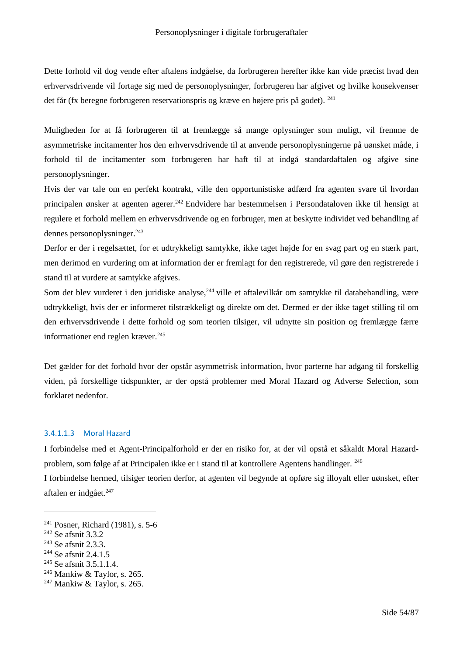Dette forhold vil dog vende efter aftalens indgåelse, da forbrugeren herefter ikke kan vide præcist hvad den erhvervsdrivende vil fortage sig med de personoplysninger, forbrugeren har afgivet og hvilke konsekvenser det får (fx beregne forbrugeren reservationspris og kræve en højere pris på godet). <sup>241</sup>

Muligheden for at få forbrugeren til at fremlægge så mange oplysninger som muligt, vil fremme de asymmetriske incitamenter hos den erhvervsdrivende til at anvende personoplysningerne på uønsket måde, i forhold til de incitamenter som forbrugeren har haft til at indgå standardaftalen og afgive sine personoplysninger.

Hvis der var tale om en perfekt kontrakt, ville den opportunistiske adfærd fra agenten svare til hvordan principalen ønsker at agenten agerer.<sup>242</sup> Endvidere har bestemmelsen i Persondataloven ikke til hensigt at regulere et forhold mellem en erhvervsdrivende og en forbruger, men at beskytte individet ved behandling af dennes personoplysninger.<sup>243</sup>

Derfor er der i regelsættet, for et udtrykkeligt samtykke, ikke taget højde for en svag part og en stærk part, men derimod en vurdering om at information der er fremlagt for den registrerede, vil gøre den registrerede i stand til at vurdere at samtykke afgives.

Som det blev vurderet i den juridiske analyse,<sup>244</sup> ville et aftalevilkår om samtykke til databehandling, være udtrykkeligt, hvis der er informeret tilstrækkeligt og direkte om det. Dermed er der ikke taget stilling til om den erhvervsdrivende i dette forhold og som teorien tilsiger, vil udnytte sin position og fremlægge færre informationer end reglen kræver.<sup>245</sup>

Det gælder for det forhold hvor der opstår asymmetrisk information, hvor parterne har adgang til forskellig viden, på forskellige tidspunkter, ar der opstå problemer med Moral Hazard og Adverse Selection, som forklaret nedenfor.

## 3.4.1.1.3 Moral Hazard

I forbindelse med et Agent-Principalforhold er der en risiko for, at der vil opstå et såkaldt Moral Hazardproblem, som følge af at Principalen ikke er i stand til at kontrollere Agentens handlinger. <sup>246</sup>

I forbindelse hermed, tilsiger teorien derfor, at agenten vil begynde at opføre sig illoyalt eller uønsket, efter aftalen er indgået.<sup>247</sup>

<sup>241</sup> Posner, Richard (1981), s. 5-6

<sup>242</sup> Se afsnit 3.3.2

<sup>243</sup> Se afsnit 2.3.3.

<sup>&</sup>lt;sup>244</sup> Se afsnit 2.4.1.5

<sup>&</sup>lt;sup>245</sup> Se afsnit 3.5.1.1.4.

 $246$  Mankiw & Taylor, s. 265.

 $247$  Mankiw & Taylor, s. 265.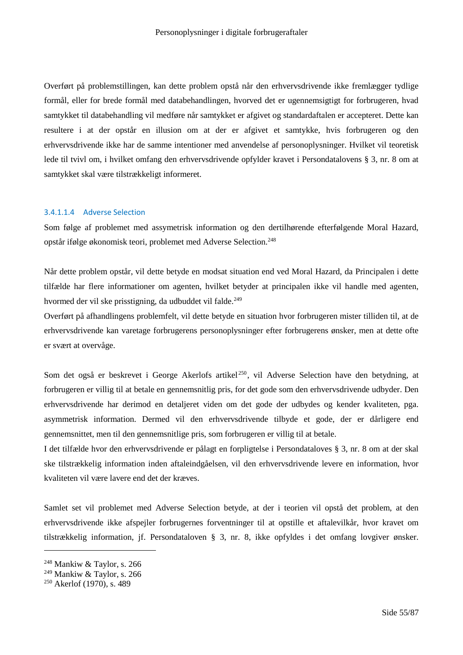Overført på problemstillingen, kan dette problem opstå når den erhvervsdrivende ikke fremlægger tydlige formål, eller for brede formål med databehandlingen, hvorved det er ugennemsigtigt for forbrugeren, hvad samtykket til databehandling vil medføre når samtykket er afgivet og standardaftalen er accepteret. Dette kan resultere i at der opstår en illusion om at der er afgivet et samtykke, hvis forbrugeren og den erhvervsdrivende ikke har de samme intentioner med anvendelse af personoplysninger. Hvilket vil teoretisk lede til tvivl om, i hvilket omfang den erhvervsdrivende opfylder kravet i Persondatalovens § 3, nr. 8 om at samtykket skal være tilstrækkeligt informeret.

#### 3.4.1.1.4 Adverse Selection

Som følge af problemet med assymetrisk information og den dertilhørende efterfølgende Moral Hazard, opstår ifølge økonomisk teori, problemet med Adverse Selection.<sup>248</sup>

Når dette problem opstår, vil dette betyde en modsat situation end ved Moral Hazard, da Principalen i dette tilfælde har flere informationer om agenten, hvilket betyder at principalen ikke vil handle med agenten, hvormed der vil ske prisstigning, da udbuddet vil falde.<sup>249</sup>

Overført på afhandlingens problemfelt, vil dette betyde en situation hvor forbrugeren mister tilliden til, at de erhvervsdrivende kan varetage forbrugerens personoplysninger efter forbrugerens ønsker, men at dette ofte er svært at overvåge.

Som det også er beskrevet i George Akerlofs artikel<sup>250</sup>, vil Adverse Selection have den betydning, at forbrugeren er villig til at betale en gennemsnitlig pris, for det gode som den erhvervsdrivende udbyder. Den erhvervsdrivende har derimod en detaljeret viden om det gode der udbydes og kender kvaliteten, pga. asymmetrisk information. Dermed vil den erhvervsdrivende tilbyde et gode, der er dårligere end gennemsnittet, men til den gennemsnitlige pris, som forbrugeren er villig til at betale.

I det tilfælde hvor den erhvervsdrivende er pålagt en forpligtelse i Persondataloves § 3, nr. 8 om at der skal ske tilstrækkelig information inden aftaleindgåelsen, vil den erhvervsdrivende levere en information, hvor kvaliteten vil være lavere end det der kræves.

Samlet set vil problemet med Adverse Selection betyde, at der i teorien vil opstå det problem, at den erhvervsdrivende ikke afspejler forbrugernes forventninger til at opstille et aftalevilkår, hvor kravet om tilstrækkelig information, jf. Persondataloven § 3, nr. 8, ikke opfyldes i det omfang lovgiver ønsker.

 $248$  Mankiw & Taylor, s. 266

<sup>249</sup> Mankiw & Taylor, s. 266

<sup>250</sup> Akerlof (1970), s. 489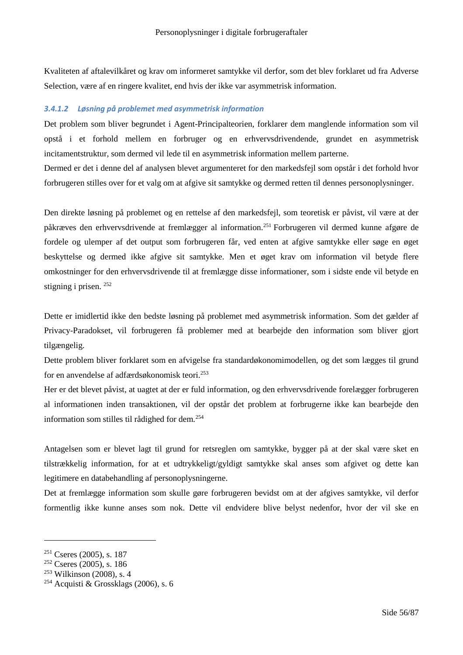Kvaliteten af aftalevilkåret og krav om informeret samtykke vil derfor, som det blev forklaret ud fra Adverse Selection, være af en ringere kvalitet, end hvis der ikke var asymmetrisk information.

## *3.4.1.2 Løsning på problemet med asymmetrisk information*

Det problem som bliver begrundet i Agent-Principalteorien, forklarer dem manglende information som vil opstå i et forhold mellem en forbruger og en erhvervsdrivendende, grundet en asymmetrisk incitamentstruktur, som dermed vil lede til en asymmetrisk information mellem parterne.

Dermed er det i denne del af analysen blevet argumenteret for den markedsfejl som opstår i det forhold hvor forbrugeren stilles over for et valg om at afgive sit samtykke og dermed retten til dennes personoplysninger.

Den direkte løsning på problemet og en rettelse af den markedsfejl, som teoretisk er påvist, vil være at der påkræves den erhvervsdrivende at fremlægger al information.<sup>251</sup> Forbrugeren vil dermed kunne afgøre de fordele og ulemper af det output som forbrugeren får, ved enten at afgive samtykke eller søge en øget beskyttelse og dermed ikke afgive sit samtykke. Men et øget krav om information vil betyde flere omkostninger for den erhvervsdrivende til at fremlægge disse informationer, som i sidste ende vil betyde en stigning i prisen. <sup>252</sup>

Dette er imidlertid ikke den bedste løsning på problemet med asymmetrisk information. Som det gælder af Privacy-Paradokset, vil forbrugeren få problemer med at bearbejde den information som bliver gjort tilgængelig.

Dette problem bliver forklaret som en afvigelse fra standardøkonomimodellen, og det som lægges til grund for en anvendelse af adfærdsøkonomisk teori.<sup>253</sup>

Her er det blevet påvist, at uagtet at der er fuld information, og den erhvervsdrivende forelægger forbrugeren al informationen inden transaktionen, vil der opstår det problem at forbrugerne ikke kan bearbejde den information som stilles til rådighed for dem.<sup>254</sup>

Antagelsen som er blevet lagt til grund for retsreglen om samtykke, bygger på at der skal være sket en tilstrækkelig information, for at et udtrykkeligt/gyldigt samtykke skal anses som afgivet og dette kan legitimere en databehandling af personoplysningerne.

Det at fremlægge information som skulle gøre forbrugeren bevidst om at der afgives samtykke, vil derfor formentlig ikke kunne anses som nok. Dette vil endvidere blive belyst nedenfor, hvor der vil ske en

 $251$  Cseres (2005), s. 187

 $252$  Cseres (2005), s. 186

<sup>253</sup> Wilkinson (2008), s. 4

<sup>&</sup>lt;sup>254</sup> Acquisti & Grossklags (2006), s. 6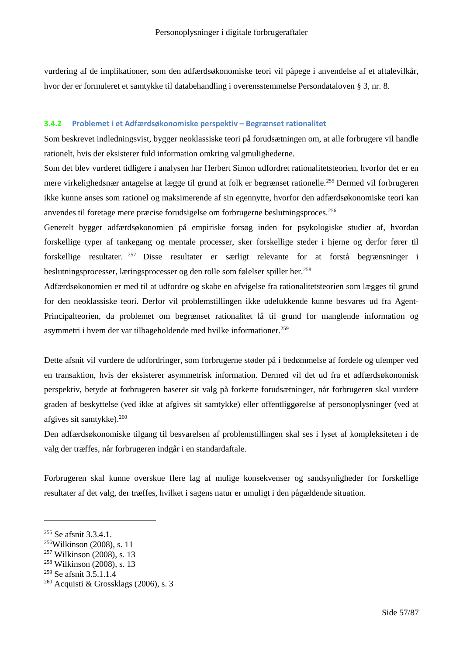vurdering af de implikationer, som den adfærdsøkonomiske teori vil påpege i anvendelse af et aftalevilkår, hvor der er formuleret et samtykke til databehandling i overensstemmelse Persondataloven § 3, nr. 8.

#### **3.4.2 Problemet i et Adfærdsøkonomiske perspektiv – Begrænset rationalitet**

Som beskrevet indledningsvist, bygger neoklassiske teori på forudsætningen om, at alle forbrugere vil handle rationelt, hvis der eksisterer fuld information omkring valgmulighederne.

Som det blev vurderet tidligere i analysen har Herbert Simon udfordret rationalitetsteorien, hvorfor det er en mere virkelighedsnær antagelse at lægge til grund at folk er begrænset rationelle.<sup>255</sup> Dermed vil forbrugeren ikke kunne anses som rationel og maksimerende af sin egennytte, hvorfor den adfærdsøkonomiske teori kan anvendes til foretage mere præcise forudsigelse om forbrugerne beslutningsproces.<sup>256</sup>

Generelt bygger adfærdsøkonomien på empiriske forsøg inden for psykologiske studier af, hvordan forskellige typer af tankegang og mentale processer, sker forskellige steder i hjerne og derfor fører til forskellige resultater. <sup>257</sup> Disse resultater er særligt relevante for at forstå begrænsninger i beslutningsprocesser, læringsprocesser og den rolle som følelser spiller her.<sup>258</sup>

Adfærdsøkonomien er med til at udfordre og skabe en afvigelse fra rationalitetsteorien som lægges til grund for den neoklassiske teori. Derfor vil problemstillingen ikke udelukkende kunne besvares ud fra Agent-Principalteorien, da problemet om begrænset rationalitet lå til grund for manglende information og asymmetri i hvem der var tilbageholdende med hvilke informationer.<sup>259</sup>

Dette afsnit vil vurdere de udfordringer, som forbrugerne støder på i bedømmelse af fordele og ulemper ved en transaktion, hvis der eksisterer asymmetrisk information. Dermed vil det ud fra et adfærdsøkonomisk perspektiv, betyde at forbrugeren baserer sit valg på forkerte forudsætninger, når forbrugeren skal vurdere graden af beskyttelse (ved ikke at afgives sit samtykke) eller offentliggørelse af personoplysninger (ved at afgives sit samtykke).<sup>260</sup>

Den adfærdsøkonomiske tilgang til besvarelsen af problemstillingen skal ses i lyset af kompleksiteten i de valg der træffes, når forbrugeren indgår i en standardaftale.

Forbrugeren skal kunne overskue flere lag af mulige konsekvenser og sandsynligheder for forskellige resultater af det valg, der træffes, hvilket i sagens natur er umuligt i den pågældende situation.

<sup>255</sup> Se afsnit 3.3.4.1.

<sup>256</sup>Wilkinson (2008), s. 11

<sup>257</sup> Wilkinson (2008), s. 13

<sup>258</sup> Wilkinson (2008), s. 13

<sup>259</sup> Se afsnit 3.5.1.1.4

 $260$  Acquisti & Grossklags (2006), s. 3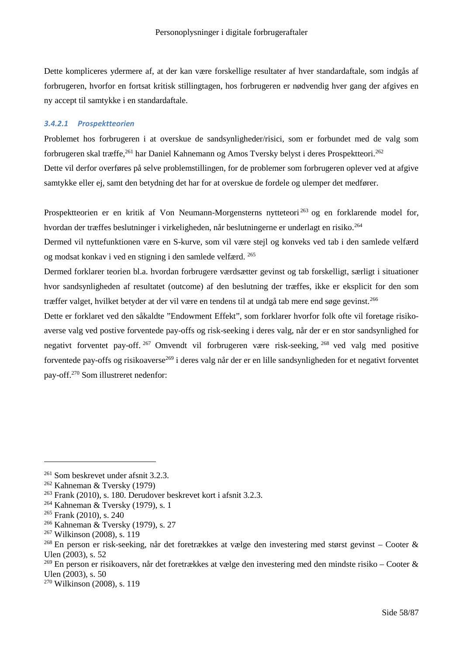Dette kompliceres ydermere af, at der kan være forskellige resultater af hver standardaftale, som indgås af forbrugeren, hvorfor en fortsat kritisk stillingtagen, hos forbrugeren er nødvendig hver gang der afgives en ny accept til samtykke i en standardaftale.

#### *3.4.2.1 Prospektteorien*

Problemet hos forbrugeren i at overskue de sandsynligheder/risici, som er forbundet med de valg som forbrugeren skal træffe,<sup>261</sup> har Daniel Kahnemann og Amos Tversky belyst i deres Prospektteori.<sup>262</sup> Dette vil derfor overføres på selve problemstillingen, for de problemer som forbrugeren oplever ved at afgive samtykke eller ej, samt den betydning det har for at overskue de fordele og ulemper det medfører.

Prospektteorien er en kritik af Von Neumann-Morgensterns nytteteori<sup>263</sup> og en forklarende model for, hvordan der træffes beslutninger i virkeligheden, når beslutningerne er underlagt en risiko.<sup>264</sup>

Dermed vil nyttefunktionen være en S-kurve, som vil være stejl og konveks ved tab i den samlede velfærd og modsat konkav i ved en stigning i den samlede velfærd. <sup>265</sup>

Dermed forklarer teorien bl.a. hvordan forbrugere værdsætter gevinst og tab forskelligt, særligt i situationer hvor sandsynligheden af resultatet (outcome) af den beslutning der træffes, ikke er eksplicit for den som træffer valget, hvilket betyder at der vil være en tendens til at undgå tab mere end søge gevinst.<sup>266</sup>

Dette er forklaret ved den såkaldte "Endowment Effekt", som forklarer hvorfor folk ofte vil foretage risikoaverse valg ved postive forventede pay-offs og risk-seeking i deres valg, når der er en stor sandsynlighed for negativt forventet pay-off. <sup>267</sup> Omvendt vil forbrugeren være risk-seeking, <sup>268</sup> ved valg med positive forventede pay-offs og risikoaverse<sup>269</sup> i deres valg når der er en lille sandsynligheden for et negativt forventet pay-off.<sup>270</sup> Som illustreret nedenfor:

<sup>&</sup>lt;sup>261</sup> Som beskrevet under afsnit 3.2.3.

<sup>262</sup> Kahneman & Tversky (1979)

<sup>263</sup> Frank (2010), s. 180. Derudover beskrevet kort i afsnit 3.2.3.

<sup>264</sup> Kahneman & Tversky (1979), s. 1

 $265$  Frank (2010), s. 240

<sup>266</sup> Kahneman & Tversky (1979), s. 27

<sup>267</sup> Wilkinson (2008), s. 119

<sup>&</sup>lt;sup>268</sup> En person er risk-seeking, når det foretrækkes at vælge den investering med størst gevinst – Cooter & Ulen (2003), s. 52

<sup>&</sup>lt;sup>269</sup> En person er risikoavers, når det foretrækkes at vælge den investering med den mindste risiko – Cooter & Ulen (2003), s. 50

<sup>270</sup> Wilkinson (2008), s. 119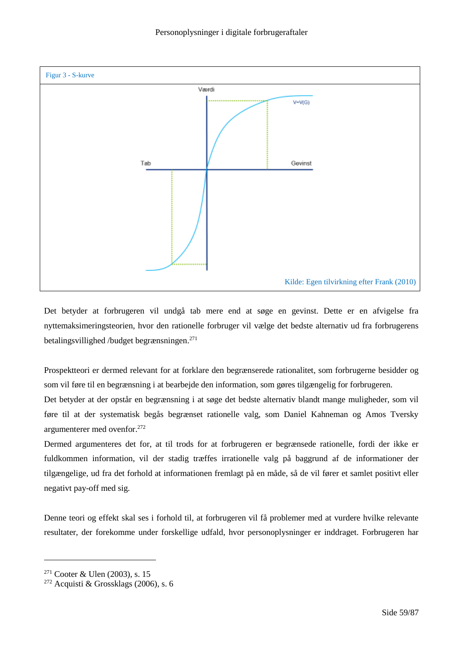

Det betyder at forbrugeren vil undgå tab mere end at søge en gevinst. Dette er en afvigelse fra nyttemaksimeringsteorien, hvor den rationelle forbruger vil vælge det bedste alternativ ud fra forbrugerens betalingsvillighed /budget begrænsningen.<sup>271</sup>

Prospektteori er dermed relevant for at forklare den begrænserede rationalitet, som forbrugerne besidder og som vil føre til en begrænsning i at bearbejde den information, som gøres tilgængelig for forbrugeren.

Det betyder at der opstår en begrænsning i at søge det bedste alternativ blandt mange muligheder, som vil føre til at der systematisk begås begrænset rationelle valg, som Daniel Kahneman og Amos Tversky argumenterer med ovenfor.<sup>272</sup>

Dermed argumenteres det for, at til trods for at forbrugeren er begrænsede rationelle, fordi der ikke er fuldkommen information, vil der stadig træffes irrationelle valg på baggrund af de informationer der tilgængelige, ud fra det forhold at informationen fremlagt på en måde, så de vil fører et samlet positivt eller negativt pay-off med sig.

Denne teori og effekt skal ses i forhold til, at forbrugeren vil få problemer med at vurdere hvilke relevante resultater, der forekomme under forskellige udfald, hvor personoplysninger er inddraget. Forbrugeren har

<sup>271</sup> Cooter & Ulen (2003), s. 15

<sup>272</sup> Acquisti & Grossklags (2006), s. 6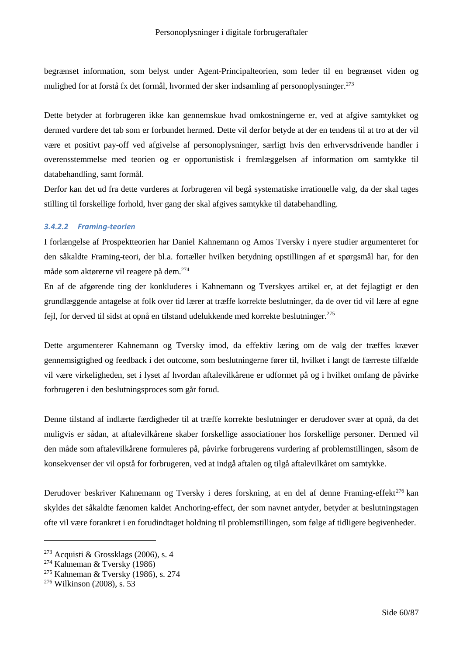begrænset information, som belyst under Agent-Principalteorien, som leder til en begrænset viden og mulighed for at forstå fx det formål, hvormed der sker indsamling af personoplysninger.<sup>273</sup>

Dette betyder at forbrugeren ikke kan gennemskue hvad omkostningerne er, ved at afgive samtykket og dermed vurdere det tab som er forbundet hermed. Dette vil derfor betyde at der en tendens til at tro at der vil være et positivt pay-off ved afgivelse af personoplysninger, særligt hvis den erhvervsdrivende handler i overensstemmelse med teorien og er opportunistisk i fremlæggelsen af information om samtykke til databehandling, samt formål.

Derfor kan det ud fra dette vurderes at forbrugeren vil begå systematiske irrationelle valg, da der skal tages stilling til forskellige forhold, hver gang der skal afgives samtykke til databehandling.

## *3.4.2.2 Framing-teorien*

I forlængelse af Prospektteorien har Daniel Kahnemann og Amos Tversky i nyere studier argumenteret for den såkaldte Framing-teori, der bl.a. fortæller hvilken betydning opstillingen af et spørgsmål har, for den måde som aktørerne vil reagere på dem.<sup>274</sup>

En af de afgørende ting der konkluderes i Kahnemann og Tverskyes artikel er, at det fejlagtigt er den grundlæggende antagelse at folk over tid lærer at træffe korrekte beslutninger, da de over tid vil lære af egne fejl, for derved til sidst at opnå en tilstand udelukkende med korrekte beslutninger.<sup>275</sup>

Dette argumenterer Kahnemann og Tversky imod, da effektiv læring om de valg der træffes kræver gennemsigtighed og feedback i det outcome, som beslutningerne fører til, hvilket i langt de færreste tilfælde vil være virkeligheden, set i lyset af hvordan aftalevilkårene er udformet på og i hvilket omfang de påvirke forbrugeren i den beslutningsproces som går forud.

Denne tilstand af indlærte færdigheder til at træffe korrekte beslutninger er derudover svær at opnå, da det muligvis er sådan, at aftalevilkårene skaber forskellige associationer hos forskellige personer. Dermed vil den måde som aftalevilkårene formuleres på, påvirke forbrugerens vurdering af problemstillingen, såsom de konsekvenser der vil opstå for forbrugeren, ved at indgå aftalen og tilgå aftalevilkåret om samtykke.

Derudover beskriver Kahnemann og Tversky i deres forskning, at en del af denne Framing-effekt<sup>276</sup> kan skyldes det såkaldte fænomen kaldet Anchoring-effect, der som navnet antyder, betyder at beslutningstagen ofte vil være forankret i en forudindtaget holdning til problemstillingen, som følge af tidligere begivenheder.

 $273$  Acquisti & Grossklags (2006), s. 4

<sup>274</sup> Kahneman & Tversky (1986)

<sup>275</sup> Kahneman & Tversky (1986), s. 274

<sup>276</sup> Wilkinson (2008), s. 53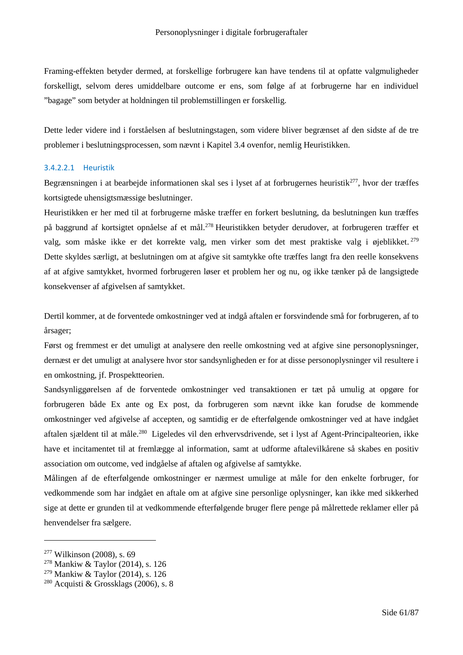Framing-effekten betyder dermed, at forskellige forbrugere kan have tendens til at opfatte valgmuligheder forskelligt, selvom deres umiddelbare outcome er ens, som følge af at forbrugerne har en individuel "bagage" som betyder at holdningen til problemstillingen er forskellig.

Dette leder videre ind i forståelsen af beslutningstagen, som videre bliver begrænset af den sidste af de tre problemer i beslutningsprocessen, som nævnt i Kapitel 3.4 ovenfor, nemlig Heuristikken.

## 3.4.2.2.1 Heuristik

Begrænsningen i at bearbejde informationen skal ses i lyset af at forbrugernes heuristik<sup>277</sup>, hvor der træffes kortsigtede uhensigtsmæssige beslutninger.

Heuristikken er her med til at forbrugerne måske træffer en forkert beslutning, da beslutningen kun træffes på baggrund af kortsigtet opnåelse af et mål.<sup>278</sup> Heuristikken betyder derudover, at forbrugeren træffer et valg, som måske ikke er det korrekte valg, men virker som det mest praktiske valg i øjeblikket. <sup>279</sup> Dette skyldes særligt, at beslutningen om at afgive sit samtykke ofte træffes langt fra den reelle konsekvens af at afgive samtykket, hvormed forbrugeren løser et problem her og nu, og ikke tænker på de langsigtede konsekvenser af afgivelsen af samtykket.

Dertil kommer, at de forventede omkostninger ved at indgå aftalen er forsvindende små for forbrugeren, af to årsager;

Først og fremmest er det umuligt at analysere den reelle omkostning ved at afgive sine personoplysninger, dernæst er det umuligt at analysere hvor stor sandsynligheden er for at disse personoplysninger vil resultere i en omkostning, jf. Prospektteorien.

Sandsynliggørelsen af de forventede omkostninger ved transaktionen er tæt på umulig at opgøre for forbrugeren både Ex ante og Ex post, da forbrugeren som nævnt ikke kan forudse de kommende omkostninger ved afgivelse af accepten, og samtidig er de efterfølgende omkostninger ved at have indgået aftalen sjældent til at måle.<sup>280</sup> Ligeledes vil den erhvervsdrivende, set i lyst af Agent-Principalteorien, ikke have et incitamentet til at fremlægge al information, samt at udforme aftalevilkårene så skabes en positiv association om outcome, ved indgåelse af aftalen og afgivelse af samtykke.

Målingen af de efterfølgende omkostninger er nærmest umulige at måle for den enkelte forbruger, for vedkommende som har indgået en aftale om at afgive sine personlige oplysninger, kan ikke med sikkerhed sige at dette er grunden til at vedkommende efterfølgende bruger flere penge på målrettede reklamer eller på henvendelser fra sælgere.

<sup>277</sup> Wilkinson (2008), s. 69

<sup>278</sup> Mankiw & Taylor (2014), s. 126

<sup>279</sup> Mankiw & Taylor (2014), s. 126

<sup>&</sup>lt;sup>280</sup> Acquisti & Grossklags (2006), s. 8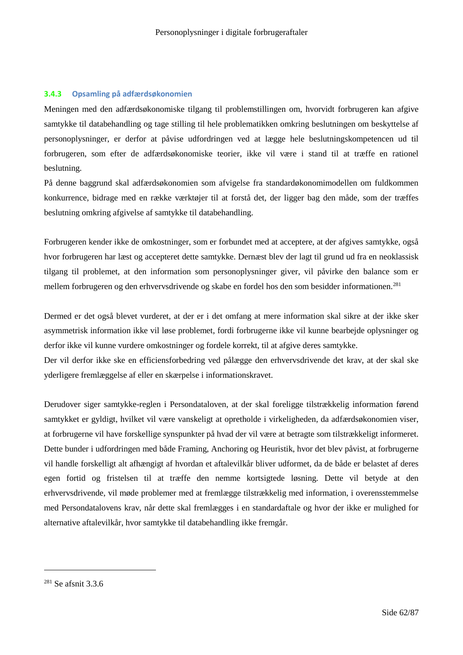## **3.4.3 Opsamling på adfærdsøkonomien**

Meningen med den adfærdsøkonomiske tilgang til problemstillingen om, hvorvidt forbrugeren kan afgive samtykke til databehandling og tage stilling til hele problematikken omkring beslutningen om beskyttelse af personoplysninger, er derfor at påvise udfordringen ved at lægge hele beslutningskompetencen ud til forbrugeren, som efter de adfærdsøkonomiske teorier, ikke vil være i stand til at træffe en rationel beslutning.

På denne baggrund skal adfærdsøkonomien som afvigelse fra standardøkonomimodellen om fuldkommen konkurrence, bidrage med en række værktøjer til at forstå det, der ligger bag den måde, som der træffes beslutning omkring afgivelse af samtykke til databehandling.

Forbrugeren kender ikke de omkostninger, som er forbundet med at acceptere, at der afgives samtykke, også hvor forbrugeren har læst og accepteret dette samtykke. Dernæst blev der lagt til grund ud fra en neoklassisk tilgang til problemet, at den information som personoplysninger giver, vil påvirke den balance som er mellem forbrugeren og den erhvervsdrivende og skabe en fordel hos den som besidder informationen.<sup>281</sup>

Dermed er det også blevet vurderet, at der er i det omfang at mere information skal sikre at der ikke sker asymmetrisk information ikke vil løse problemet, fordi forbrugerne ikke vil kunne bearbejde oplysninger og derfor ikke vil kunne vurdere omkostninger og fordele korrekt, til at afgive deres samtykke.

Der vil derfor ikke ske en efficiensforbedring ved pålægge den erhvervsdrivende det krav, at der skal ske yderligere fremlæggelse af eller en skærpelse i informationskravet.

Derudover siger samtykke-reglen i Persondataloven, at der skal foreligge tilstrækkelig information førend samtykket er gyldigt, hvilket vil være vanskeligt at opretholde i virkeligheden, da adfærdsøkonomien viser, at forbrugerne vil have forskellige synspunkter på hvad der vil være at betragte som tilstrækkeligt informeret. Dette bunder i udfordringen med både Framing, Anchoring og Heuristik, hvor det blev påvist, at forbrugerne vil handle forskelligt alt afhængigt af hvordan et aftalevilkår bliver udformet, da de både er belastet af deres egen fortid og fristelsen til at træffe den nemme kortsigtede løsning. Dette vil betyde at den erhvervsdrivende, vil møde problemer med at fremlægge tilstrækkelig med information, i overensstemmelse med Persondatalovens krav, når dette skal fremlægges i en standardaftale og hvor der ikke er mulighed for alternative aftalevilkår, hvor samtykke til databehandling ikke fremgår.

<sup>281</sup> Se afsnit 3.3.6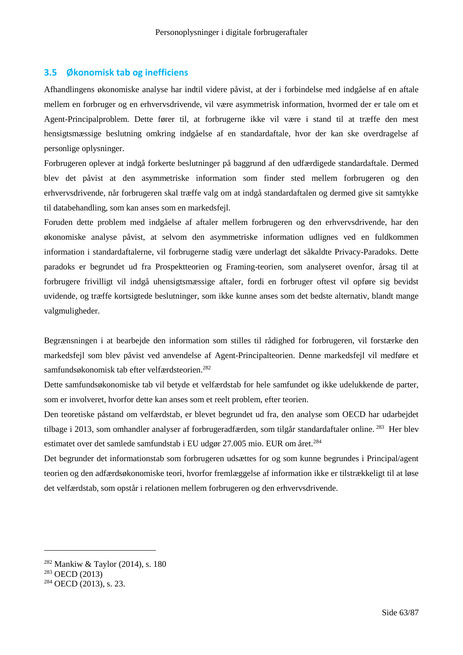## **3.5 Økonomisk tab og inefficiens**

Afhandlingens økonomiske analyse har indtil videre påvist, at der i forbindelse med indgåelse af en aftale mellem en forbruger og en erhvervsdrivende, vil være asymmetrisk information, hvormed der er tale om et Agent-Principalproblem. Dette fører til, at forbrugerne ikke vil være i stand til at træffe den mest hensigtsmæssige beslutning omkring indgåelse af en standardaftale, hvor der kan ske overdragelse af personlige oplysninger.

Forbrugeren oplever at indgå forkerte beslutninger på baggrund af den udfærdigede standardaftale. Dermed blev det påvist at den asymmetriske information som finder sted mellem forbrugeren og den erhvervsdrivende, når forbrugeren skal træffe valg om at indgå standardaftalen og dermed give sit samtykke til databehandling, som kan anses som en markedsfejl.

Foruden dette problem med indgåelse af aftaler mellem forbrugeren og den erhvervsdrivende, har den økonomiske analyse påvist, at selvom den asymmetriske information udlignes ved en fuldkommen information i standardaftalerne, vil forbrugerne stadig være underlagt det såkaldte Privacy-Paradoks. Dette paradoks er begrundet ud fra Prospektteorien og Framing-teorien, som analyseret ovenfor, årsag til at forbrugere frivilligt vil indgå uhensigtsmæssige aftaler, fordi en forbruger oftest vil opføre sig bevidst uvidende, og træffe kortsigtede beslutninger, som ikke kunne anses som det bedste alternativ, blandt mange valgmuligheder.

Begrænsningen i at bearbejde den information som stilles til rådighed for forbrugeren, vil forstærke den markedsfejl som blev påvist ved anvendelse af Agent-Principalteorien. Denne markedsfejl vil medføre et samfundsøkonomisk tab efter velfærdsteorien.<sup>282</sup>

Dette samfundsøkonomiske tab vil betyde et velfærdstab for hele samfundet og ikke udelukkende de parter, som er involveret, hvorfor dette kan anses som et reelt problem, efter teorien.

Den teoretiske påstand om velfærdstab, er blevet begrundet ud fra, den analyse som OECD har udarbejdet tilbage i 2013, som omhandler analyser af forbrugeradfærden, som tilgår standardaftaler online. <sup>283</sup> Her blev estimatet over det samlede samfundstab i EU udgør 27.005 mio. EUR om året.<sup>284</sup>

Det begrunder det informationstab som forbrugeren udsættes for og som kunne begrundes i Principal/agent teorien og den adfærdsøkonomiske teori, hvorfor fremlæggelse af information ikke er tilstrækkeligt til at løse det velfærdstab, som opstår i relationen mellem forbrugeren og den erhvervsdrivende.

<sup>282</sup> Mankiw & Taylor (2014), s. 180

<sup>283</sup> OECD (2013)

<sup>284</sup> OECD (2013), s. 23.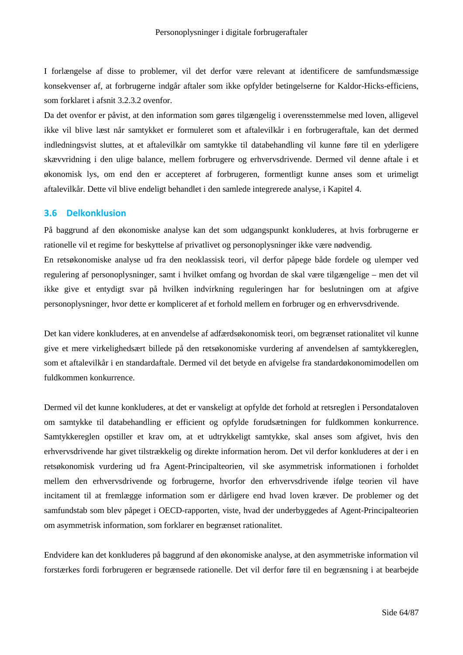I forlængelse af disse to problemer, vil det derfor være relevant at identificere de samfundsmæssige konsekvenser af, at forbrugerne indgår aftaler som ikke opfylder betingelserne for Kaldor-Hicks-efficiens, som forklaret i afsnit 3.2.3.2 ovenfor.

Da det ovenfor er påvist, at den information som gøres tilgængelig i overensstemmelse med loven, alligevel ikke vil blive læst når samtykket er formuleret som et aftalevilkår i en forbrugeraftale, kan det dermed indledningsvist sluttes, at et aftalevilkår om samtykke til databehandling vil kunne føre til en yderligere skævvridning i den ulige balance, mellem forbrugere og erhvervsdrivende. Dermed vil denne aftale i et økonomisk lys, om end den er accepteret af forbrugeren, formentligt kunne anses som et urimeligt aftalevilkår. Dette vil blive endeligt behandlet i den samlede integrerede analyse, i Kapitel 4.

## **3.6 Delkonklusion**

På baggrund af den økonomiske analyse kan det som udgangspunkt konkluderes, at hvis forbrugerne er rationelle vil et regime for beskyttelse af privatlivet og personoplysninger ikke være nødvendig.

En retsøkonomiske analyse ud fra den neoklassisk teori, vil derfor påpege både fordele og ulemper ved regulering af personoplysninger, samt i hvilket omfang og hvordan de skal være tilgængelige – men det vil ikke give et entydigt svar på hvilken indvirkning reguleringen har for beslutningen om at afgive personoplysninger, hvor dette er kompliceret af et forhold mellem en forbruger og en erhvervsdrivende.

Det kan videre konkluderes, at en anvendelse af adfærdsøkonomisk teori, om begrænset rationalitet vil kunne give et mere virkelighedsært billede på den retsøkonomiske vurdering af anvendelsen af samtykkereglen, som et aftalevilkår i en standardaftale. Dermed vil det betyde en afvigelse fra standardøkonomimodellen om fuldkommen konkurrence.

Dermed vil det kunne konkluderes, at det er vanskeligt at opfylde det forhold at retsreglen i Persondataloven om samtykke til databehandling er efficient og opfylde forudsætningen for fuldkommen konkurrence. Samtykkereglen opstiller et krav om, at et udtrykkeligt samtykke, skal anses som afgivet, hvis den erhvervsdrivende har givet tilstrækkelig og direkte information herom. Det vil derfor konkluderes at der i en retsøkonomisk vurdering ud fra Agent-Principalteorien, vil ske asymmetrisk informationen i forholdet mellem den erhvervsdrivende og forbrugerne, hvorfor den erhvervsdrivende ifølge teorien vil have incitament til at fremlægge information som er dårligere end hvad loven kræver. De problemer og det samfundstab som blev påpeget i OECD-rapporten, viste, hvad der underbyggedes af Agent-Principalteorien om asymmetrisk information, som forklarer en begrænset rationalitet.

Endvidere kan det konkluderes på baggrund af den økonomiske analyse, at den asymmetriske information vil forstærkes fordi forbrugeren er begrænsede rationelle. Det vil derfor føre til en begrænsning i at bearbejde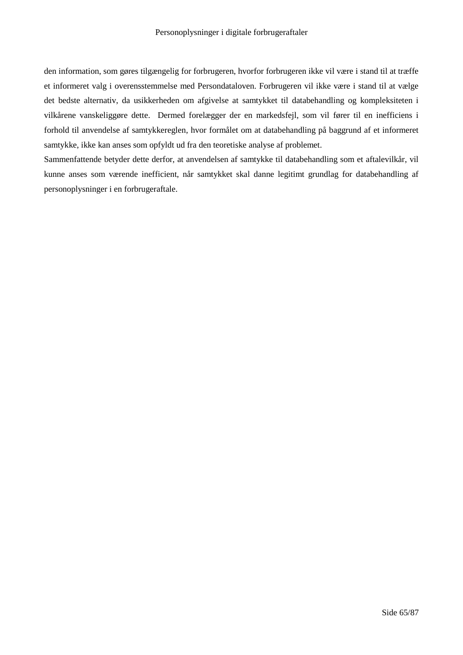den information, som gøres tilgængelig for forbrugeren, hvorfor forbrugeren ikke vil være i stand til at træffe et informeret valg i overensstemmelse med Persondataloven. Forbrugeren vil ikke være i stand til at vælge det bedste alternativ, da usikkerheden om afgivelse at samtykket til databehandling og kompleksiteten i vilkårene vanskeliggøre dette. Dermed forelægger der en markedsfejl, som vil fører til en inefficiens i forhold til anvendelse af samtykkereglen, hvor formålet om at databehandling på baggrund af et informeret samtykke, ikke kan anses som opfyldt ud fra den teoretiske analyse af problemet.

Sammenfattende betyder dette derfor, at anvendelsen af samtykke til databehandling som et aftalevilkår, vil kunne anses som værende inefficient, når samtykket skal danne legitimt grundlag for databehandling af personoplysninger i en forbrugeraftale.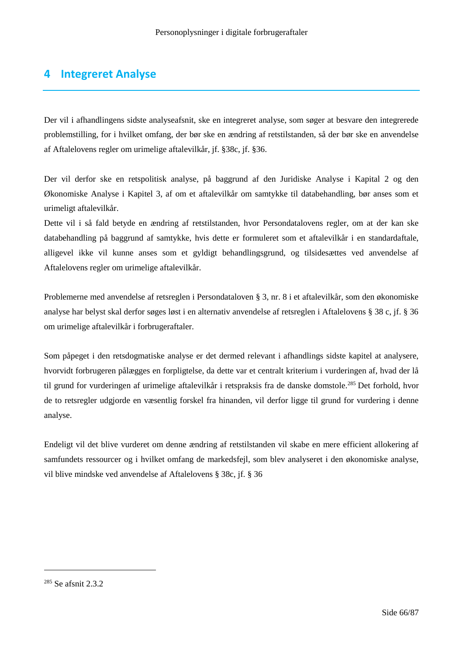# **4 Integreret Analyse**

Der vil i afhandlingens sidste analyseafsnit, ske en integreret analyse, som søger at besvare den integrerede problemstilling, for i hvilket omfang, der bør ske en ændring af retstilstanden, så der bør ske en anvendelse af Aftalelovens regler om urimelige aftalevilkår, jf. §38c, jf. §36.

Der vil derfor ske en retspolitisk analyse, på baggrund af den Juridiske Analyse i Kapital 2 og den Økonomiske Analyse i Kapitel 3, af om et aftalevilkår om samtykke til databehandling, bør anses som et urimeligt aftalevilkår.

Dette vil i så fald betyde en ændring af retstilstanden, hvor Persondatalovens regler, om at der kan ske databehandling på baggrund af samtykke, hvis dette er formuleret som et aftalevilkår i en standardaftale, alligevel ikke vil kunne anses som et gyldigt behandlingsgrund, og tilsidesættes ved anvendelse af Aftalelovens regler om urimelige aftalevilkår.

Problemerne med anvendelse af retsreglen i Persondataloven § 3, nr. 8 i et aftalevilkår, som den økonomiske analyse har belyst skal derfor søges løst i en alternativ anvendelse af retsreglen i Aftalelovens § 38 c, jf. § 36 om urimelige aftalevilkår i forbrugeraftaler.

Som påpeget i den retsdogmatiske analyse er det dermed relevant i afhandlings sidste kapitel at analysere, hvorvidt forbrugeren pålægges en forpligtelse, da dette var et centralt kriterium i vurderingen af, hvad der lå til grund for vurderingen af urimelige aftalevilkår i retspraksis fra de danske domstole.<sup>285</sup> Det forhold, hvor de to retsregler udgjorde en væsentlig forskel fra hinanden, vil derfor ligge til grund for vurdering i denne analyse.

Endeligt vil det blive vurderet om denne ændring af retstilstanden vil skabe en mere efficient allokering af samfundets ressourcer og i hvilket omfang de markedsfejl, som blev analyseret i den økonomiske analyse, vil blive mindske ved anvendelse af Aftalelovens § 38c, jf. § 36

<sup>285</sup> Se afsnit 2.3.2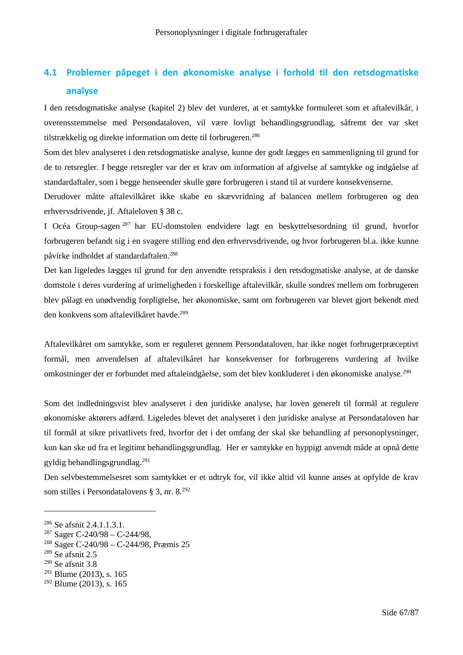# **4.1 Problemer påpeget i den økonomiske analyse i forhold til den retsdogmatiske analyse**

I den retsdogmatiske analyse (kapitel 2) blev det vurderet, at et samtykke formuleret som et aftalevilkår, i overensstemmelse med Persondataloven, vil være lovligt behandlingsgrundlag, såfremt der var sket tilstrækkelig og direkte information om dette til forbrugeren.<sup>286</sup>

Som det blev analyseret i den retsdogmatiske analyse, kunne der godt lægges en sammenligning til grund for de to retsregler. I begge retsregler var der et krav om information af afgivelse af samtykke og indgåelse af standardaftaler, som i begge henseender skulle gøre forbrugeren i stand til at vurdere konsekvenserne.

Derudover måtte aftalevilkåret ikke skabe en skævvridning af balancen mellem forbrugeren og den erhvervsdrivende, jf. Aftaleloven § 38 c.

I Océa Group-sagen <sup>287</sup> har EU-domstolen endvidere lagt en beskyttelsesordning til grund, hvorfor forbrugeren befandt sig i en svagere stilling end den erhvervsdrivende, og hvor forbrugeren bl.a. ikke kunne påvirke indholdet af standardaftalen.<sup>288</sup>

Det kan ligeledes lægges til grund for den anvendte retspraksis i den retsdogmatiske analyse, at de danske domstole i deres vurdering af urimeligheden i forskellige aftalevilkår, skulle sondres mellem om forbrugeren blev pålagt en unødvendig forpligtelse, her økonomiske, samt om forbrugeren var blevet gjort bekendt med den konkvens som aftalevilkåret havde.<sup>289</sup>

Aftalevilkåret om samtykke, som er reguleret gennem Persondataloven, har ikke noget forbrugerpræceptivt formål, men anvendelsen af aftalevilkåret har konsekvenser for forbrugerens vurdering af hvilke omkostninger der er forbundet med aftaleindgåelse, som det blev konkluderet i den økonomiske analyse.<sup>290</sup>

Som det indledningsvist blev analyseret i den juridiske analyse, har loven generelt til formål at regulere økonomiske aktørers adfærd. Ligeledes blevet det analyseret i den juridiske analyse at Persondataloven har til formål at sikre privatlivets fred, hvorfor det i det omfang der skal ske behandling af personoplysninger, kun kan ske ud fra et legitimt behandlingsgrundlag. Her er samtykke en hyppigt anvendt måde at opnå dette gyldig behandlingsgrundlag.<sup>291</sup>

Den selvbestemmelsesret som samtykket er et udtryk for, vil ikke altid vil kunne anses at opfylde de krav som stilles i Persondatalovens § 3, nr. 8.<sup>292</sup>

<sup>286</sup> Se afsnit 2.4.1.1.3.1.

<sup>287</sup> Sager C-240/98 – C-244/98,

<sup>288</sup> Sager C-240/98 – C-244/98, Præmis 25

 $289$  Se afsnit 2.5

 $290$  Se afsnit 3.8

 $291$  Blume (2013), s. 165

 $292$  Blume (2013), s. 165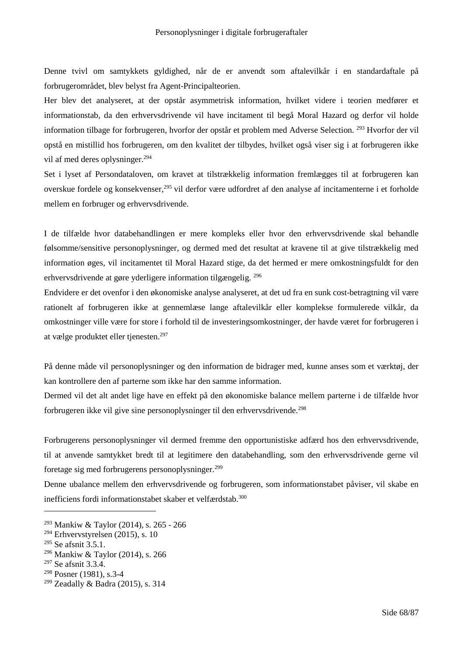Denne tvivl om samtykkets gyldighed, når de er anvendt som aftalevilkår i en standardaftale på forbrugerområdet, blev belyst fra Agent-Principalteorien.

Her blev det analyseret, at der opstår asymmetrisk information, hvilket videre i teorien medfører et informationstab, da den erhvervsdrivende vil have incitament til begå Moral Hazard og derfor vil holde information tilbage for forbrugeren, hvorfor der opstår et problem med Adverse Selection. <sup>293</sup> Hvorfor der vil opstå en mistillid hos forbrugeren, om den kvalitet der tilbydes, hvilket også viser sig i at forbrugeren ikke vil af med deres oplysninger.<sup>294</sup>

Set i lyset af Persondataloven, om kravet at tilstrækkelig information fremlægges til at forbrugeren kan overskue fordele og konsekvenser,<sup>295</sup> vil derfor være udfordret af den analyse af incitamenterne i et forholde mellem en forbruger og erhvervsdrivende.

I de tilfælde hvor databehandlingen er mere kompleks eller hvor den erhvervsdrivende skal behandle følsomme/sensitive personoplysninger, og dermed med det resultat at kravene til at give tilstrækkelig med information øges, vil incitamentet til Moral Hazard stige, da det hermed er mere omkostningsfuldt for den erhvervsdrivende at gøre yderligere information tilgængelig. <sup>296</sup>

Endvidere er det ovenfor i den økonomiske analyse analyseret, at det ud fra en sunk cost-betragtning vil være rationelt af forbrugeren ikke at gennemlæse lange aftalevilkår eller komplekse formulerede vilkår, da omkostninger ville være for store i forhold til de investeringsomkostninger, der havde været for forbrugeren i at vælge produktet eller tienesten.<sup>297</sup>

På denne måde vil personoplysninger og den information de bidrager med, kunne anses som et værktøj, der kan kontrollere den af parterne som ikke har den samme information.

Dermed vil det alt andet lige have en effekt på den økonomiske balance mellem parterne i de tilfælde hvor forbrugeren ikke vil give sine personoplysninger til den erhvervsdrivende.<sup>298</sup>

Forbrugerens personoplysninger vil dermed fremme den opportunistiske adfærd hos den erhvervsdrivende, til at anvende samtykket bredt til at legitimere den databehandling, som den erhvervsdrivende gerne vil foretage sig med forbrugerens personoplysninger.<sup>299</sup>

Denne ubalance mellem den erhvervsdrivende og forbrugeren, som informationstabet påviser, vil skabe en inefficiens fordi informationstabet skaber et velfærdstab.<sup>300</sup>

<sup>296</sup> Mankiw & Taylor (2014), s. 266

<sup>293</sup> Mankiw & Taylor (2014), s. 265 - 266

<sup>294</sup> Erhvervstyrelsen (2015), s. 10

<sup>&</sup>lt;sup>295</sup> Se afsnit 3.5.1.

<sup>297</sup> Se afsnit 3.3.4.

<sup>298</sup> Posner (1981), s.3-4

<sup>299</sup> Zeadally & Badra (2015), s. 314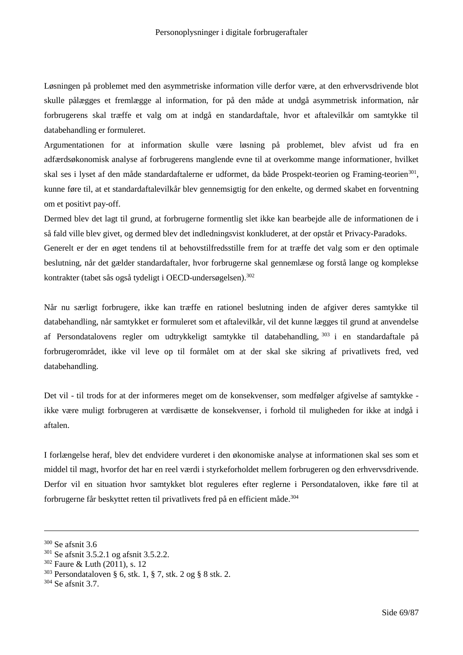Løsningen på problemet med den asymmetriske information ville derfor være, at den erhvervsdrivende blot skulle pålægges et fremlægge al information, for på den måde at undgå asymmetrisk information, når forbrugerens skal træffe et valg om at indgå en standardaftale, hvor et aftalevilkår om samtykke til databehandling er formuleret.

Argumentationen for at information skulle være løsning på problemet, blev afvist ud fra en adfærdsøkonomisk analyse af forbrugerens manglende evne til at overkomme mange informationer, hvilket skal ses i lyset af den måde standardaftalerne er udformet, da både Prospekt-teorien og Framing-teorien<sup>301</sup>, kunne føre til, at et standardaftalevilkår blev gennemsigtig for den enkelte, og dermed skabet en forventning om et positivt pay-off.

Dermed blev det lagt til grund, at forbrugerne formentlig slet ikke kan bearbejde alle de informationen de i så fald ville blev givet, og dermed blev det indledningsvist konkluderet, at der opstår et Privacy-Paradoks. Generelt er der en øget tendens til at behovstilfredsstille frem for at træffe det valg som er den optimale beslutning, når det gælder standardaftaler, hvor forbrugerne skal gennemlæse og forstå lange og komplekse

kontrakter (tabet sås også tydeligt i OECD-undersøgelsen).<sup>302</sup>

Når nu særligt forbrugere, ikke kan træffe en rationel beslutning inden de afgiver deres samtykke til databehandling, når samtykket er formuleret som et aftalevilkår, vil det kunne lægges til grund at anvendelse af Persondatalovens regler om udtrykkeligt samtykke til databehandling, <sup>303</sup> i en standardaftale på forbrugerområdet, ikke vil leve op til formålet om at der skal ske sikring af privatlivets fred, ved databehandling.

Det vil - til trods for at der informeres meget om de konsekvenser, som medfølger afgivelse af samtykke ikke være muligt forbrugeren at værdisætte de konsekvenser, i forhold til muligheden for ikke at indgå i aftalen.

I forlængelse heraf, blev det endvidere vurderet i den økonomiske analyse at informationen skal ses som et middel til magt, hvorfor det har en reel værdi i styrkeforholdet mellem forbrugeren og den erhvervsdrivende. Derfor vil en situation hvor samtykket blot reguleres efter reglerne i Persondataloven, ikke føre til at forbrugerne får beskyttet retten til privatlivets fred på en efficient måde.<sup>304</sup>

<sup>304</sup> Se afsnit 3.7.

<sup>300</sup> Se afsnit 3.6

<sup>301</sup> Se afsnit 3.5.2.1 og afsnit 3.5.2.2.

<sup>302</sup> Faure & Luth (2011), s. 12

<sup>303</sup> Persondataloven § 6, stk. 1, § 7, stk. 2 og § 8 stk. 2.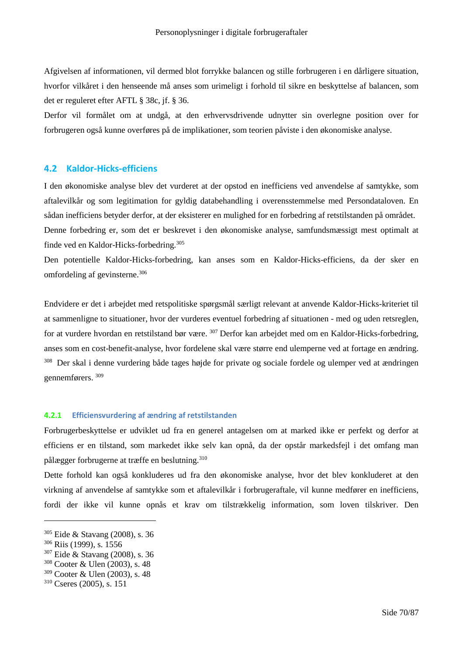Afgivelsen af informationen, vil dermed blot forrykke balancen og stille forbrugeren i en dårligere situation, hvorfor vilkåret i den henseende må anses som urimeligt i forhold til sikre en beskyttelse af balancen, som det er reguleret efter AFTL § 38c, jf. § 36.

Derfor vil formålet om at undgå, at den erhvervsdrivende udnytter sin overlegne position over for forbrugeren også kunne overføres på de implikationer, som teorien påviste i den økonomiske analyse.

# **4.2 Kaldor-Hicks-efficiens**

I den økonomiske analyse blev det vurderet at der opstod en inefficiens ved anvendelse af samtykke, som aftalevilkår og som legitimation for gyldig databehandling i overensstemmelse med Persondataloven. En sådan inefficiens betyder derfor, at der eksisterer en mulighed for en forbedring af retstilstanden på området. Denne forbedring er, som det er beskrevet i den økonomiske analyse, samfundsmæssigt mest optimalt at finde ved en Kaldor-Hicks-forbedring.<sup>305</sup>

Den potentielle Kaldor-Hicks-forbedring, kan anses som en Kaldor-Hicks-efficiens, da der sker en omfordeling af gevinsterne.<sup>306</sup>

Endvidere er det i arbejdet med retspolitiske spørgsmål særligt relevant at anvende Kaldor-Hicks-kriteriet til at sammenligne to situationer, hvor der vurderes eventuel forbedring af situationen - med og uden retsreglen, for at vurdere hvordan en retstilstand bør være. <sup>307</sup> Derfor kan arbejdet med om en Kaldor-Hicks-forbedring, anses som en cost-benefit-analyse, hvor fordelene skal være større end ulemperne ved at fortage en ændring. <sup>308</sup> Der skal i denne vurdering både tages højde for private og sociale fordele og ulemper ved at ændringen gennemførers. <sup>309</sup>

## **4.2.1 Efficiensvurdering af ændring af retstilstanden**

Forbrugerbeskyttelse er udviklet ud fra en generel antagelsen om at marked ikke er perfekt og derfor at efficiens er en tilstand, som markedet ikke selv kan opnå, da der opstår markedsfejl i det omfang man pålægger forbrugerne at træffe en beslutning.<sup>310</sup>

Dette forhold kan også konkluderes ud fra den økonomiske analyse, hvor det blev konkluderet at den virkning af anvendelse af samtykke som et aftalevilkår i forbrugeraftale, vil kunne medfører en inefficiens, fordi der ikke vil kunne opnås et krav om tilstrækkelig information, som loven tilskriver. Den

<sup>305</sup> Eide & Stavang (2008), s. 36

<sup>306</sup> Riis (1999), s. 1556

<sup>307</sup> Eide & Stavang (2008), s. 36

<sup>308</sup> Cooter & Ulen (2003), s. 48

<sup>309</sup> Cooter & Ulen (2003), s. 48

<sup>310</sup> Cseres (2005), s. 151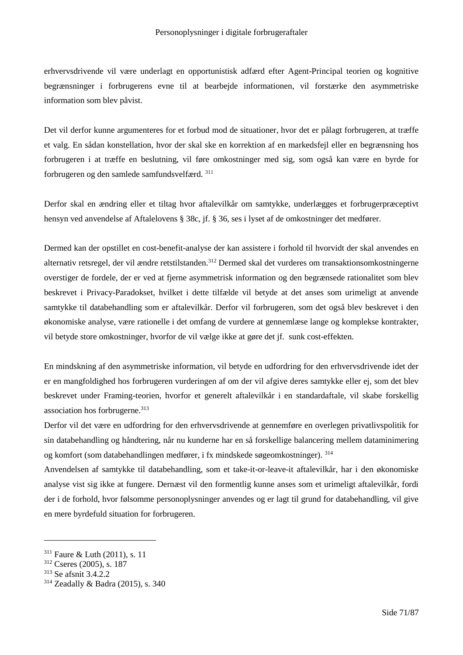erhvervsdrivende vil være underlagt en opportunistisk adfærd efter Agent-Principal teorien og kognitive begrænsninger i forbrugerens evne til at bearbejde informationen, vil forstærke den asymmetriske information som blev påvist.

Det vil derfor kunne argumenteres for et forbud mod de situationer, hvor det er pålagt forbrugeren, at træffe et valg. En sådan konstellation, hvor der skal ske en korrektion af en markedsfejl eller en begrænsning hos forbrugeren i at træffe en beslutning, vil føre omkostninger med sig, som også kan være en byrde for forbrugeren og den samlede samfundsvelfærd. <sup>311</sup>

Derfor skal en ændring eller et tiltag hvor aftalevilkår om samtykke, underlægges et forbrugerpræceptivt hensyn ved anvendelse af Aftalelovens § 38c, jf. § 36, ses i lyset af de omkostninger det medfører.

Dermed kan der opstillet en cost-benefit-analyse der kan assistere i forhold til hvorvidt der skal anvendes en alternativ retsregel, der vil ændre retstilstanden.<sup>312</sup> Dermed skal det vurderes om transaktionsomkostningerne overstiger de fordele, der er ved at fjerne asymmetrisk information og den begrænsede rationalitet som blev beskrevet i Privacy-Paradokset, hvilket i dette tilfælde vil betyde at det anses som urimeligt at anvende samtykke til databehandling som er aftalevilkår. Derfor vil forbrugeren, som det også blev beskrevet i den økonomiske analyse, være rationelle i det omfang de vurdere at gennemlæse lange og komplekse kontrakter, vil betyde store omkostninger, hvorfor de vil vælge ikke at gøre det jf. sunk cost-effekten.

En mindskning af den asymmetriske information, vil betyde en udfordring for den erhvervsdrivende idet der er en mangfoldighed hos forbrugeren vurderingen af om der vil afgive deres samtykke eller ej, som det blev beskrevet under Framing-teorien, hvorfor et generelt aftalevilkår i en standardaftale, vil skabe forskellig association hos forbrugerne.<sup>313</sup>

Derfor vil det være en udfordring for den erhvervsdrivende at gennemføre en overlegen privatlivspolitik for sin databehandling og håndtering, når nu kunderne har en så forskellige balancering mellem dataminimering og komfort (som databehandlingen medfører, i fx mindskede søgeomkostninger). <sup>314</sup>

Anvendelsen af samtykke til databehandling, som et take-it-or-leave-it aftalevilkår, har i den økonomiske analyse vist sig ikke at fungere. Dernæst vil den formentlig kunne anses som et urimeligt aftalevilkår, fordi der i de forhold, hvor følsomme personoplysninger anvendes og er lagt til grund for databehandling, vil give en mere byrdefuld situation for forbrugeren.

<sup>311</sup> Faure & Luth (2011), s. 11

<sup>312</sup> Cseres (2005), s. 187

<sup>313</sup> Se afsnit 3.4.2.2

<sup>314</sup> Zeadally & Badra (2015), s. 340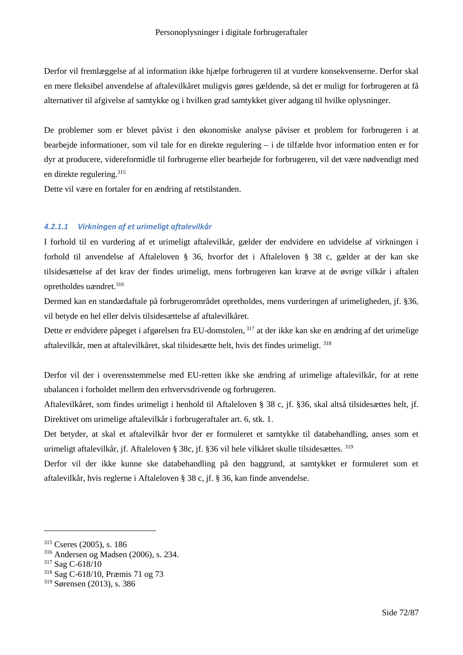Derfor vil fremlæggelse af al information ikke hjælpe forbrugeren til at vurdere konsekvenserne. Derfor skal en mere fleksibel anvendelse af aftalevilkåret muligvis gøres gældende, så det er muligt for forbrugeren at få alternativer til afgivelse af samtykke og i hvilken grad samtykket giver adgang til hvilke oplysninger.

De problemer som er blevet påvist i den økonomiske analyse påviser et problem for forbrugeren i at bearbejde informationer, som vil tale for en direkte regulering – i de tilfælde hvor information enten er for dyr at producere, videreformidle til forbrugerne eller bearbejde for forbrugeren, vil det være nødvendigt med en direkte regulering.<sup>315</sup>

Dette vil være en fortaler for en ændring af retstilstanden.

#### *4.2.1.1 Virkningen af et urimeligt aftalevilkår*

I forhold til en vurdering af et urimeligt aftalevilkår, gælder der endvidere en udvidelse af virkningen i forhold til anvendelse af Aftaleloven § 36, hvorfor det i Aftaleloven § 38 c, gælder at der kan ske tilsidesættelse af det krav der findes urimeligt, mens forbrugeren kan kræve at de øvrige vilkår i aftalen opretholdes uændret.<sup>316</sup>

Dermed kan en standardaftale på forbrugerområdet opretholdes, mens vurderingen af urimeligheden, jf. §36, vil betyde en hel eller delvis tilsidesættelse af aftalevilkåret.

Dette er endvidere påpeget i afgørelsen fra EU-domstolen, <sup>317</sup> at der ikke kan ske en ændring af det urimelige aftalevilkår, men at aftalevilkåret, skal tilsidesætte helt, hvis det findes urimeligt. <sup>318</sup>

Derfor vil der i overensstemmelse med EU-retten ikke ske ændring af urimelige aftalevilkår, for at rette ubalancen i forholdet mellem den erhvervsdrivende og forbrugeren.

Aftalevilkåret, som findes urimeligt i henhold til Aftaleloven § 38 c, jf. §36, skal altså tilsidesættes helt, jf. Direktivet om urimelige aftalevilkår i forbrugeraftaler art. 6, stk. 1.

Det betyder, at skal et aftalevilkår hvor der er formuleret et samtykke til databehandling, anses som et urimeligt aftalevilkår, jf. Aftaleloven § 38c, jf. §36 vil hele vilkåret skulle tilsidesættes. <sup>319</sup>

Derfor vil der ikke kunne ske databehandling på den baggrund, at samtykket er formuleret som et aftalevilkår, hvis reglerne i Aftaleloven § 38 c, jf. § 36, kan finde anvendelse.

<sup>315</sup> Cseres (2005), s. 186

<sup>316</sup> Andersen og Madsen (2006), s. 234.

<sup>317</sup> Sag C-618/10

<sup>318</sup> Sag C-618/10, Præmis 71 og 73

<sup>319</sup> Sørensen (2013), s. 386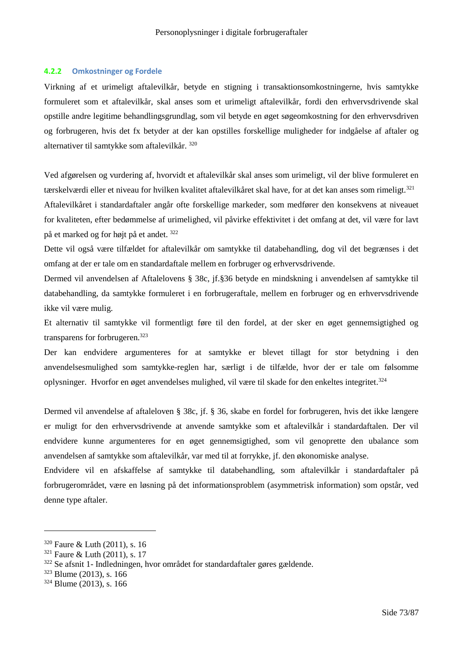#### **4.2.2 Omkostninger og Fordele**

Virkning af et urimeligt aftalevilkår, betyde en stigning i transaktionsomkostningerne, hvis samtykke formuleret som et aftalevilkår, skal anses som et urimeligt aftalevilkår, fordi den erhvervsdrivende skal opstille andre legitime behandlingsgrundlag, som vil betyde en øget søgeomkostning for den erhvervsdriven og forbrugeren, hvis det fx betyder at der kan opstilles forskellige muligheder for indgåelse af aftaler og alternativer til samtykke som aftalevilkår. <sup>320</sup>

Ved afgørelsen og vurdering af, hvorvidt et aftalevilkår skal anses som urimeligt, vil der blive formuleret en tærskelværdi eller et niveau for hvilken kvalitet aftalevilkåret skal have, for at det kan anses som rimeligt.<sup>321</sup> Aftalevilkåret i standardaftaler angår ofte forskellige markeder, som medfører den konsekvens at niveauet

for kvaliteten, efter bedømmelse af urimelighed, vil påvirke effektivitet i det omfang at det, vil være for lavt på et marked og for højt på et andet. <sup>322</sup>

Dette vil også være tilfældet for aftalevilkår om samtykke til databehandling, dog vil det begrænses i det omfang at der er tale om en standardaftale mellem en forbruger og erhvervsdrivende.

Dermed vil anvendelsen af Aftalelovens § 38c, jf.§36 betyde en mindskning i anvendelsen af samtykke til databehandling, da samtykke formuleret i en forbrugeraftale, mellem en forbruger og en erhvervsdrivende ikke vil være mulig.

Et alternativ til samtykke vil formentligt føre til den fordel, at der sker en øget gennemsigtighed og transparens for forbrugeren.<sup>323</sup>

Der kan endvidere argumenteres for at samtykke er blevet tillagt for stor betydning i den anvendelsesmulighed som samtykke-reglen har, særligt i de tilfælde, hvor der er tale om følsomme oplysninger. Hvorfor en øget anvendelses mulighed, vil være til skade for den enkeltes integritet.<sup>324</sup>

Dermed vil anvendelse af aftaleloven § 38c, jf. § 36, skabe en fordel for forbrugeren, hvis det ikke længere er muligt for den erhvervsdrivende at anvende samtykke som et aftalevilkår i standardaftalen. Der vil endvidere kunne argumenteres for en øget gennemsigtighed, som vil genoprette den ubalance som anvendelsen af samtykke som aftalevilkår, var med til at forrykke, jf. den økonomiske analyse.

Endvidere vil en afskaffelse af samtykke til databehandling, som aftalevilkår i standardaftaler på forbrugerområdet, være en løsning på det informationsproblem (asymmetrisk information) som opstår, ved denne type aftaler.

<sup>320</sup> Faure & Luth (2011), s. 16

 $321$  Faure & Luth (2011), s. 17

<sup>322</sup> Se afsnit 1- Indledningen, hvor området for standardaftaler gøres gældende.

<sup>323</sup> Blume (2013), s. 166

<sup>324</sup> Blume (2013), s. 166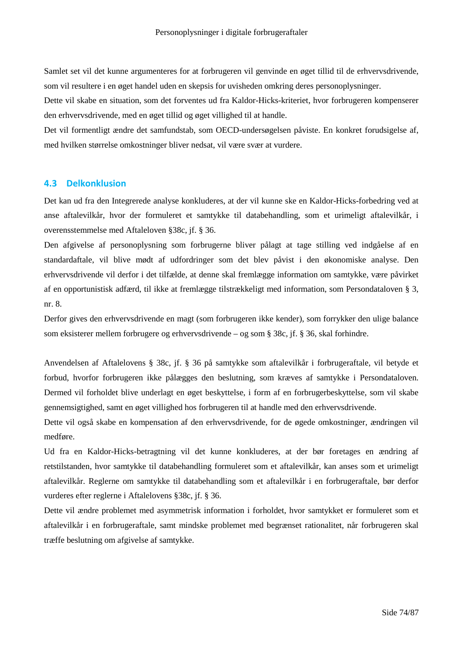Samlet set vil det kunne argumenteres for at forbrugeren vil genvinde en øget tillid til de erhvervsdrivende, som vil resultere i en øget handel uden en skepsis for uvisheden omkring deres personoplysninger.

Dette vil skabe en situation, som det forventes ud fra Kaldor-Hicks-kriteriet, hvor forbrugeren kompenserer den erhvervsdrivende, med en øget tillid og øget villighed til at handle.

Det vil formentligt ændre det samfundstab, som OECD-undersøgelsen påviste. En konkret forudsigelse af, med hvilken størrelse omkostninger bliver nedsat, vil være svær at vurdere.

# **4.3 Delkonklusion**

Det kan ud fra den Integrerede analyse konkluderes, at der vil kunne ske en Kaldor-Hicks-forbedring ved at anse aftalevilkår, hvor der formuleret et samtykke til databehandling, som et urimeligt aftalevilkår, i overensstemmelse med Aftaleloven §38c, jf. § 36.

Den afgivelse af personoplysning som forbrugerne bliver pålagt at tage stilling ved indgåelse af en standardaftale, vil blive mødt af udfordringer som det blev påvist i den økonomiske analyse. Den erhvervsdrivende vil derfor i det tilfælde, at denne skal fremlægge information om samtykke, være påvirket af en opportunistisk adfærd, til ikke at fremlægge tilstrækkeligt med information, som Persondataloven § 3, nr. 8.

Derfor gives den erhvervsdrivende en magt (som forbrugeren ikke kender), som forrykker den ulige balance som eksisterer mellem forbrugere og erhvervsdrivende – og som § 38c, jf. § 36, skal forhindre.

Anvendelsen af Aftalelovens § 38c, jf. § 36 på samtykke som aftalevilkår i forbrugeraftale, vil betyde et forbud, hvorfor forbrugeren ikke pålægges den beslutning, som kræves af samtykke i Persondataloven. Dermed vil forholdet blive underlagt en øget beskyttelse, i form af en forbrugerbeskyttelse, som vil skabe gennemsigtighed, samt en øget villighed hos forbrugeren til at handle med den erhvervsdrivende.

Dette vil også skabe en kompensation af den erhvervsdrivende, for de øgede omkostninger, ændringen vil medføre.

Ud fra en Kaldor-Hicks-betragtning vil det kunne konkluderes, at der bør foretages en ændring af retstilstanden, hvor samtykke til databehandling formuleret som et aftalevilkår, kan anses som et urimeligt aftalevilkår. Reglerne om samtykke til databehandling som et aftalevilkår i en forbrugeraftale, bør derfor vurderes efter reglerne i Aftalelovens §38c, jf. § 36.

Dette vil ændre problemet med asymmetrisk information i forholdet, hvor samtykket er formuleret som et aftalevilkår i en forbrugeraftale, samt mindske problemet med begrænset rationalitet, når forbrugeren skal træffe beslutning om afgivelse af samtykke.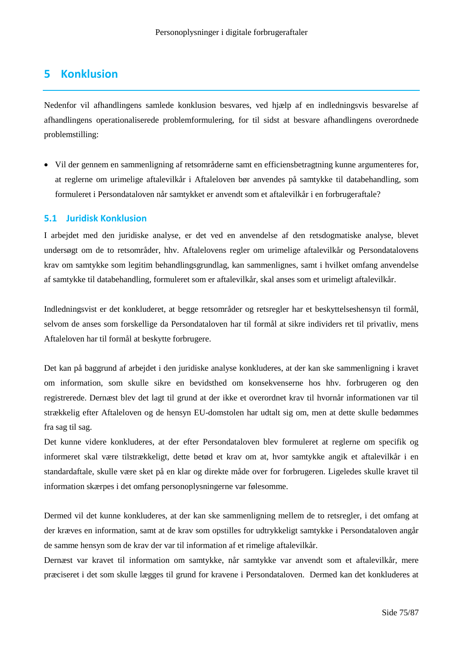# **5 Konklusion**

Nedenfor vil afhandlingens samlede konklusion besvares, ved hjælp af en indledningsvis besvarelse af afhandlingens operationaliserede problemformulering, for til sidst at besvare afhandlingens overordnede problemstilling:

 Vil der gennem en sammenligning af retsområderne samt en efficiensbetragtning kunne argumenteres for, at reglerne om urimelige aftalevilkår i Aftaleloven bør anvendes på samtykke til databehandling, som formuleret i Persondataloven når samtykket er anvendt som et aftalevilkår i en forbrugeraftale?

# **5.1 Juridisk Konklusion**

I arbejdet med den juridiske analyse, er det ved en anvendelse af den retsdogmatiske analyse, blevet undersøgt om de to retsområder, hhv. Aftalelovens regler om urimelige aftalevilkår og Persondatalovens krav om samtykke som legitim behandlingsgrundlag, kan sammenlignes, samt i hvilket omfang anvendelse af samtykke til databehandling, formuleret som er aftalevilkår, skal anses som et urimeligt aftalevilkår.

Indledningsvist er det konkluderet, at begge retsområder og retsregler har et beskyttelseshensyn til formål, selvom de anses som forskellige da Persondataloven har til formål at sikre individers ret til privatliv, mens Aftaleloven har til formål at beskytte forbrugere.

Det kan på baggrund af arbejdet i den juridiske analyse konkluderes, at der kan ske sammenligning i kravet om information, som skulle sikre en bevidsthed om konsekvenserne hos hhv. forbrugeren og den registrerede. Dernæst blev det lagt til grund at der ikke et overordnet krav til hvornår informationen var til strækkelig efter Aftaleloven og de hensyn EU-domstolen har udtalt sig om, men at dette skulle bedømmes fra sag til sag.

Det kunne videre konkluderes, at der efter Persondataloven blev formuleret at reglerne om specifik og informeret skal være tilstrækkeligt, dette betød et krav om at, hvor samtykke angik et aftalevilkår i en standardaftale, skulle være sket på en klar og direkte måde over for forbrugeren. Ligeledes skulle kravet til information skærpes i det omfang personoplysningerne var følesomme.

Dermed vil det kunne konkluderes, at der kan ske sammenligning mellem de to retsregler, i det omfang at der kræves en information, samt at de krav som opstilles for udtrykkeligt samtykke i Persondataloven angår de samme hensyn som de krav der var til information af et rimelige aftalevilkår.

Dernæst var kravet til information om samtykke, når samtykke var anvendt som et aftalevilkår, mere præciseret i det som skulle lægges til grund for kravene i Persondataloven. Dermed kan det konkluderes at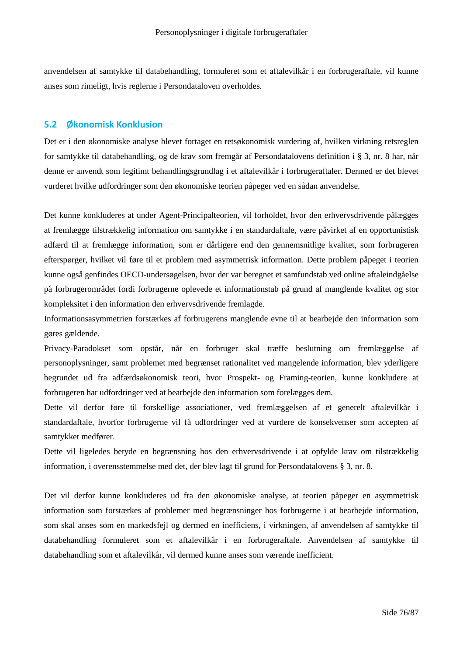anvendelsen af samtykke til databehandling, formuleret som et aftalevilkår i en forbrugeraftale, vil kunne anses som rimeligt, hvis reglerne i Persondataloven overholdes.

# **5.2 Økonomisk Konklusion**

Det er i den økonomiske analyse blevet fortaget en retsøkonomisk vurdering af, hvilken virkning retsreglen for samtykke til databehandling, og de krav som fremgår af Persondatalovens definition i § 3, nr. 8 har, når denne er anvendt som legitimt behandlingsgrundlag i et aftalevilkår i forbrugeraftaler. Dermed er det blevet vurderet hvilke udfordringer som den økonomiske teorien påpeger ved en sådan anvendelse.

Det kunne konkluderes at under Agent-Principalteorien, vil forholdet, hvor den erhvervsdrivende pålægges at fremlægge tilstrækkelig information om samtykke i en standardaftale, være påvirket af en opportunistisk adfærd til at fremlægge information, som er dårligere end den gennemsnitlige kvalitet, som forbrugeren efterspørger, hvilket vil føre til et problem med asymmetrisk information. Dette problem påpeget i teorien kunne også genfindes OECD-undersøgelsen, hvor der var beregnet et samfundstab ved online aftaleindgåelse på forbrugerområdet fordi forbrugerne oplevede et informationstab på grund af manglende kvalitet og stor kompleksitet i den information den erhvervsdrivende fremlagde.

Informationsasymmetrien forstærkes af forbrugerens manglende evne til at bearbejde den information som gøres gældende.

Privacy-Paradokset som opstår, når en forbruger skal træffe beslutning om fremlæggelse af personoplysninger, samt problemet med begrænset rationalitet ved mangelende information, blev yderligere begrundet ud fra adfærdsøkonomisk teori, hvor Prospekt- og Framing-teorien, kunne konkludere at forbrugeren har udfordringer ved at bearbejde den information som forelægges dem.

Dette vil derfor føre til forskellige associationer, ved fremlæggelsen af et generelt aftalevilkår i standardaftale, hvorfor forbrugerne vil få udfordringer ved at vurdere de konsekvenser som accepten af samtykket medfører.

Dette vil ligeledes betyde en begrænsning hos den erhvervsdrivende i at opfylde krav om tilstrækkelig information, i overensstemmelse med det, der blev lagt til grund for Persondatalovens § 3, nr. 8.

Det vil derfor kunne konkluderes ud fra den økonomiske analyse, at teorien påpeger en asymmetrisk information som forstærkes af problemer med begrænsninger hos forbrugerne i at bearbejde information, som skal anses som en markedsfejl og dermed en inefficiens, i virkningen, af anvendelsen af samtykke til databehandling formuleret som et aftalevilkår i en forbrugeraftale. Anvendelsen af samtykke til databehandling som et aftalevilkår, vil dermed kunne anses som værende inefficient.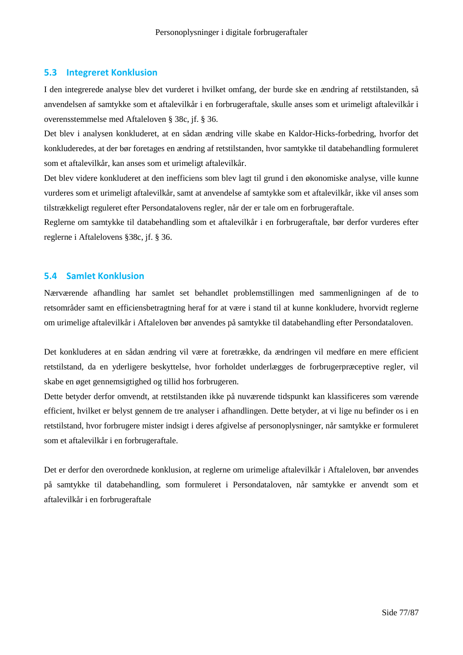# **5.3 Integreret Konklusion**

I den integrerede analyse blev det vurderet i hvilket omfang, der burde ske en ændring af retstilstanden, så anvendelsen af samtykke som et aftalevilkår i en forbrugeraftale, skulle anses som et urimeligt aftalevilkår i overensstemmelse med Aftaleloven § 38c, jf. § 36.

Det blev i analysen konkluderet, at en sådan ændring ville skabe en Kaldor-Hicks-forbedring, hvorfor det konkluderedes, at der bør foretages en ændring af retstilstanden, hvor samtykke til databehandling formuleret som et aftalevilkår, kan anses som et urimeligt aftalevilkår.

Det blev videre konkluderet at den inefficiens som blev lagt til grund i den økonomiske analyse, ville kunne vurderes som et urimeligt aftalevilkår, samt at anvendelse af samtykke som et aftalevilkår, ikke vil anses som tilstrækkeligt reguleret efter Persondatalovens regler, når der er tale om en forbrugeraftale.

Reglerne om samtykke til databehandling som et aftalevilkår i en forbrugeraftale, bør derfor vurderes efter reglerne i Aftalelovens §38c, jf. § 36.

# **5.4 Samlet Konklusion**

Nærværende afhandling har samlet set behandlet problemstillingen med sammenligningen af de to retsområder samt en efficiensbetragtning heraf for at være i stand til at kunne konkludere, hvorvidt reglerne om urimelige aftalevilkår i Aftaleloven bør anvendes på samtykke til databehandling efter Persondataloven.

Det konkluderes at en sådan ændring vil være at foretrække, da ændringen vil medføre en mere efficient retstilstand, da en yderligere beskyttelse, hvor forholdet underlægges de forbrugerpræceptive regler, vil skabe en øget gennemsigtighed og tillid hos forbrugeren.

Dette betyder derfor omvendt, at retstilstanden ikke på nuværende tidspunkt kan klassificeres som værende efficient, hvilket er belyst gennem de tre analyser i afhandlingen. Dette betyder, at vi lige nu befinder os i en retstilstand, hvor forbrugere mister indsigt i deres afgivelse af personoplysninger, når samtykke er formuleret som et aftalevilkår i en forbrugeraftale.

Det er derfor den overordnede konklusion, at reglerne om urimelige aftalevilkår i Aftaleloven, bør anvendes på samtykke til databehandling, som formuleret i Persondataloven, når samtykke er anvendt som et aftalevilkår i en forbrugeraftale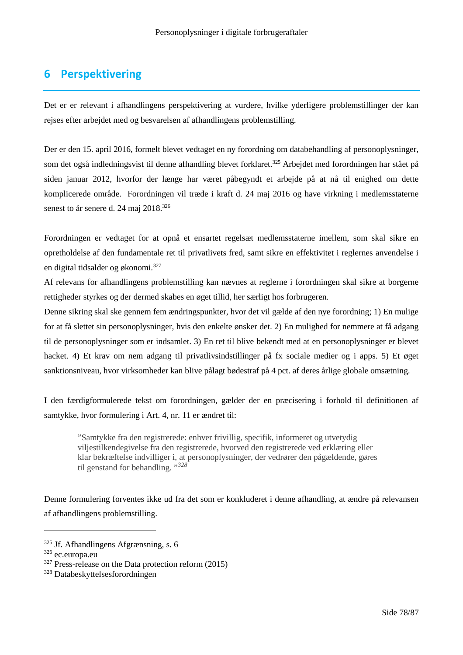# **6 Perspektivering**

Det er er relevant i afhandlingens perspektivering at vurdere, hvilke yderligere problemstillinger der kan rejses efter arbejdet med og besvarelsen af afhandlingens problemstilling.

Der er den 15. april 2016, formelt blevet vedtaget en ny forordning om databehandling af personoplysninger, som det også indledningsvist til denne afhandling blevet forklaret.<sup>325</sup> Arbejdet med forordningen har stået på siden januar 2012, hvorfor der længe har været påbegyndt et arbejde på at nå til enighed om dette komplicerede område. Forordningen vil træde i kraft d. 24 maj 2016 og have virkning i medlemsstaterne senest to år senere d. 24 maj 2018.<sup>326</sup>

Forordningen er vedtaget for at opnå et ensartet regelsæt medlemsstaterne imellem, som skal sikre en opretholdelse af den fundamentale ret til privatlivets fred, samt sikre en effektivitet i reglernes anvendelse i en digital tidsalder og økonomi.<sup>327</sup>

Af relevans for afhandlingens problemstilling kan nævnes at reglerne i forordningen skal sikre at borgerne rettigheder styrkes og der dermed skabes en øget tillid, her særligt hos forbrugeren.

Denne sikring skal ske gennem fem ændringspunkter, hvor det vil gælde af den nye forordning; 1) En mulige for at få slettet sin personoplysninger, hvis den enkelte ønsker det. 2) En mulighed for nemmere at få adgang til de personoplysninger som er indsamlet. 3) En ret til blive bekendt med at en personoplysninger er blevet hacket. 4) Et krav om nem adgang til privatlivsindstillinger på fx sociale medier og i apps. 5) Et øget sanktionsniveau, hvor virksomheder kan blive pålagt bødestraf på 4 pct. af deres årlige globale omsætning.

I den færdigformulerede tekst om forordningen, gælder der en præcisering i forhold til definitionen af samtykke, hvor formulering i Art. 4, nr. 11 er ændret til:

"Samtykke fra den registrerede: enhver frivillig, specifik, informeret og utvetydig viljestilkendegivelse fra den registrerede, hvorved den registrerede ved erklæring eller klar bekræftelse indvilliger i, at personoplysninger, der vedrører den pågældende, gøres til genstand for behandling. "*<sup>328</sup>*

Denne formulering forventes ikke ud fra det som er konkluderet i denne afhandling, at ændre på relevansen af afhandlingens problemstilling.

 $325$  Jf. Afhandlingens Afgrænsning, s. 6

<sup>326</sup> ec.europa.eu

 $327$  Press-release on the Data protection reform (2015)

<sup>328</sup> Databeskyttelsesforordningen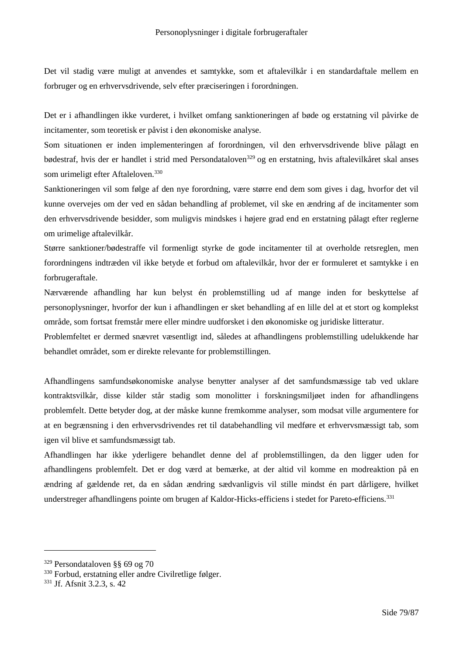Det vil stadig være muligt at anvendes et samtykke, som et aftalevilkår i en standardaftale mellem en forbruger og en erhvervsdrivende, selv efter præciseringen i forordningen.

Det er i afhandlingen ikke vurderet, i hvilket omfang sanktioneringen af bøde og erstatning vil påvirke de incitamenter, som teoretisk er påvist i den økonomiske analyse.

Som situationen er inden implementeringen af forordningen, vil den erhvervsdrivende blive pålagt en bødestraf, hvis der er handlet i strid med Persondataloven<sup>329</sup> og en erstatning, hvis aftalevilkåret skal anses som urimeligt efter Aftaleloven.<sup>330</sup>

Sanktioneringen vil som følge af den nye forordning, være større end dem som gives i dag, hvorfor det vil kunne overvejes om der ved en sådan behandling af problemet, vil ske en ændring af de incitamenter som den erhvervsdrivende besidder, som muligvis mindskes i højere grad end en erstatning pålagt efter reglerne om urimelige aftalevilkår.

Større sanktioner/bødestraffe vil formenligt styrke de gode incitamenter til at overholde retsreglen, men forordningens indtræden vil ikke betyde et forbud om aftalevilkår, hvor der er formuleret et samtykke i en forbrugeraftale.

Nærværende afhandling har kun belyst én problemstilling ud af mange inden for beskyttelse af personoplysninger, hvorfor der kun i afhandlingen er sket behandling af en lille del at et stort og komplekst område, som fortsat fremstår mere eller mindre uudforsket i den økonomiske og juridiske litteratur.

Problemfeltet er dermed snævret væsentligt ind, således at afhandlingens problemstilling udelukkende har behandlet området, som er direkte relevante for problemstillingen.

Afhandlingens samfundsøkonomiske analyse benytter analyser af det samfundsmæssige tab ved uklare kontraktsvilkår, disse kilder står stadig som monolitter i forskningsmiljøet inden for afhandlingens problemfelt. Dette betyder dog, at der måske kunne fremkomme analyser, som modsat ville argumentere for at en begrænsning i den erhvervsdrivendes ret til databehandling vil medføre et erhvervsmæssigt tab, som igen vil blive et samfundsmæssigt tab.

Afhandlingen har ikke yderligere behandlet denne del af problemstillingen, da den ligger uden for afhandlingens problemfelt. Det er dog værd at bemærke, at der altid vil komme en modreaktion på en ændring af gældende ret, da en sådan ændring sædvanligvis vil stille mindst én part dårligere, hvilket understreger afhandlingens pointe om brugen af Kaldor-Hicks-efficiens i stedet for Pareto-efficiens.<sup>331</sup>

<sup>329</sup> Persondataloven §§ 69 og 70

<sup>330</sup> Forbud, erstatning eller andre Civilretlige følger.

<sup>331</sup> Jf. Afsnit 3.2.3, s. 42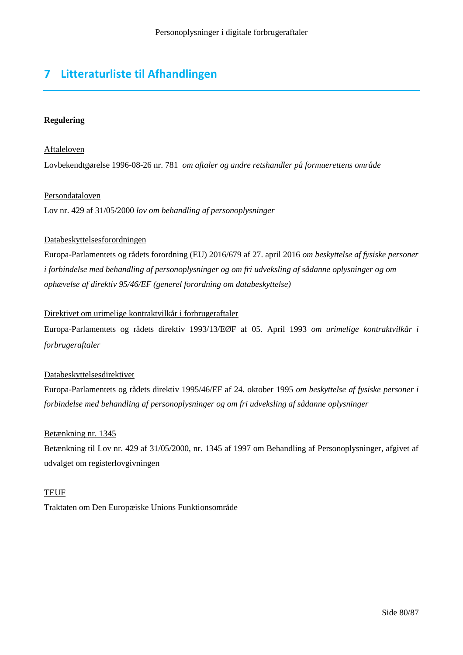# **7 Litteraturliste til Afhandlingen**

# **Regulering**

# Aftaleloven

Lovbekendtgørelse 1996-08-26 nr. 781 *om aftaler og andre retshandler på formuerettens område*

#### Persondataloven

Lov nr. 429 af 31/05/2000 *lov om behandling af personoplysninger*

#### Databeskyttelsesforordningen

Europa-Parlamentets og rådets forordning (EU) 2016/679 af 27. april 2016 *om beskyttelse af fysiske personer i forbindelse med behandling af personoplysninger og om fri udveksling af sådanne oplysninger og om ophævelse af direktiv 95/46/EF (generel forordning om databeskyttelse)*

# Direktivet om urimelige kontraktvilkår i forbrugeraftaler

Europa-Parlamentets og rådets direktiv 1993/13/EØF af 05. April 1993 *om urimelige kontraktvilkår i forbrugeraftaler*

#### Databeskyttelsesdirektivet

Europa-Parlamentets og rådets direktiv 1995/46/EF af 24. oktober 1995 *om beskyttelse af fysiske personer i forbindelse med behandling af personoplysninger og om fri udveksling af sådanne oplysninger*

#### Betænkning nr. 1345

Betænkning til Lov nr. 429 af 31/05/2000, nr. 1345 af 1997 om Behandling af Personoplysninger, afgivet af udvalget om registerlovgivningen

#### **TEUF**

Traktaten om Den Europæiske Unions Funktionsområde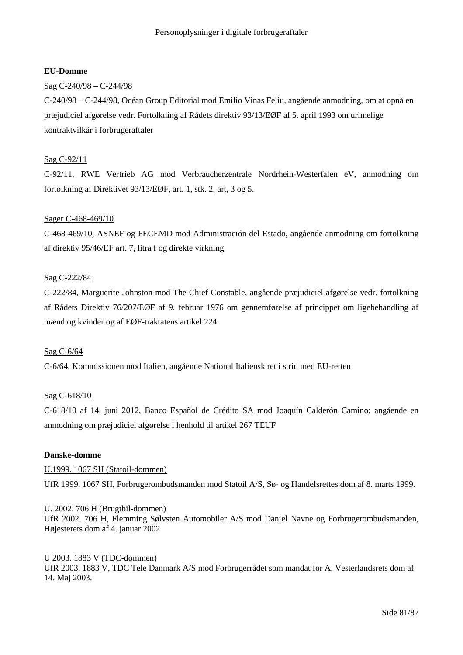#### **EU-Domme**

# Sag C-240/98 – C-244/98

C-240/98 – C-244/98, Océan Group Editorial mod Emilio Vinas Feliu, angående anmodning, om at opnå en præjudiciel afgørelse vedr. Fortolkning af Rådets direktiv 93/13/EØF af 5. april 1993 om urimelige kontraktvilkår i forbrugeraftaler

# Sag C-92/11

C-92/11, RWE Vertrieb AG mod Verbraucherzentrale Nordrhein-Westerfalen eV, anmodning om fortolkning af Direktivet 93/13/EØF, art. 1, stk. 2, art, 3 og 5.

#### Sager C-468-469/10

C-468-469/10, ASNEF og FECEMD mod Administración del Estado, angående anmodning om fortolkning af direktiv 95/46/EF art. 7, litra f og direkte virkning

#### Sag C-222/84

C-222/84, Marguerite Johnston mod The Chief Constable, angående præjudiciel afgørelse vedr. fortolkning af Rådets Direktiv 76/207/EØF af 9. februar 1976 om gennemførelse af princippet om ligebehandling af mænd og kvinder og af EØF-traktatens artikel 224.

#### Sag C-6/64

C-6/64, Kommissionen mod Italien, angående National Italiensk ret i strid med EU-retten

#### Sag C-618/10

C-618/10 af 14. juni 2012, Banco Español de Crédito SA mod Joaquín Calderón Camino; angående en anmodning om præjudiciel afgørelse i henhold til artikel 267 TEUF

#### **Danske-domme**

#### U.1999. 1067 SH (Statoil-dommen)

UfR 1999. 1067 SH, Forbrugerombudsmanden mod Statoil A/S, Sø- og Handelsrettes dom af 8. marts 1999.

#### U. 2002. 706 H (Brugtbil-dommen)

UfR 2002. 706 H, Flemming Sølvsten Automobiler A/S mod Daniel Navne og Forbrugerombudsmanden, Højesterets dom af 4. januar 2002

#### U 2003. 1883 V (TDC-dommen)

UfR 2003. 1883 V, TDC Tele Danmark A/S mod Forbrugerrådet som mandat for A, Vesterlandsrets dom af 14. Maj 2003.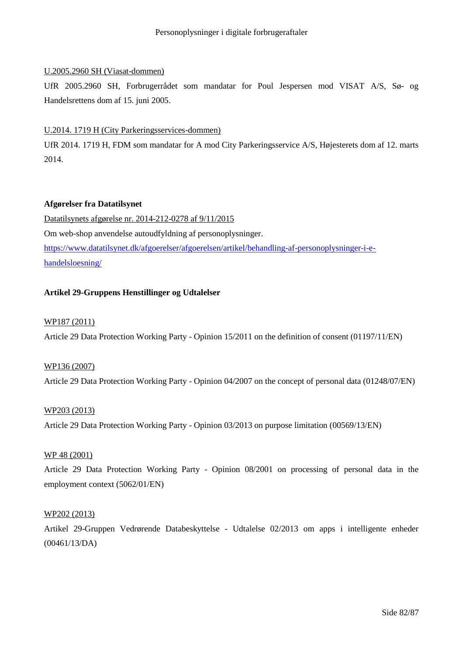# U.2005.2960 SH (Viasat-dommen)

UfR 2005.2960 SH, Forbrugerrådet som mandatar for Poul Jespersen mod VISAT A/S, Sø- og Handelsrettens dom af 15. juni 2005.

# U.2014. 1719 H (City Parkeringsservices-dommen)

UfR 2014. 1719 H, FDM som mandatar for A mod City Parkeringsservice A/S, Højesterets dom af 12. marts 2014.

# **Afgørelser fra Datatilsynet**

Datatilsynets afgørelse nr. 2014-212-0278 af 9/11/2015 Om web-shop anvendelse autoudfyldning af personoplysninger. https://www.datatilsynet.dk/afgoerelser/afgoerelsen/artikel/behandling-af-personoplysninger-i-ehandelsloesning/

# **Artikel 29-Gruppens Henstillinger og Udtalelser**

#### WP187 (2011)

Article 29 Data Protection Working Party - Opinion 15/2011 on the definition of consent (01197/11/EN)

#### WP136 (2007)

Article 29 Data Protection Working Party - Opinion 04/2007 on the concept of personal data (01248/07/EN)

#### WP203 (2013)

Article 29 Data Protection Working Party - Opinion 03/2013 on purpose limitation (00569/13/EN)

### WP 48 (2001)

Article 29 Data Protection Working Party - Opinion 08/2001 on processing of personal data in the employment context (5062/01/EN)

#### WP202 (2013)

Artikel 29-Gruppen Vedrørende Databeskyttelse - Udtalelse 02/2013 om apps i intelligente enheder (00461/13/DA)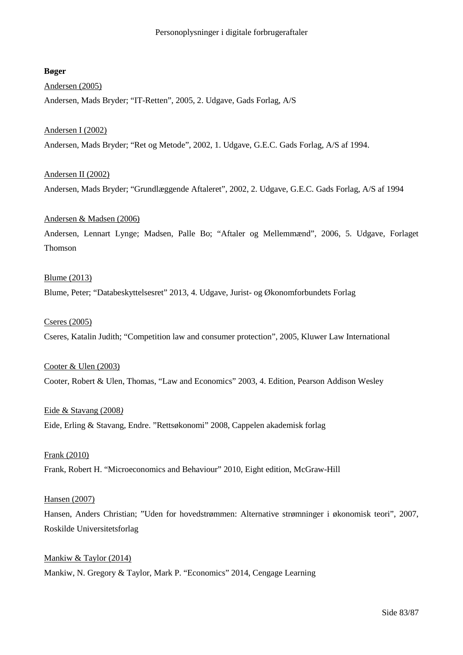# **Bøger**

# Andersen (2005)

Andersen, Mads Bryder; "IT-Retten", 2005, 2. Udgave, Gads Forlag, A/S

#### Andersen I (2002)

Andersen, Mads Bryder; "Ret og Metode", 2002, 1. Udgave, G.E.C. Gads Forlag, A/S af 1994.

# Andersen II (2002)

Andersen, Mads Bryder; "Grundlæggende Aftaleret", 2002, 2. Udgave, G.E.C. Gads Forlag, A/S af 1994

# Andersen & Madsen (2006)

Andersen, Lennart Lynge; Madsen, Palle Bo; "Aftaler og Mellemmænd", 2006, 5. Udgave, Forlaget Thomson

# Blume (2013)

Blume, Peter; "Databeskyttelsesret" 2013, 4. Udgave, Jurist- og Økonomforbundets Forlag

#### Cseres (2005)

Cseres, Katalin Judith; "Competition law and consumer protection", 2005, Kluwer Law International

Cooter & Ulen (2003) Cooter, Robert & Ulen, Thomas, "Law and Economics" 2003, 4. Edition, Pearson Addison Wesley

Eide & Stavang (2008*)* Eide, Erling & Stavang, Endre. "Rettsøkonomi" 2008, Cappelen akademisk forlag

Frank (2010) Frank, Robert H. "Microeconomics and Behaviour" 2010, Eight edition, McGraw-Hill

#### Hansen (2007)

Hansen, Anders Christian; "Uden for hovedstrømmen: Alternative strømninger i økonomisk teori", 2007, Roskilde Universitetsforlag

Mankiw & Taylor (2014) Mankiw, N. Gregory & Taylor, Mark P. "Economics" 2014, Cengage Learning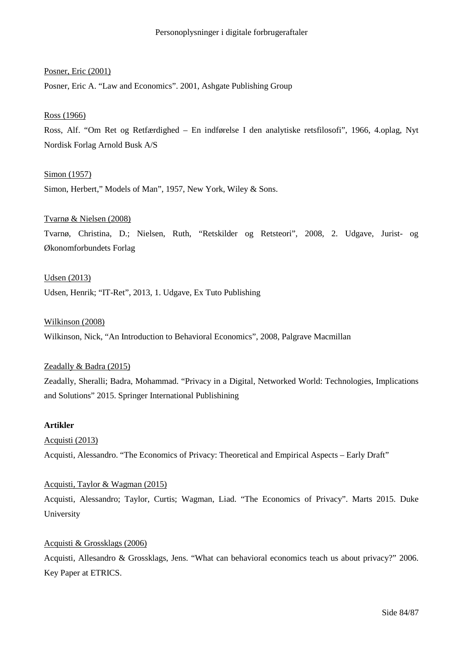#### Posner, Eric (2001)

Posner, Eric A. "Law and Economics". 2001, Ashgate Publishing Group

#### Ross (1966)

Ross, Alf. "Om Ret og Retfærdighed – En indførelse I den analytiske retsfilosofi", 1966, 4.oplag, Nyt Nordisk Forlag Arnold Busk A/S

#### Simon (1957)

Simon, Herbert," Models of Man", 1957, New York, Wiley & Sons.

#### Tvarnø & Nielsen (2008)

Tvarnø, Christina, D.; Nielsen, Ruth, "Retskilder og Retsteori", 2008, 2. Udgave, Jurist- og Økonomforbundets Forlag

# Udsen (2013)

Udsen, Henrik; "IT-Ret", 2013, 1. Udgave, Ex Tuto Publishing

#### Wilkinson (2008)

Wilkinson, Nick, "An Introduction to Behavioral Economics", 2008, Palgrave Macmillan

#### Zeadally & Badra (2015)

Zeadally, Sheralli; Badra, Mohammad. "Privacy in a Digital, Networked World: Technologies, Implications and Solutions" 2015. Springer International Publishining

#### **Artikler**

Acquisti (2013) Acquisti, Alessandro. "The Economics of Privacy: Theoretical and Empirical Aspects – Early Draft"

#### Acquisti, Taylor & Wagman (2015)

Acquisti, Alessandro; Taylor, Curtis; Wagman, Liad. "The Economics of Privacy". Marts 2015. Duke University

#### Acquisti & Grossklags (2006)

Acquisti, Allesandro & Grossklags, Jens. "What can behavioral economics teach us about privacy?" 2006. Key Paper at ETRICS.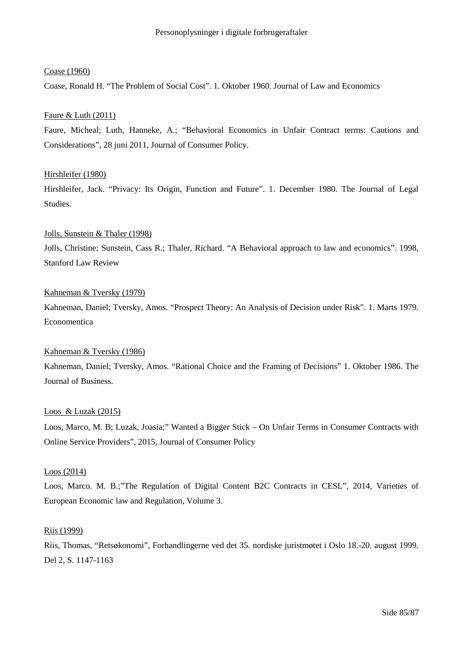#### Coase (1960)

Coase, Ronald H. "The Problem of Social Cost". 1. Oktober 1960. Journal of Law and Economics

#### Faure & Luth (2011)

Faure, Micheal; Luth, Hanneke, A.; "Behavioral Economics in Unfair Contract terms: Cautions and Considerations", 28 juni 2011, Journal of Consumer Policy.

#### Hirshleifer (1980)

Hirshleifer, Jack. "Privacy: Its Origin, Function and Future". 1. December 1980. The Journal of Legal Studies.

# Jolls, Sunstein & Thaler (1998) Jolls, Christine; Sunstein, Cass R.; Thaler, Richard. "A Behavioral approach to law and economics". 1998, Stanford Law Review

#### Kahneman & Tversky (1979)

Kahneman, Daniel; Tversky, Amos. "Prospect Theory: An Analysis of Decision under Risk". 1. Marts 1979. Economentica

#### Kahneman & Tversky (1986)

Kahneman, Daniel; Tversky, Amos. "Rational Choice and the Framing of Decisions" 1. Oktober 1986. The Journal of Business.

#### Loos & Luzak (2015)

Loos, Marco, M. B; Luzak, Joasia;" Wanted a Bigger Stick – On Unfair Terms in Consumer Contracts with Online Service Providers", 2015, Journal of Consumer Policy

#### Loos (2014)

Loos, Marco. M. B.;"The Regulation of Digital Content B2C Contracts in CESL", 2014, Varieties of European Economic law and Regulation, Volume 3.

#### Riis (1999)

Riis, Thomas, "Retsøkonomi", Forhandlingerne ved det 35. nordiske juristmøtet i Oslo 18.-20. august 1999. Del 2, S. 1147-1163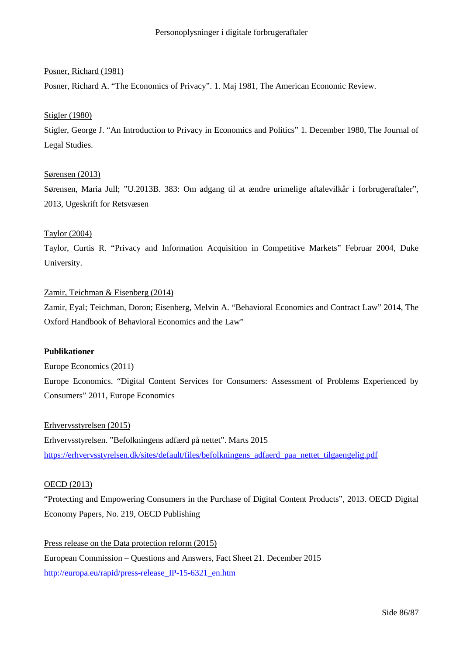# Posner, Richard (1981)

Posner, Richard A. "The Economics of Privacy". 1. Maj 1981, The American Economic Review.

#### Stigler (1980)

Stigler, George J. "An Introduction to Privacy in Economics and Politics" 1. December 1980, The Journal of Legal Studies.

# Sørensen (2013)

Sørensen, Maria Jull; "U.2013B. 383: Om adgang til at ændre urimelige aftalevilkår i forbrugeraftaler", 2013, Ugeskrift for Retsvæsen

# Taylor (2004)

Taylor, Curtis R. "Privacy and Information Acquisition in Competitive Markets" Februar 2004, Duke University.

# Zamir, Teichman & Eisenberg (2014)

Zamir, Eyal; Teichman, Doron; Eisenberg, Melvin A. "Behavioral Economics and Contract Law" 2014, The Oxford Handbook of Behavioral Economics and the Law"

#### **Publikationer**

Europe Economics (2011)

Europe Economics. "Digital Content Services for Consumers: Assessment of Problems Experienced by Consumers" 2011, Europe Economics

Erhvervsstyrelsen (2015) Erhvervsstyrelsen. "Befolkningens adfærd på nettet". Marts 2015 https://erhvervsstyrelsen.dk/sites/default/files/befolkningens\_adfaerd\_paa\_nettet\_tilgaengelig.pdf

#### OECD (2013)

"Protecting and Empowering Consumers in the Purchase of Digital Content Products", 2013. OECD Digital Economy Papers, No. 219, OECD Publishing

Press release on the Data protection reform (2015) European Commission – Questions and Answers, Fact Sheet 21. December 2015 http://europa.eu/rapid/press-release\_IP-15-6321\_en.htm